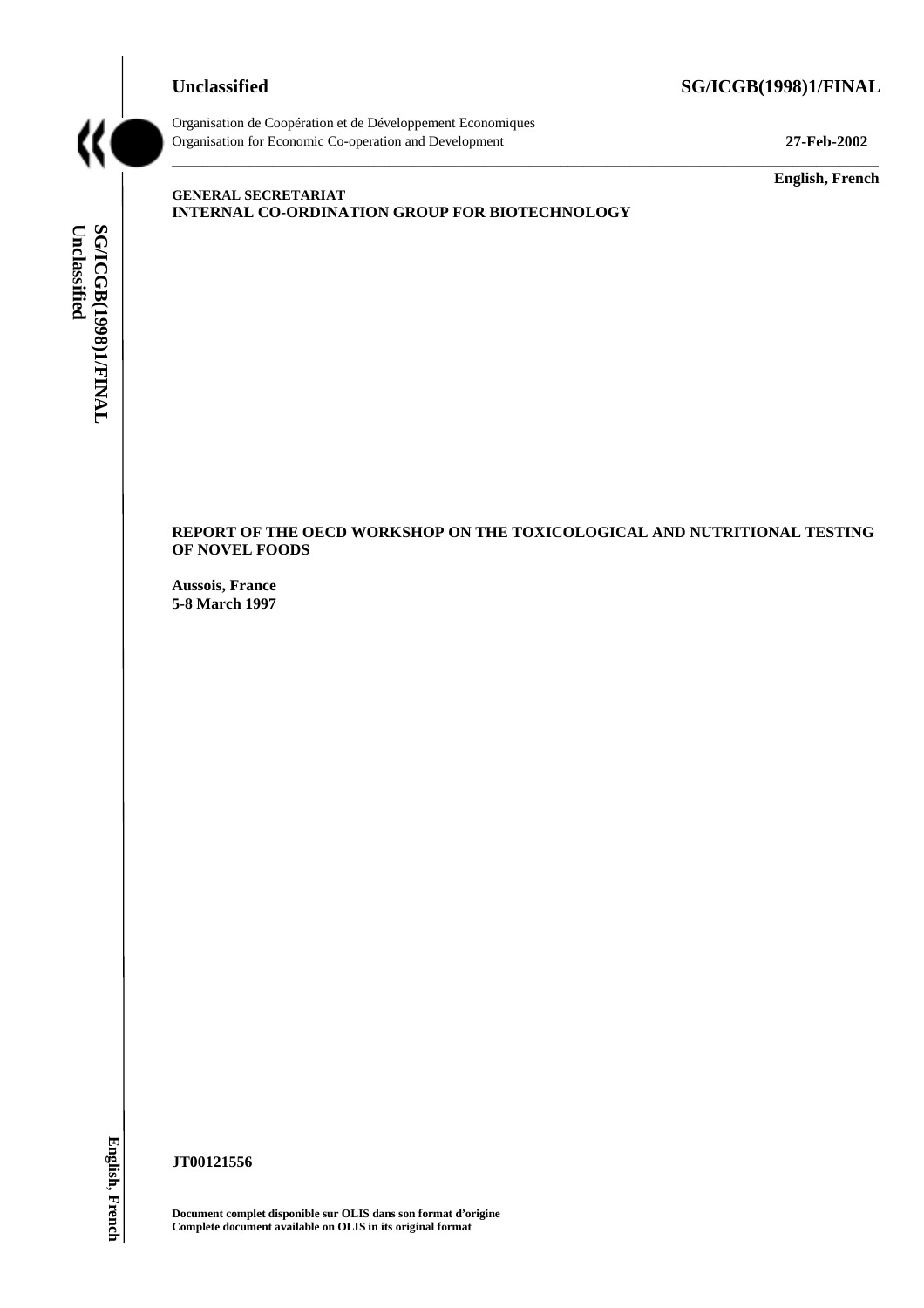#### **Unclassified SG/ICGB(1998)1/FINAL**



Organisation de Coopération et de Développement Economiques Organisation for Economic Co-operation and Development **27-Feb-2002**

**English, French**

# SG/ICGB(1998)1/FINAL<br>Unclassified **Unclassified SG/ICGB(1998)1/FINAL**

#### **GENERAL SECRETARIAT INTERNAL CO-ORDINATION GROUP FOR BIOTECHNOLOGY**

**REPORT OF THE OECD WORKSHOP ON THE TOXICOLOGICAL AND NUTRITIONAL TESTING OF NOVEL FOODS**

\_\_\_\_\_\_\_\_\_\_\_\_\_\_\_\_\_\_\_\_\_\_\_\_\_\_\_\_\_\_\_\_\_\_\_\_\_\_\_\_\_\_\_\_\_\_\_\_\_\_\_\_\_\_\_\_\_\_\_\_\_\_\_\_\_\_\_\_\_\_\_\_\_\_\_\_\_\_\_\_\_\_\_\_\_\_\_\_\_\_\_

**Aussois, France 5-8 March 1997**

English, French **English, French**

**JT00121556**

**Document complet disponible sur OLIS dans son format d'origine Complete document available on OLIS in its original format**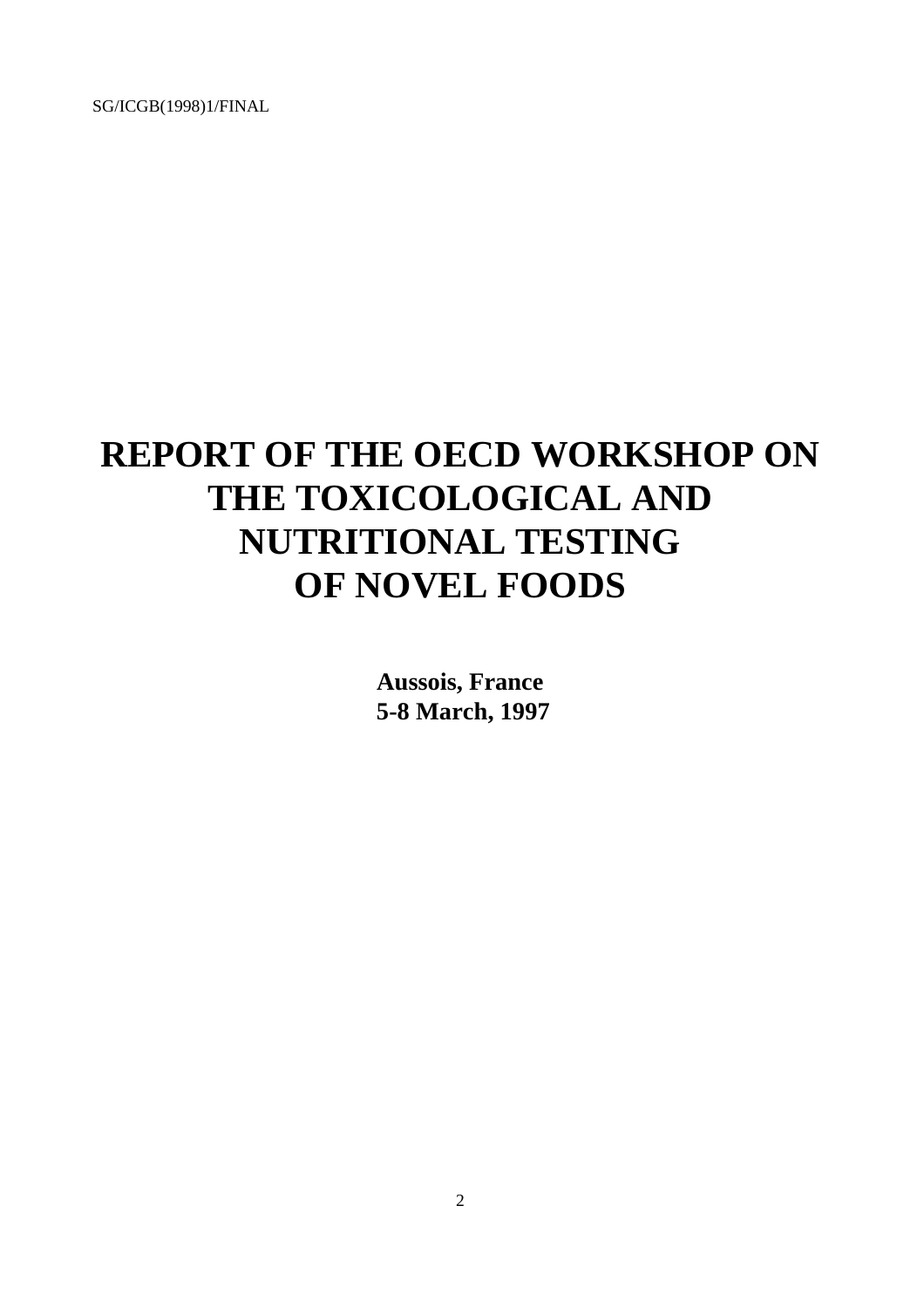## **REPORT OF THE OECD WORKSHOP ON THE TOXICOLOGICAL AND NUTRITIONAL TESTING OF NOVEL FOODS**

**Aussois, France 5-8 March, 1997**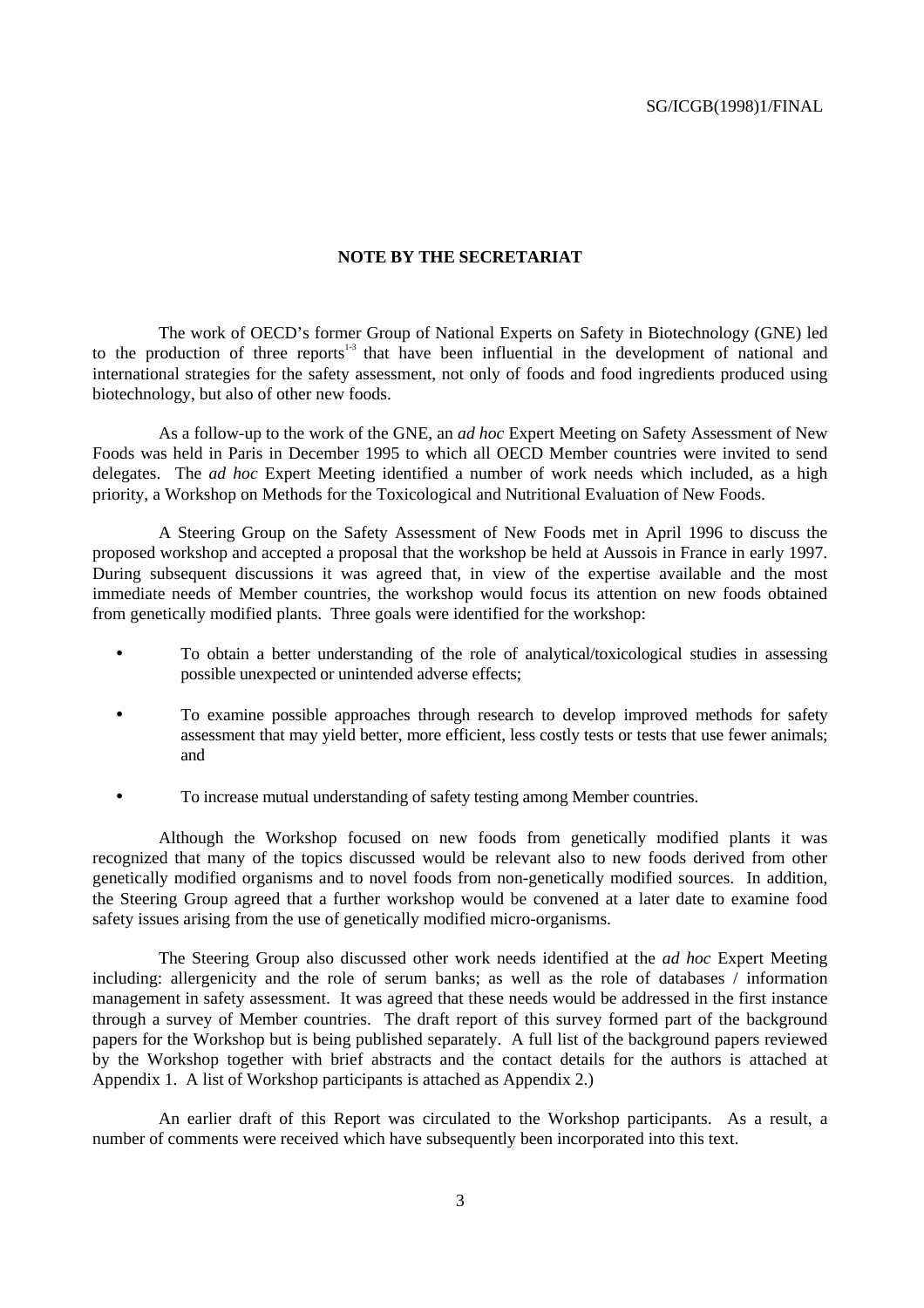#### **NOTE BY THE SECRETARIAT**

The work of OECD's former Group of National Experts on Safety in Biotechnology (GNE) led to the production of three reports<sup> $1-3$ </sup> that have been influential in the development of national and international strategies for the safety assessment, not only of foods and food ingredients produced using biotechnology, but also of other new foods.

As a follow-up to the work of the GNE, an *ad hoc* Expert Meeting on Safety Assessment of New Foods was held in Paris in December 1995 to which all OECD Member countries were invited to send delegates. The *ad hoc* Expert Meeting identified a number of work needs which included, as a high priority, a Workshop on Methods for the Toxicological and Nutritional Evaluation of New Foods.

A Steering Group on the Safety Assessment of New Foods met in April 1996 to discuss the proposed workshop and accepted a proposal that the workshop be held at Aussois in France in early 1997. During subsequent discussions it was agreed that, in view of the expertise available and the most immediate needs of Member countries, the workshop would focus its attention on new foods obtained from genetically modified plants. Three goals were identified for the workshop:

- To obtain a better understanding of the role of analytical/toxicological studies in assessing possible unexpected or unintended adverse effects;
- To examine possible approaches through research to develop improved methods for safety assessment that may yield better, more efficient, less costly tests or tests that use fewer animals; and
- To increase mutual understanding of safety testing among Member countries.

Although the Workshop focused on new foods from genetically modified plants it was recognized that many of the topics discussed would be relevant also to new foods derived from other genetically modified organisms and to novel foods from non-genetically modified sources. In addition, the Steering Group agreed that a further workshop would be convened at a later date to examine food safety issues arising from the use of genetically modified micro-organisms.

The Steering Group also discussed other work needs identified at the *ad hoc* Expert Meeting including: allergenicity and the role of serum banks; as well as the role of databases / information management in safety assessment. It was agreed that these needs would be addressed in the first instance through a survey of Member countries. The draft report of this survey formed part of the background papers for the Workshop but is being published separately. A full list of the background papers reviewed by the Workshop together with brief abstracts and the contact details for the authors is attached at Appendix 1. A list of Workshop participants is attached as Appendix 2.)

An earlier draft of this Report was circulated to the Workshop participants. As a result, a number of comments were received which have subsequently been incorporated into this text.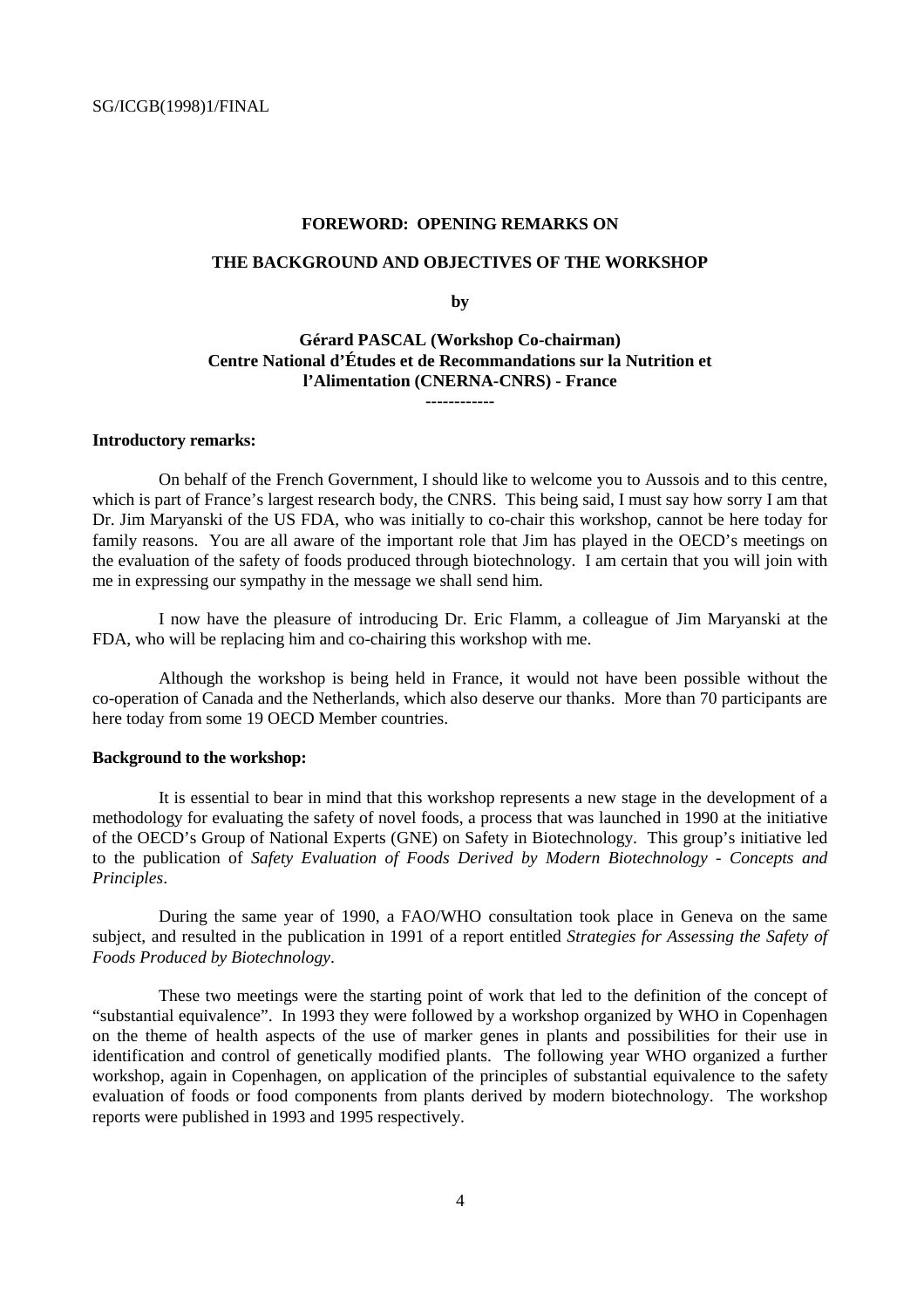#### **FOREWORD: OPENING REMARKS ON**

#### **THE BACKGROUND AND OBJECTIVES OF THE WORKSHOP**

**by**

#### **Gérard PASCAL (Workshop Co-chairman) Centre National d'Études et de Recommandations sur la Nutrition et l'Alimentation (CNERNA-CNRS) - France**

**------------**

#### **Introductory remarks:**

On behalf of the French Government, I should like to welcome you to Aussois and to this centre, which is part of France's largest research body, the CNRS. This being said, I must say how sorry I am that Dr. Jim Maryanski of the US FDA, who was initially to co-chair this workshop, cannot be here today for family reasons. You are all aware of the important role that Jim has played in the OECD's meetings on the evaluation of the safety of foods produced through biotechnology. I am certain that you will join with me in expressing our sympathy in the message we shall send him.

I now have the pleasure of introducing Dr. Eric Flamm, a colleague of Jim Maryanski at the FDA, who will be replacing him and co-chairing this workshop with me.

Although the workshop is being held in France, it would not have been possible without the co-operation of Canada and the Netherlands, which also deserve our thanks. More than 70 participants are here today from some 19 OECD Member countries.

#### **Background to the workshop:**

It is essential to bear in mind that this workshop represents a new stage in the development of a methodology for evaluating the safety of novel foods, a process that was launched in 1990 at the initiative of the OECD's Group of National Experts (GNE) on Safety in Biotechnology. This group's initiative led to the publication of *Safety Evaluation of Foods Derived by Modern Biotechnology - Concepts and Principles*.

During the same year of 1990, a FAO/WHO consultation took place in Geneva on the same subject, and resulted in the publication in 1991 of a report entitled *Strategies for Assessing the Safety of Foods Produced by Biotechnology*.

These two meetings were the starting point of work that led to the definition of the concept of "substantial equivalence". In 1993 they were followed by a workshop organized by WHO in Copenhagen on the theme of health aspects of the use of marker genes in plants and possibilities for their use in identification and control of genetically modified plants. The following year WHO organized a further workshop, again in Copenhagen, on application of the principles of substantial equivalence to the safety evaluation of foods or food components from plants derived by modern biotechnology. The workshop reports were published in 1993 and 1995 respectively.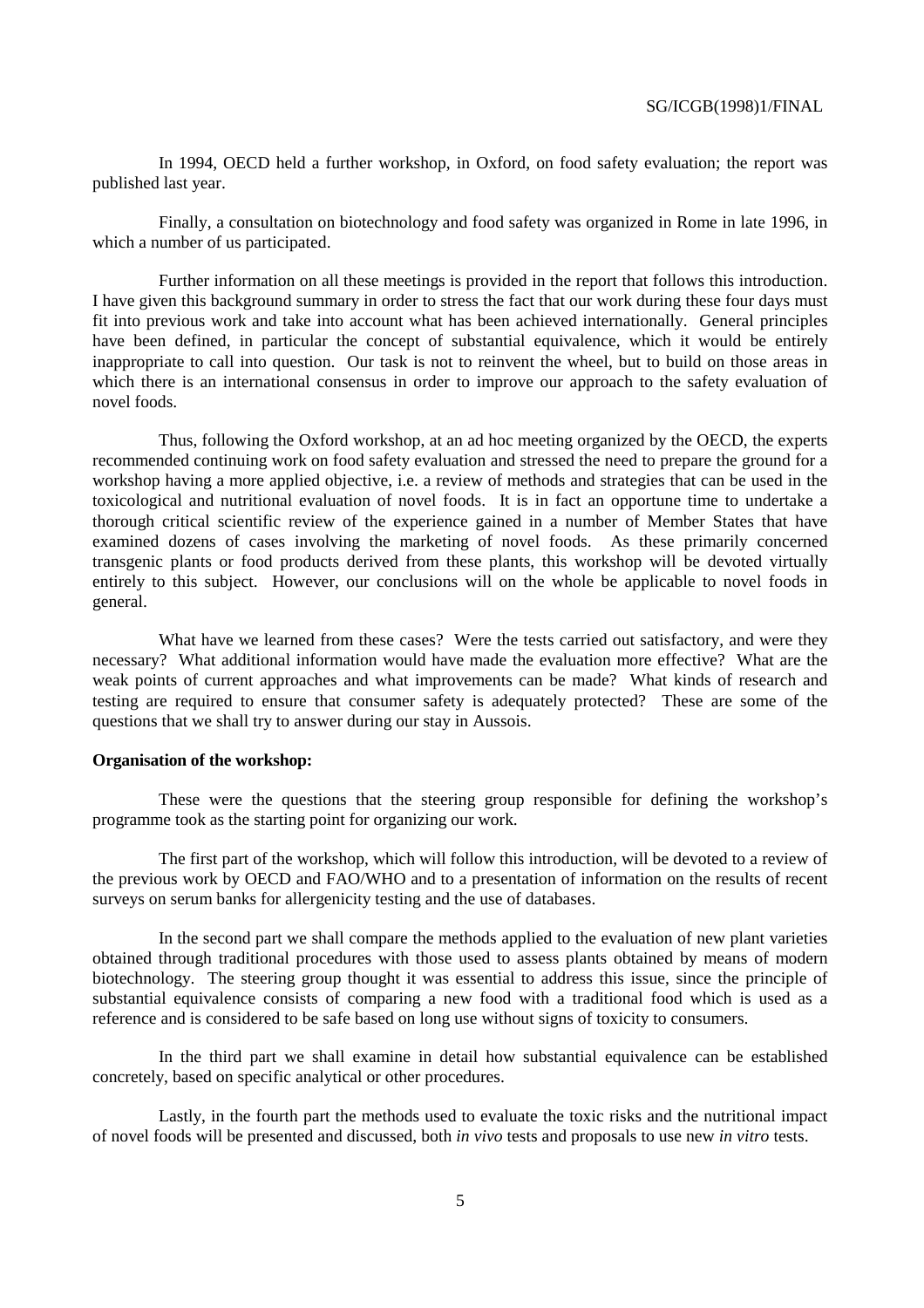In 1994, OECD held a further workshop, in Oxford, on food safety evaluation; the report was published last year.

Finally, a consultation on biotechnology and food safety was organized in Rome in late 1996, in which a number of us participated.

Further information on all these meetings is provided in the report that follows this introduction. I have given this background summary in order to stress the fact that our work during these four days must fit into previous work and take into account what has been achieved internationally. General principles have been defined, in particular the concept of substantial equivalence, which it would be entirely inappropriate to call into question. Our task is not to reinvent the wheel, but to build on those areas in which there is an international consensus in order to improve our approach to the safety evaluation of novel foods.

Thus, following the Oxford workshop, at an ad hoc meeting organized by the OECD, the experts recommended continuing work on food safety evaluation and stressed the need to prepare the ground for a workshop having a more applied objective, i.e. a review of methods and strategies that can be used in the toxicological and nutritional evaluation of novel foods. It is in fact an opportune time to undertake a thorough critical scientific review of the experience gained in a number of Member States that have examined dozens of cases involving the marketing of novel foods. As these primarily concerned transgenic plants or food products derived from these plants, this workshop will be devoted virtually entirely to this subject. However, our conclusions will on the whole be applicable to novel foods in general.

What have we learned from these cases? Were the tests carried out satisfactory, and were they necessary? What additional information would have made the evaluation more effective? What are the weak points of current approaches and what improvements can be made? What kinds of research and testing are required to ensure that consumer safety is adequately protected? These are some of the questions that we shall try to answer during our stay in Aussois.

#### **Organisation of the workshop:**

These were the questions that the steering group responsible for defining the workshop's programme took as the starting point for organizing our work.

The first part of the workshop, which will follow this introduction, will be devoted to a review of the previous work by OECD and FAO/WHO and to a presentation of information on the results of recent surveys on serum banks for allergenicity testing and the use of databases.

In the second part we shall compare the methods applied to the evaluation of new plant varieties obtained through traditional procedures with those used to assess plants obtained by means of modern biotechnology. The steering group thought it was essential to address this issue, since the principle of substantial equivalence consists of comparing a new food with a traditional food which is used as a reference and is considered to be safe based on long use without signs of toxicity to consumers.

In the third part we shall examine in detail how substantial equivalence can be established concretely, based on specific analytical or other procedures.

Lastly, in the fourth part the methods used to evaluate the toxic risks and the nutritional impact of novel foods will be presented and discussed, both *in vivo* tests and proposals to use new *in vitro* tests.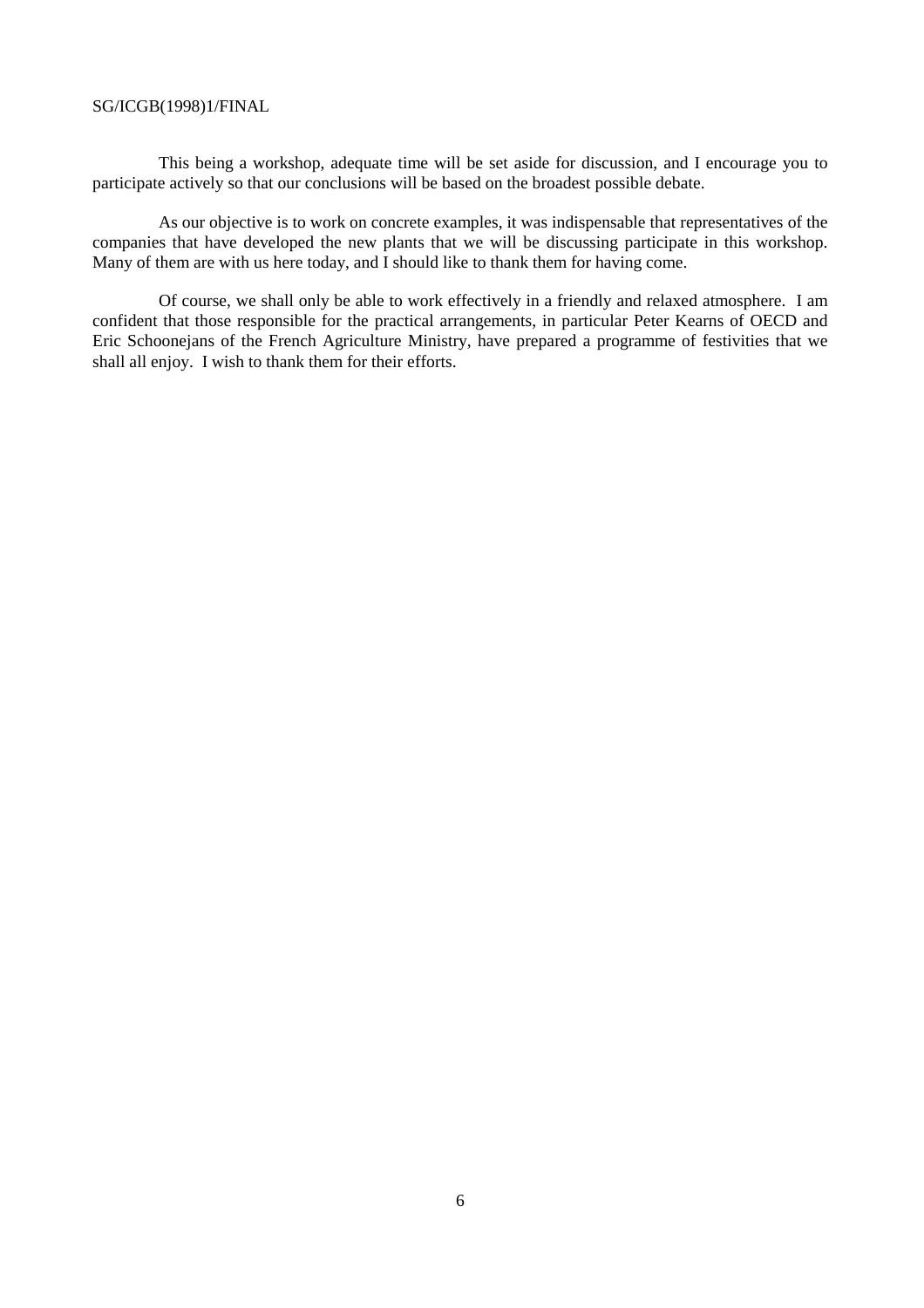This being a workshop, adequate time will be set aside for discussion, and I encourage you to participate actively so that our conclusions will be based on the broadest possible debate.

As our objective is to work on concrete examples, it was indispensable that representatives of the companies that have developed the new plants that we will be discussing participate in this workshop. Many of them are with us here today, and I should like to thank them for having come.

Of course, we shall only be able to work effectively in a friendly and relaxed atmosphere. I am confident that those responsible for the practical arrangements, in particular Peter Kearns of OECD and Eric Schoonejans of the French Agriculture Ministry, have prepared a programme of festivities that we shall all enjoy. I wish to thank them for their efforts.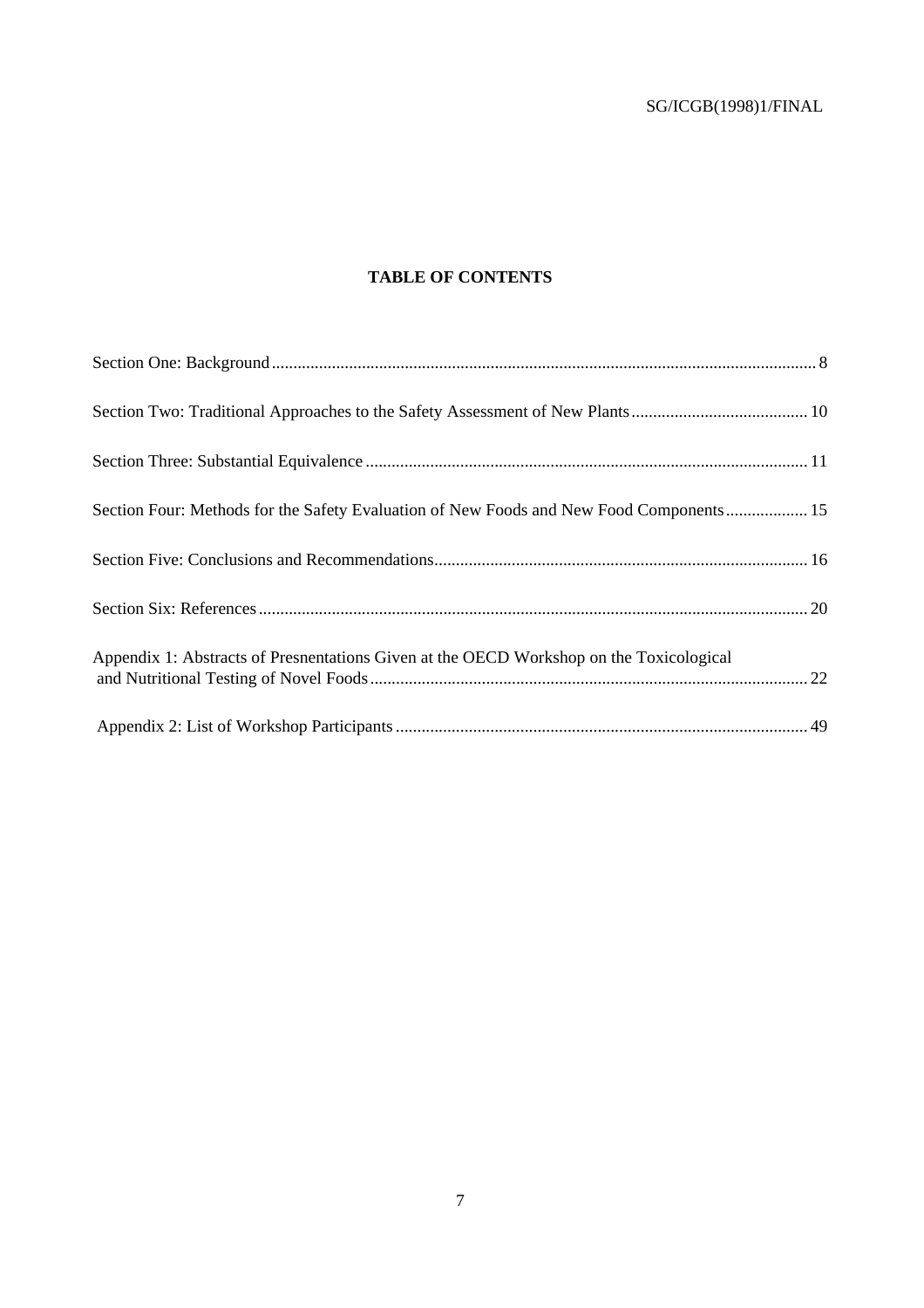#### **TABLE OF CONTENTS**

| Section Four: Methods for the Safety Evaluation of New Foods and New Food Components 15 |  |
|-----------------------------------------------------------------------------------------|--|
|                                                                                         |  |
|                                                                                         |  |
| Appendix 1: Abstracts of Presnentations Given at the OECD Workshop on the Toxicological |  |
|                                                                                         |  |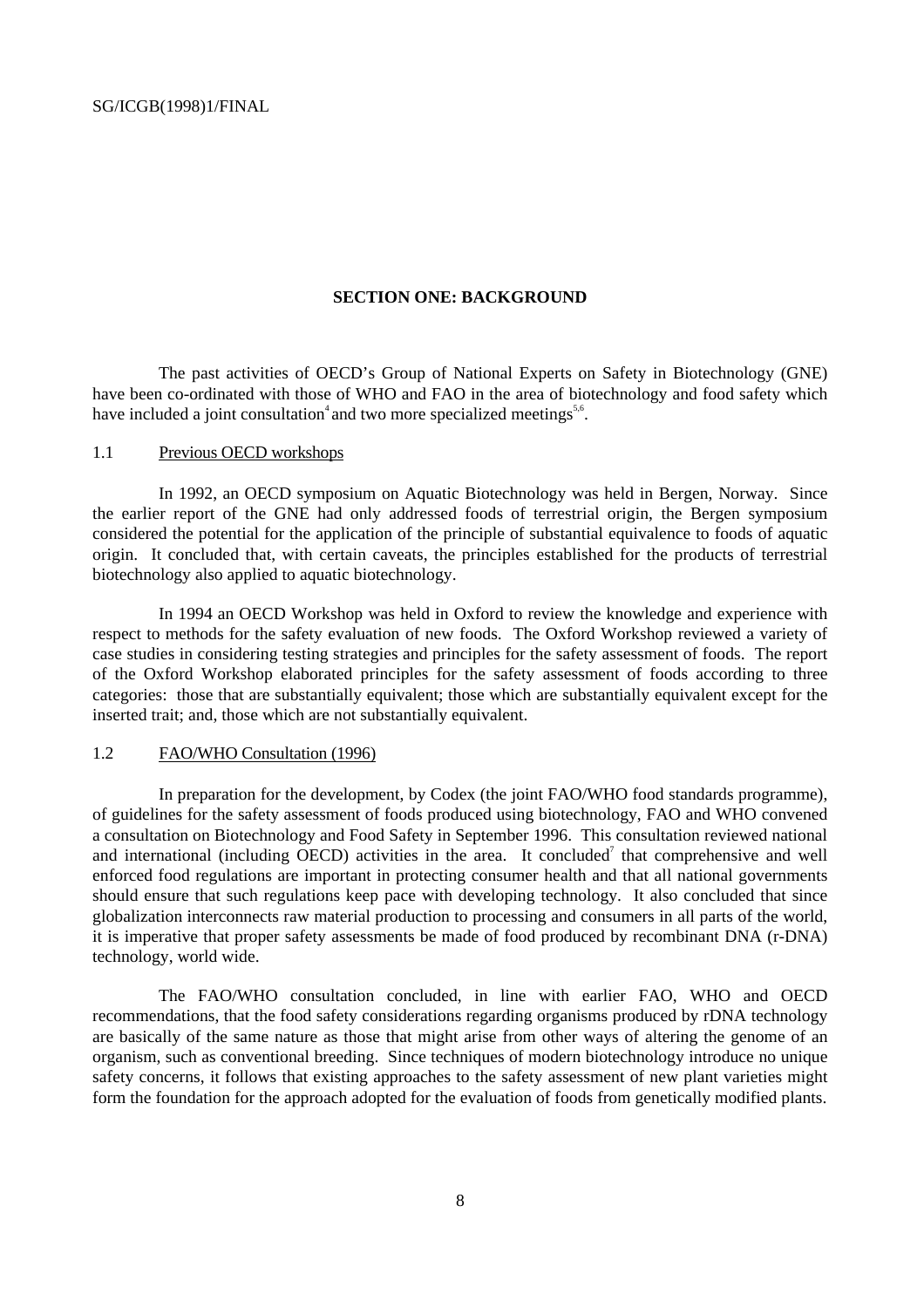#### **SECTION ONE: BACKGROUND**

The past activities of OECD's Group of National Experts on Safety in Biotechnology (GNE) have been co-ordinated with those of WHO and FAO in the area of biotechnology and food safety which have included a joint consultation<sup>4</sup> and two more specialized meetings<sup>5,6</sup>.

#### 1.1 Previous OECD workshops

In 1992, an OECD symposium on Aquatic Biotechnology was held in Bergen, Norway. Since the earlier report of the GNE had only addressed foods of terrestrial origin, the Bergen symposium considered the potential for the application of the principle of substantial equivalence to foods of aquatic origin. It concluded that, with certain caveats, the principles established for the products of terrestrial biotechnology also applied to aquatic biotechnology.

In 1994 an OECD Workshop was held in Oxford to review the knowledge and experience with respect to methods for the safety evaluation of new foods. The Oxford Workshop reviewed a variety of case studies in considering testing strategies and principles for the safety assessment of foods. The report of the Oxford Workshop elaborated principles for the safety assessment of foods according to three categories: those that are substantially equivalent; those which are substantially equivalent except for the inserted trait; and, those which are not substantially equivalent.

#### 1.2 FAO/WHO Consultation (1996)

In preparation for the development, by Codex (the joint FAO/WHO food standards programme), of guidelines for the safety assessment of foods produced using biotechnology, FAO and WHO convened a consultation on Biotechnology and Food Safety in September 1996. This consultation reviewed national and international (including OECD) activities in the area. It concluded<sup>7</sup> that comprehensive and well enforced food regulations are important in protecting consumer health and that all national governments should ensure that such regulations keep pace with developing technology. It also concluded that since globalization interconnects raw material production to processing and consumers in all parts of the world, it is imperative that proper safety assessments be made of food produced by recombinant DNA (r-DNA) technology, world wide.

The FAO/WHO consultation concluded, in line with earlier FAO, WHO and OECD recommendations, that the food safety considerations regarding organisms produced by rDNA technology are basically of the same nature as those that might arise from other ways of altering the genome of an organism, such as conventional breeding. Since techniques of modern biotechnology introduce no unique safety concerns, it follows that existing approaches to the safety assessment of new plant varieties might form the foundation for the approach adopted for the evaluation of foods from genetically modified plants.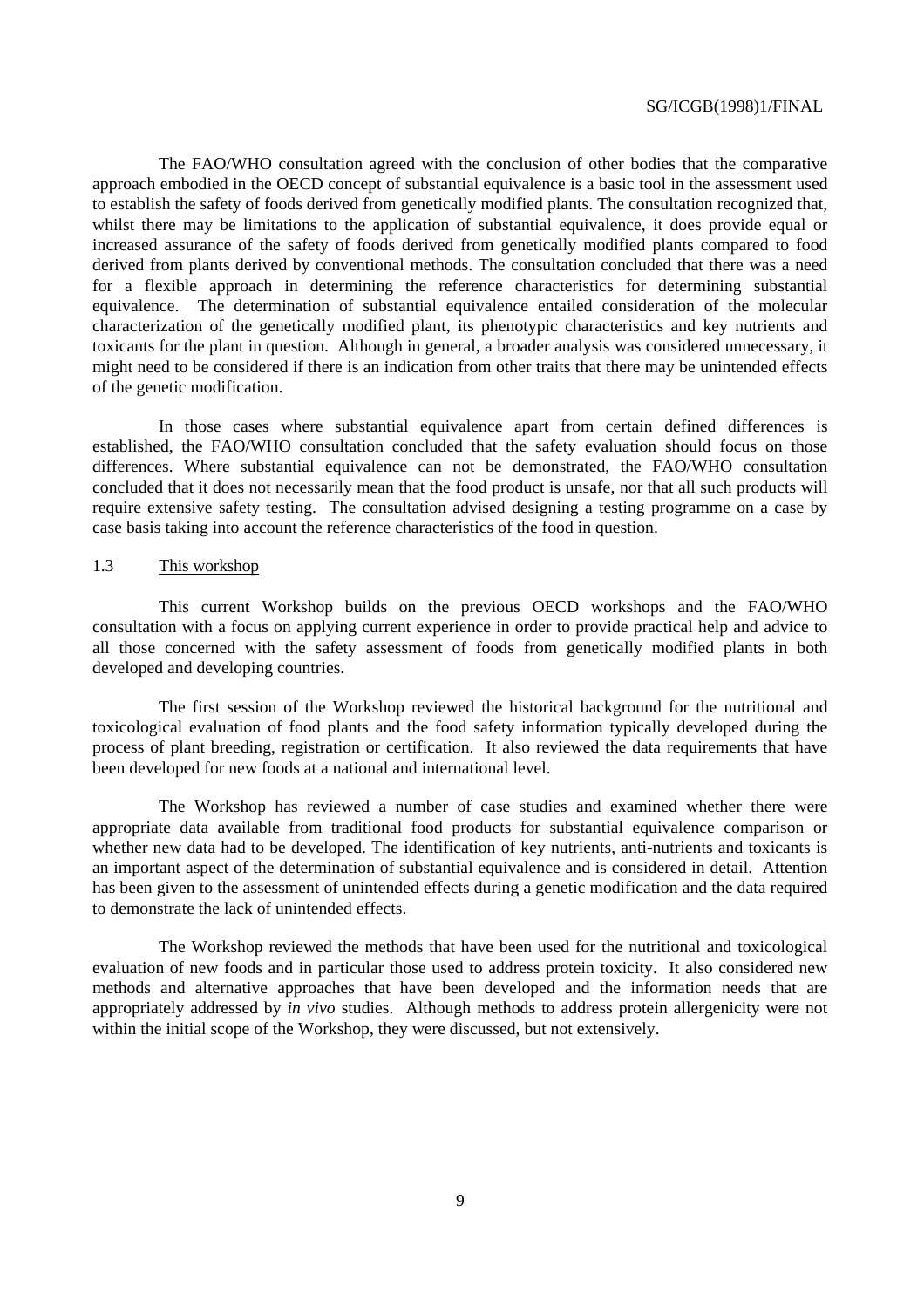The FAO/WHO consultation agreed with the conclusion of other bodies that the comparative approach embodied in the OECD concept of substantial equivalence is a basic tool in the assessment used to establish the safety of foods derived from genetically modified plants. The consultation recognized that, whilst there may be limitations to the application of substantial equivalence, it does provide equal or increased assurance of the safety of foods derived from genetically modified plants compared to food derived from plants derived by conventional methods. The consultation concluded that there was a need for a flexible approach in determining the reference characteristics for determining substantial equivalence. The determination of substantial equivalence entailed consideration of the molecular characterization of the genetically modified plant, its phenotypic characteristics and key nutrients and toxicants for the plant in question. Although in general, a broader analysis was considered unnecessary, it might need to be considered if there is an indication from other traits that there may be unintended effects of the genetic modification.

In those cases where substantial equivalence apart from certain defined differences is established, the FAO/WHO consultation concluded that the safety evaluation should focus on those differences. Where substantial equivalence can not be demonstrated, the FAO/WHO consultation concluded that it does not necessarily mean that the food product is unsafe, nor that all such products will require extensive safety testing. The consultation advised designing a testing programme on a case by case basis taking into account the reference characteristics of the food in question.

#### 1.3 This workshop

This current Workshop builds on the previous OECD workshops and the FAO/WHO consultation with a focus on applying current experience in order to provide practical help and advice to all those concerned with the safety assessment of foods from genetically modified plants in both developed and developing countries.

The first session of the Workshop reviewed the historical background for the nutritional and toxicological evaluation of food plants and the food safety information typically developed during the process of plant breeding, registration or certification. It also reviewed the data requirements that have been developed for new foods at a national and international level.

The Workshop has reviewed a number of case studies and examined whether there were appropriate data available from traditional food products for substantial equivalence comparison or whether new data had to be developed. The identification of key nutrients, anti-nutrients and toxicants is an important aspect of the determination of substantial equivalence and is considered in detail. Attention has been given to the assessment of unintended effects during a genetic modification and the data required to demonstrate the lack of unintended effects.

The Workshop reviewed the methods that have been used for the nutritional and toxicological evaluation of new foods and in particular those used to address protein toxicity. It also considered new methods and alternative approaches that have been developed and the information needs that are appropriately addressed by *in vivo* studies. Although methods to address protein allergenicity were not within the initial scope of the Workshop, they were discussed, but not extensively.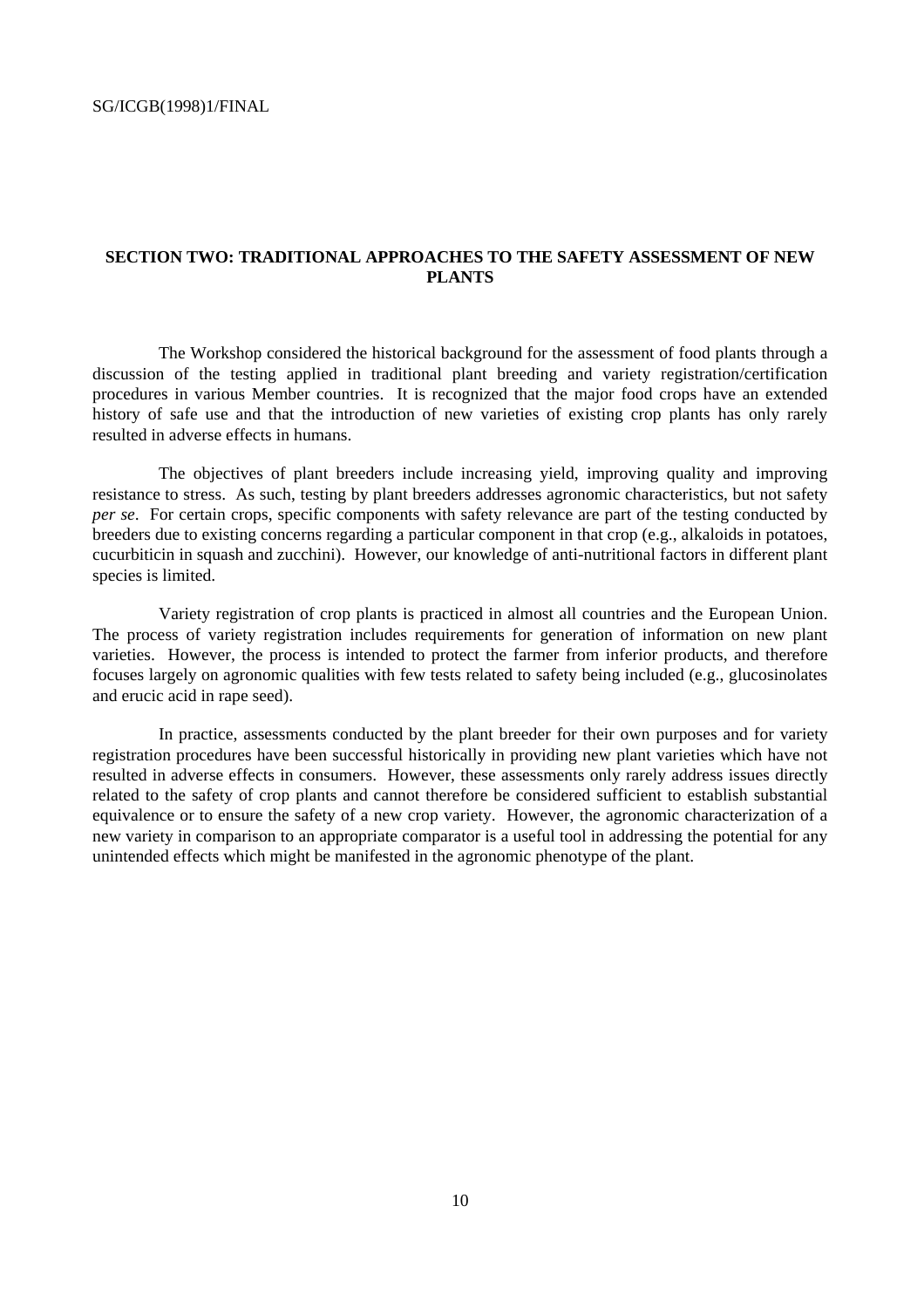#### **SECTION TWO: TRADITIONAL APPROACHES TO THE SAFETY ASSESSMENT OF NEW PLANTS**

The Workshop considered the historical background for the assessment of food plants through a discussion of the testing applied in traditional plant breeding and variety registration/certification procedures in various Member countries. It is recognized that the major food crops have an extended history of safe use and that the introduction of new varieties of existing crop plants has only rarely resulted in adverse effects in humans.

The objectives of plant breeders include increasing yield, improving quality and improving resistance to stress. As such, testing by plant breeders addresses agronomic characteristics, but not safety *per se*. For certain crops, specific components with safety relevance are part of the testing conducted by breeders due to existing concerns regarding a particular component in that crop (e.g., alkaloids in potatoes, cucurbiticin in squash and zucchini). However, our knowledge of anti-nutritional factors in different plant species is limited.

Variety registration of crop plants is practiced in almost all countries and the European Union. The process of variety registration includes requirements for generation of information on new plant varieties. However, the process is intended to protect the farmer from inferior products, and therefore focuses largely on agronomic qualities with few tests related to safety being included (e.g., glucosinolates and erucic acid in rape seed).

In practice, assessments conducted by the plant breeder for their own purposes and for variety registration procedures have been successful historically in providing new plant varieties which have not resulted in adverse effects in consumers. However, these assessments only rarely address issues directly related to the safety of crop plants and cannot therefore be considered sufficient to establish substantial equivalence or to ensure the safety of a new crop variety. However, the agronomic characterization of a new variety in comparison to an appropriate comparator is a useful tool in addressing the potential for any unintended effects which might be manifested in the agronomic phenotype of the plant.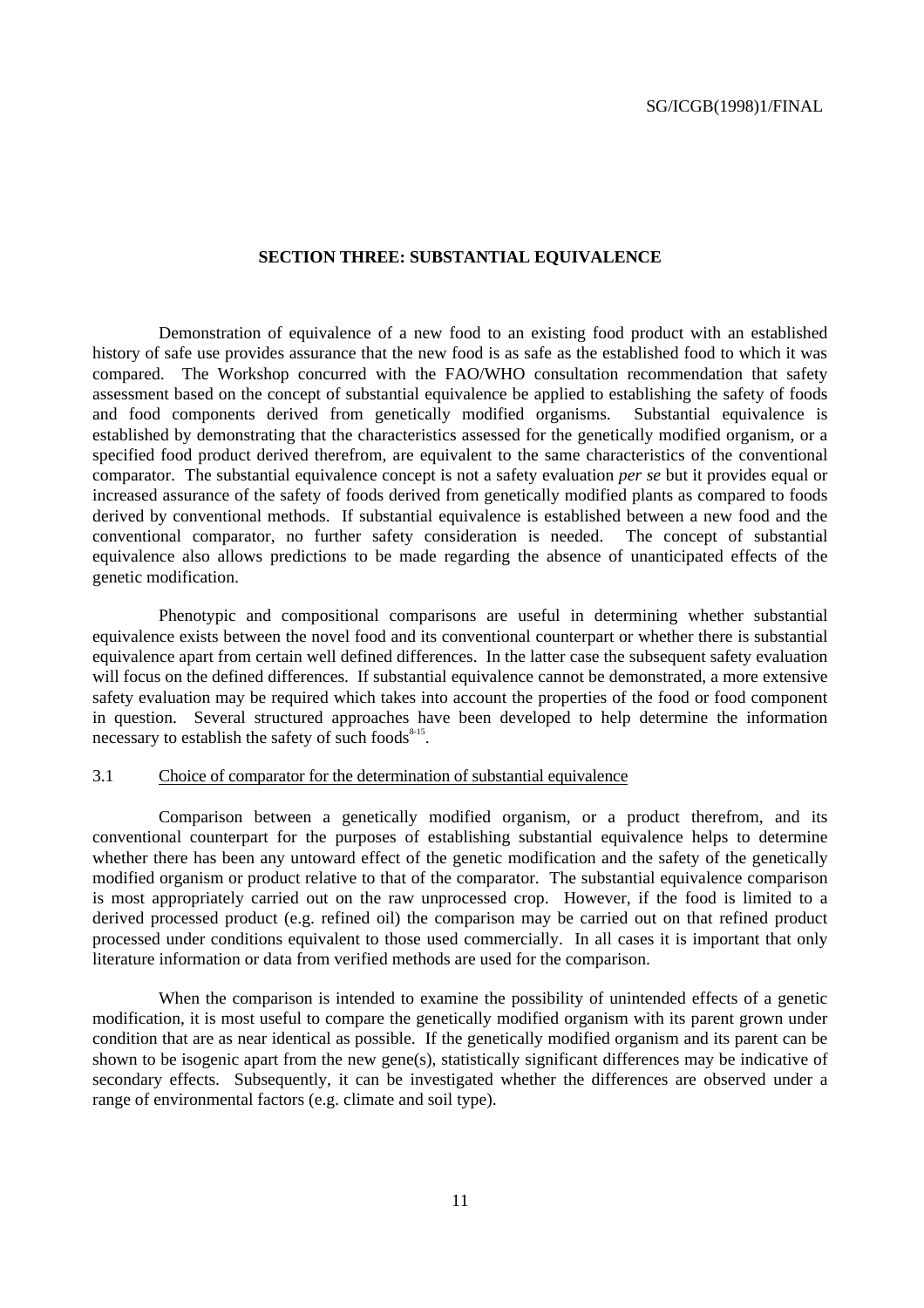#### **SECTION THREE: SUBSTANTIAL EQUIVALENCE**

Demonstration of equivalence of a new food to an existing food product with an established history of safe use provides assurance that the new food is as safe as the established food to which it was compared. The Workshop concurred with the FAO/WHO consultation recommendation that safety assessment based on the concept of substantial equivalence be applied to establishing the safety of foods and food components derived from genetically modified organisms. Substantial equivalence is established by demonstrating that the characteristics assessed for the genetically modified organism, or a specified food product derived therefrom, are equivalent to the same characteristics of the conventional comparator. The substantial equivalence concept is not a safety evaluation *per se* but it provides equal or increased assurance of the safety of foods derived from genetically modified plants as compared to foods derived by conventional methods. If substantial equivalence is established between a new food and the conventional comparator, no further safety consideration is needed. The concept of substantial equivalence also allows predictions to be made regarding the absence of unanticipated effects of the genetic modification.

Phenotypic and compositional comparisons are useful in determining whether substantial equivalence exists between the novel food and its conventional counterpart or whether there is substantial equivalence apart from certain well defined differences. In the latter case the subsequent safety evaluation will focus on the defined differences. If substantial equivalence cannot be demonstrated, a more extensive safety evaluation may be required which takes into account the properties of the food or food component in question. Several structured approaches have been developed to help determine the information necessary to establish the safety of such foods $8-15$ .

#### 3.1 Choice of comparator for the determination of substantial equivalence

Comparison between a genetically modified organism, or a product therefrom, and its conventional counterpart for the purposes of establishing substantial equivalence helps to determine whether there has been any untoward effect of the genetic modification and the safety of the genetically modified organism or product relative to that of the comparator. The substantial equivalence comparison is most appropriately carried out on the raw unprocessed crop. However, if the food is limited to a derived processed product (e.g. refined oil) the comparison may be carried out on that refined product processed under conditions equivalent to those used commercially. In all cases it is important that only literature information or data from verified methods are used for the comparison.

When the comparison is intended to examine the possibility of unintended effects of a genetic modification, it is most useful to compare the genetically modified organism with its parent grown under condition that are as near identical as possible. If the genetically modified organism and its parent can be shown to be isogenic apart from the new gene(s), statistically significant differences may be indicative of secondary effects. Subsequently, it can be investigated whether the differences are observed under a range of environmental factors (e.g. climate and soil type).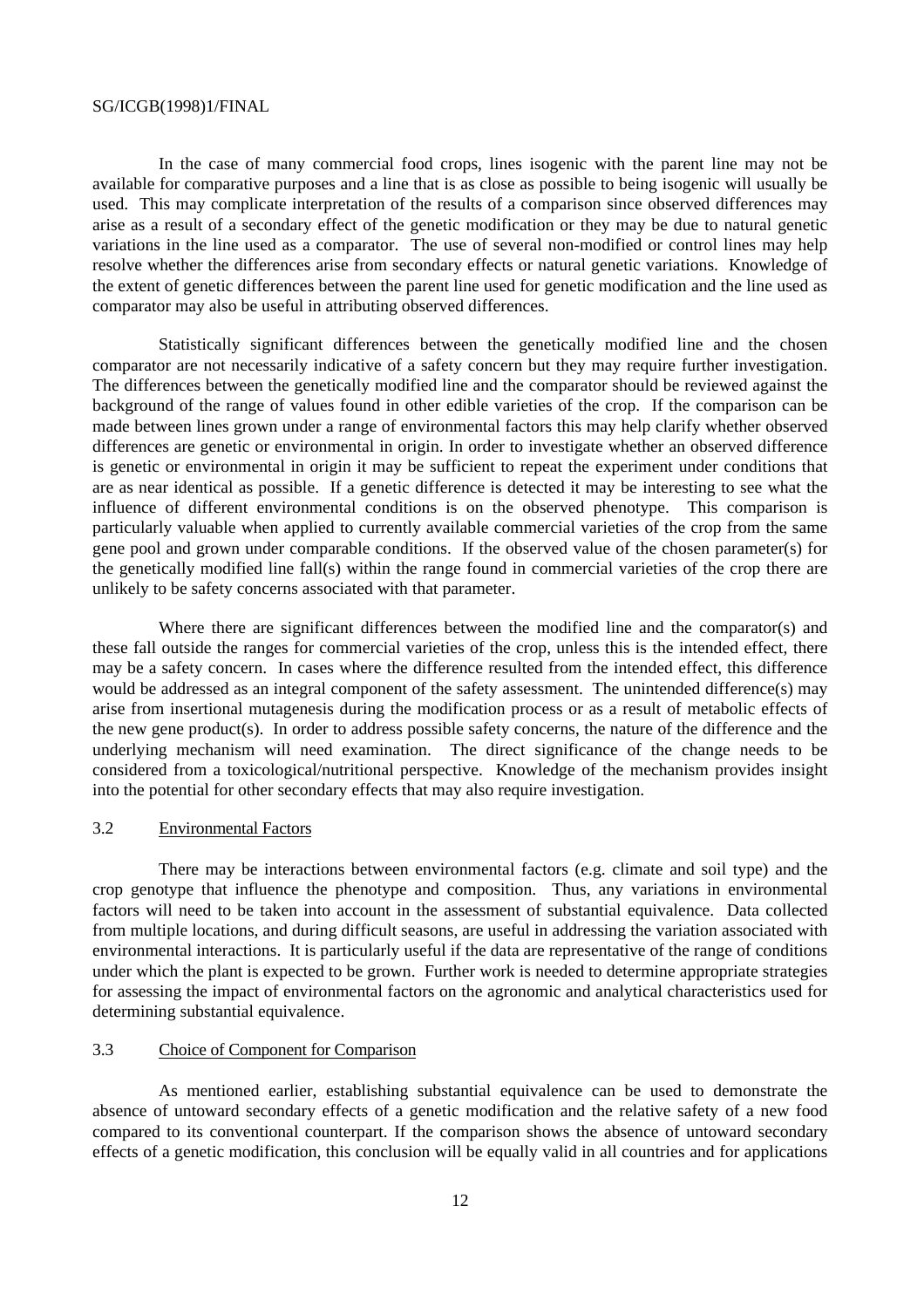In the case of many commercial food crops, lines isogenic with the parent line may not be available for comparative purposes and a line that is as close as possible to being isogenic will usually be used. This may complicate interpretation of the results of a comparison since observed differences may arise as a result of a secondary effect of the genetic modification or they may be due to natural genetic variations in the line used as a comparator. The use of several non-modified or control lines may help resolve whether the differences arise from secondary effects or natural genetic variations. Knowledge of the extent of genetic differences between the parent line used for genetic modification and the line used as comparator may also be useful in attributing observed differences.

Statistically significant differences between the genetically modified line and the chosen comparator are not necessarily indicative of a safety concern but they may require further investigation. The differences between the genetically modified line and the comparator should be reviewed against the background of the range of values found in other edible varieties of the crop. If the comparison can be made between lines grown under a range of environmental factors this may help clarify whether observed differences are genetic or environmental in origin. In order to investigate whether an observed difference is genetic or environmental in origin it may be sufficient to repeat the experiment under conditions that are as near identical as possible. If a genetic difference is detected it may be interesting to see what the influence of different environmental conditions is on the observed phenotype. This comparison is particularly valuable when applied to currently available commercial varieties of the crop from the same gene pool and grown under comparable conditions. If the observed value of the chosen parameter(s) for the genetically modified line fall(s) within the range found in commercial varieties of the crop there are unlikely to be safety concerns associated with that parameter.

Where there are significant differences between the modified line and the comparator(s) and these fall outside the ranges for commercial varieties of the crop, unless this is the intended effect, there may be a safety concern. In cases where the difference resulted from the intended effect, this difference would be addressed as an integral component of the safety assessment. The unintended difference(s) may arise from insertional mutagenesis during the modification process or as a result of metabolic effects of the new gene product(s). In order to address possible safety concerns, the nature of the difference and the underlying mechanism will need examination. The direct significance of the change needs to be considered from a toxicological/nutritional perspective. Knowledge of the mechanism provides insight into the potential for other secondary effects that may also require investigation.

#### 3.2 Environmental Factors

There may be interactions between environmental factors (e.g. climate and soil type) and the crop genotype that influence the phenotype and composition. Thus, any variations in environmental factors will need to be taken into account in the assessment of substantial equivalence. Data collected from multiple locations, and during difficult seasons, are useful in addressing the variation associated with environmental interactions. It is particularly useful if the data are representative of the range of conditions under which the plant is expected to be grown. Further work is needed to determine appropriate strategies for assessing the impact of environmental factors on the agronomic and analytical characteristics used for determining substantial equivalence.

#### 3.3 Choice of Component for Comparison

As mentioned earlier, establishing substantial equivalence can be used to demonstrate the absence of untoward secondary effects of a genetic modification and the relative safety of a new food compared to its conventional counterpart. If the comparison shows the absence of untoward secondary effects of a genetic modification, this conclusion will be equally valid in all countries and for applications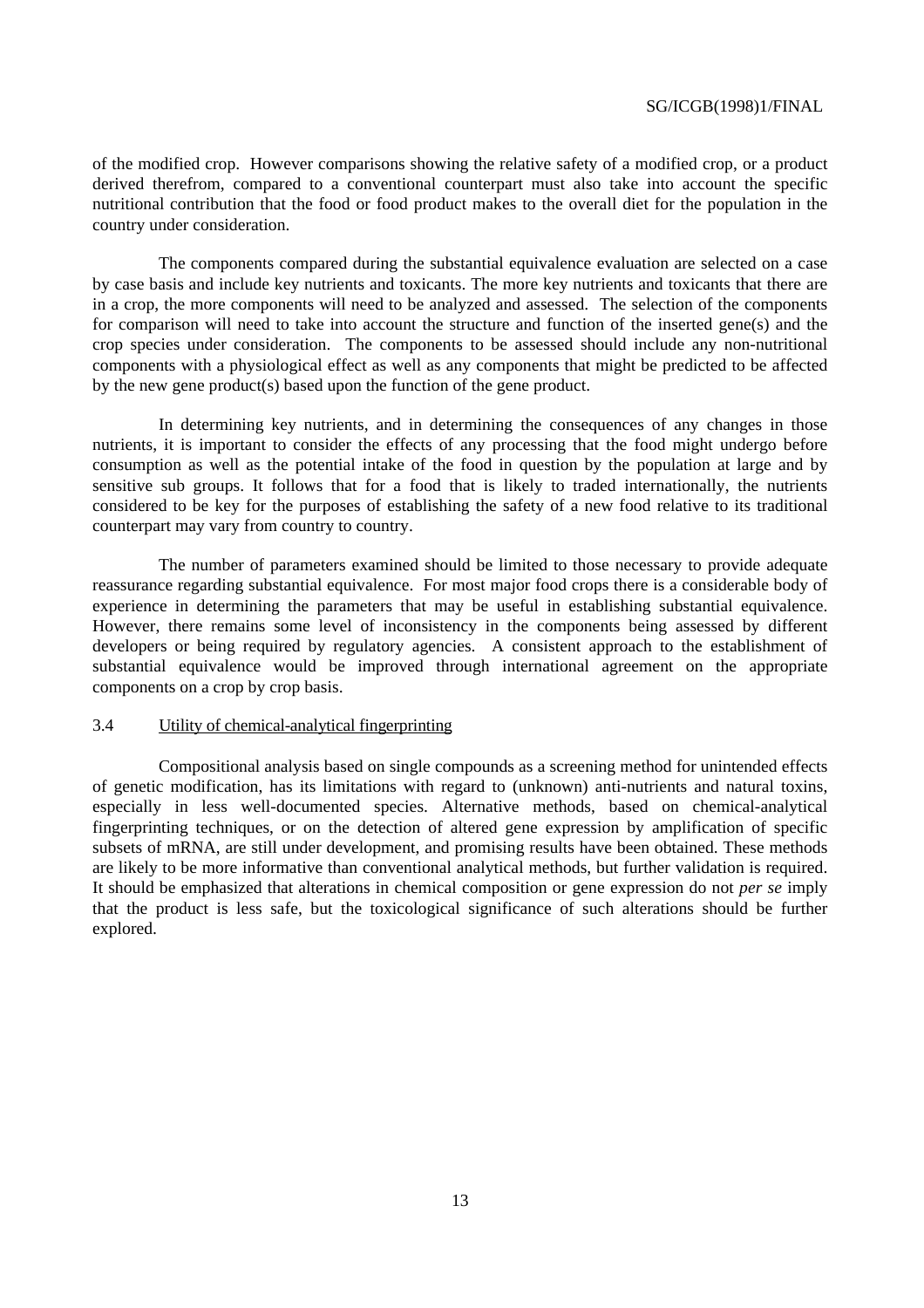of the modified crop. However comparisons showing the relative safety of a modified crop, or a product derived therefrom, compared to a conventional counterpart must also take into account the specific nutritional contribution that the food or food product makes to the overall diet for the population in the country under consideration.

The components compared during the substantial equivalence evaluation are selected on a case by case basis and include key nutrients and toxicants. The more key nutrients and toxicants that there are in a crop, the more components will need to be analyzed and assessed. The selection of the components for comparison will need to take into account the structure and function of the inserted gene(s) and the crop species under consideration. The components to be assessed should include any non-nutritional components with a physiological effect as well as any components that might be predicted to be affected by the new gene product(s) based upon the function of the gene product.

In determining key nutrients, and in determining the consequences of any changes in those nutrients, it is important to consider the effects of any processing that the food might undergo before consumption as well as the potential intake of the food in question by the population at large and by sensitive sub groups. It follows that for a food that is likely to traded internationally, the nutrients considered to be key for the purposes of establishing the safety of a new food relative to its traditional counterpart may vary from country to country.

The number of parameters examined should be limited to those necessary to provide adequate reassurance regarding substantial equivalence. For most major food crops there is a considerable body of experience in determining the parameters that may be useful in establishing substantial equivalence. However, there remains some level of inconsistency in the components being assessed by different developers or being required by regulatory agencies. A consistent approach to the establishment of substantial equivalence would be improved through international agreement on the appropriate components on a crop by crop basis.

#### 3.4 Utility of chemical-analytical fingerprinting

Compositional analysis based on single compounds as a screening method for unintended effects of genetic modification, has its limitations with regard to (unknown) anti-nutrients and natural toxins, especially in less well-documented species. Alternative methods, based on chemical-analytical fingerprinting techniques, or on the detection of altered gene expression by amplification of specific subsets of mRNA, are still under development, and promising results have been obtained. These methods are likely to be more informative than conventional analytical methods, but further validation is required. It should be emphasized that alterations in chemical composition or gene expression do not *per se* imply that the product is less safe, but the toxicological significance of such alterations should be further explored.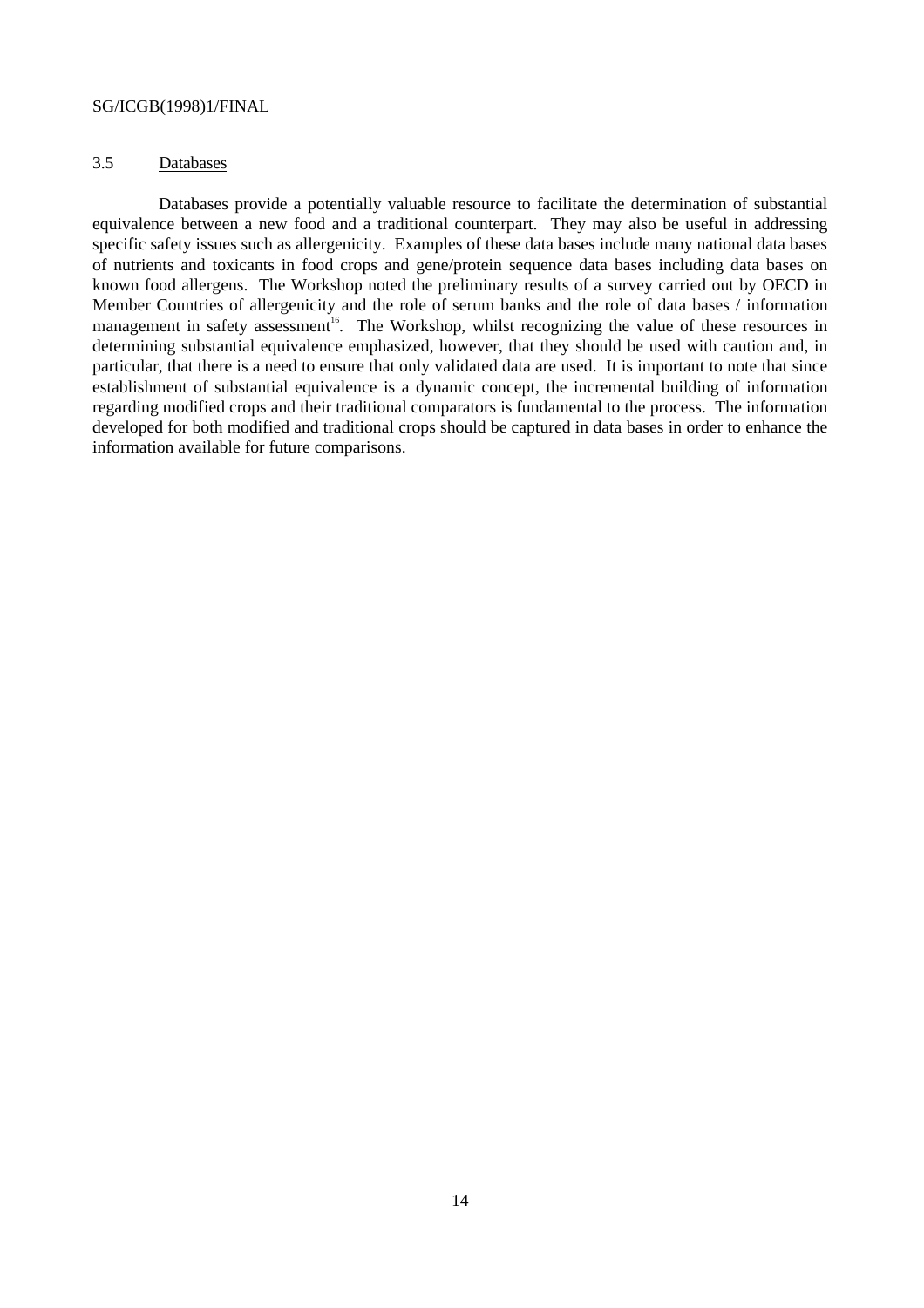#### 3.5 Databases

Databases provide a potentially valuable resource to facilitate the determination of substantial equivalence between a new food and a traditional counterpart. They may also be useful in addressing specific safety issues such as allergenicity. Examples of these data bases include many national data bases of nutrients and toxicants in food crops and gene/protein sequence data bases including data bases on known food allergens. The Workshop noted the preliminary results of a survey carried out by OECD in Member Countries of allergenicity and the role of serum banks and the role of data bases / information management in safety assessment<sup>16</sup>. The Workshop, whilst recognizing the value of these resources in determining substantial equivalence emphasized, however, that they should be used with caution and, in particular, that there is a need to ensure that only validated data are used. It is important to note that since establishment of substantial equivalence is a dynamic concept, the incremental building of information regarding modified crops and their traditional comparators is fundamental to the process. The information developed for both modified and traditional crops should be captured in data bases in order to enhance the information available for future comparisons.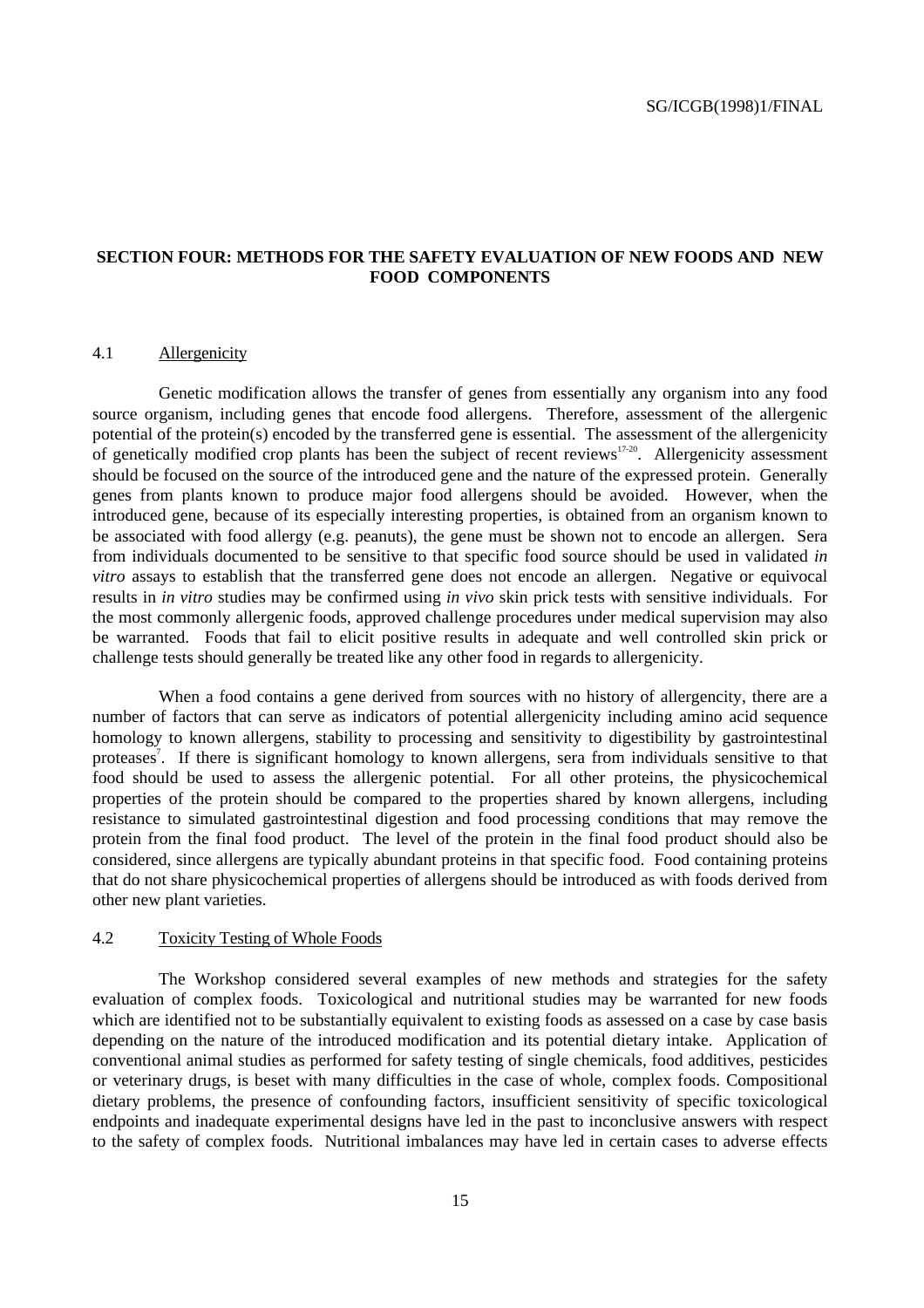#### **SECTION FOUR: METHODS FOR THE SAFETY EVALUATION OF NEW FOODS AND NEW FOOD COMPONENTS**

#### 4.1 Allergenicity

Genetic modification allows the transfer of genes from essentially any organism into any food source organism, including genes that encode food allergens. Therefore, assessment of the allergenic potential of the protein(s) encoded by the transferred gene is essential. The assessment of the allergenicity of genetically modified crop plants has been the subject of recent reviews<sup>17-20</sup>. Allergenicity assessment should be focused on the source of the introduced gene and the nature of the expressed protein. Generally genes from plants known to produce major food allergens should be avoided. However, when the introduced gene, because of its especially interesting properties, is obtained from an organism known to be associated with food allergy (e.g. peanuts), the gene must be shown not to encode an allergen. Sera from individuals documented to be sensitive to that specific food source should be used in validated *in vitro* assays to establish that the transferred gene does not encode an allergen. Negative or equivocal results in *in vitro* studies may be confirmed using *in vivo* skin prick tests with sensitive individuals. For the most commonly allergenic foods, approved challenge procedures under medical supervision may also be warranted. Foods that fail to elicit positive results in adequate and well controlled skin prick or challenge tests should generally be treated like any other food in regards to allergenicity.

When a food contains a gene derived from sources with no history of allergencity, there are a number of factors that can serve as indicators of potential allergenicity including amino acid sequence homology to known allergens, stability to processing and sensitivity to digestibility by gastrointestinal proteases<sup>7</sup>. If there is significant homology to known allergens, sera from individuals sensitive to that food should be used to assess the allergenic potential. For all other proteins, the physicochemical properties of the protein should be compared to the properties shared by known allergens, including resistance to simulated gastrointestinal digestion and food processing conditions that may remove the protein from the final food product. The level of the protein in the final food product should also be considered, since allergens are typically abundant proteins in that specific food. Food containing proteins that do not share physicochemical properties of allergens should be introduced as with foods derived from other new plant varieties.

#### 4.2 Toxicity Testing of Whole Foods

The Workshop considered several examples of new methods and strategies for the safety evaluation of complex foods. Toxicological and nutritional studies may be warranted for new foods which are identified not to be substantially equivalent to existing foods as assessed on a case by case basis depending on the nature of the introduced modification and its potential dietary intake. Application of conventional animal studies as performed for safety testing of single chemicals, food additives, pesticides or veterinary drugs, is beset with many difficulties in the case of whole, complex foods. Compositional dietary problems, the presence of confounding factors, insufficient sensitivity of specific toxicological endpoints and inadequate experimental designs have led in the past to inconclusive answers with respect to the safety of complex foods. Nutritional imbalances may have led in certain cases to adverse effects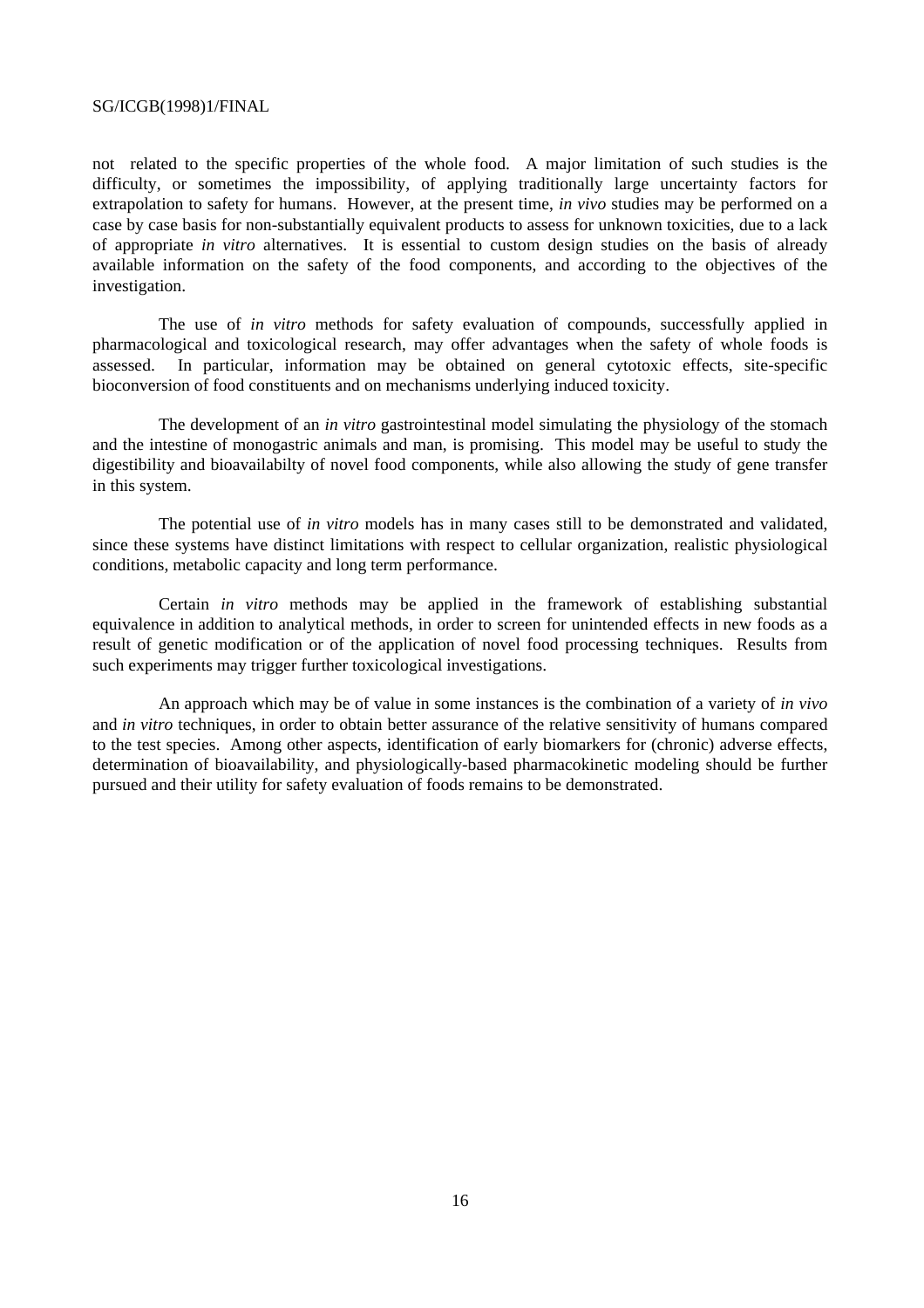not related to the specific properties of the whole food. A major limitation of such studies is the difficulty, or sometimes the impossibility, of applying traditionally large uncertainty factors for extrapolation to safety for humans. However, at the present time, *in vivo* studies may be performed on a case by case basis for non-substantially equivalent products to assess for unknown toxicities, due to a lack of appropriate *in vitro* alternatives. It is essential to custom design studies on the basis of already available information on the safety of the food components, and according to the objectives of the investigation.

The use of *in vitro* methods for safety evaluation of compounds, successfully applied in pharmacological and toxicological research, may offer advantages when the safety of whole foods is assessed. In particular, information may be obtained on general cytotoxic effects, site-specific bioconversion of food constituents and on mechanisms underlying induced toxicity.

The development of an *in vitro* gastrointestinal model simulating the physiology of the stomach and the intestine of monogastric animals and man, is promising. This model may be useful to study the digestibility and bioavailabilty of novel food components, while also allowing the study of gene transfer in this system.

The potential use of *in vitro* models has in many cases still to be demonstrated and validated, since these systems have distinct limitations with respect to cellular organization, realistic physiological conditions, metabolic capacity and long term performance.

Certain *in vitro* methods may be applied in the framework of establishing substantial equivalence in addition to analytical methods, in order to screen for unintended effects in new foods as a result of genetic modification or of the application of novel food processing techniques. Results from such experiments may trigger further toxicological investigations.

An approach which may be of value in some instances is the combination of a variety of *in vivo* and *in vitro* techniques, in order to obtain better assurance of the relative sensitivity of humans compared to the test species. Among other aspects, identification of early biomarkers for (chronic) adverse effects, determination of bioavailability, and physiologically-based pharmacokinetic modeling should be further pursued and their utility for safety evaluation of foods remains to be demonstrated.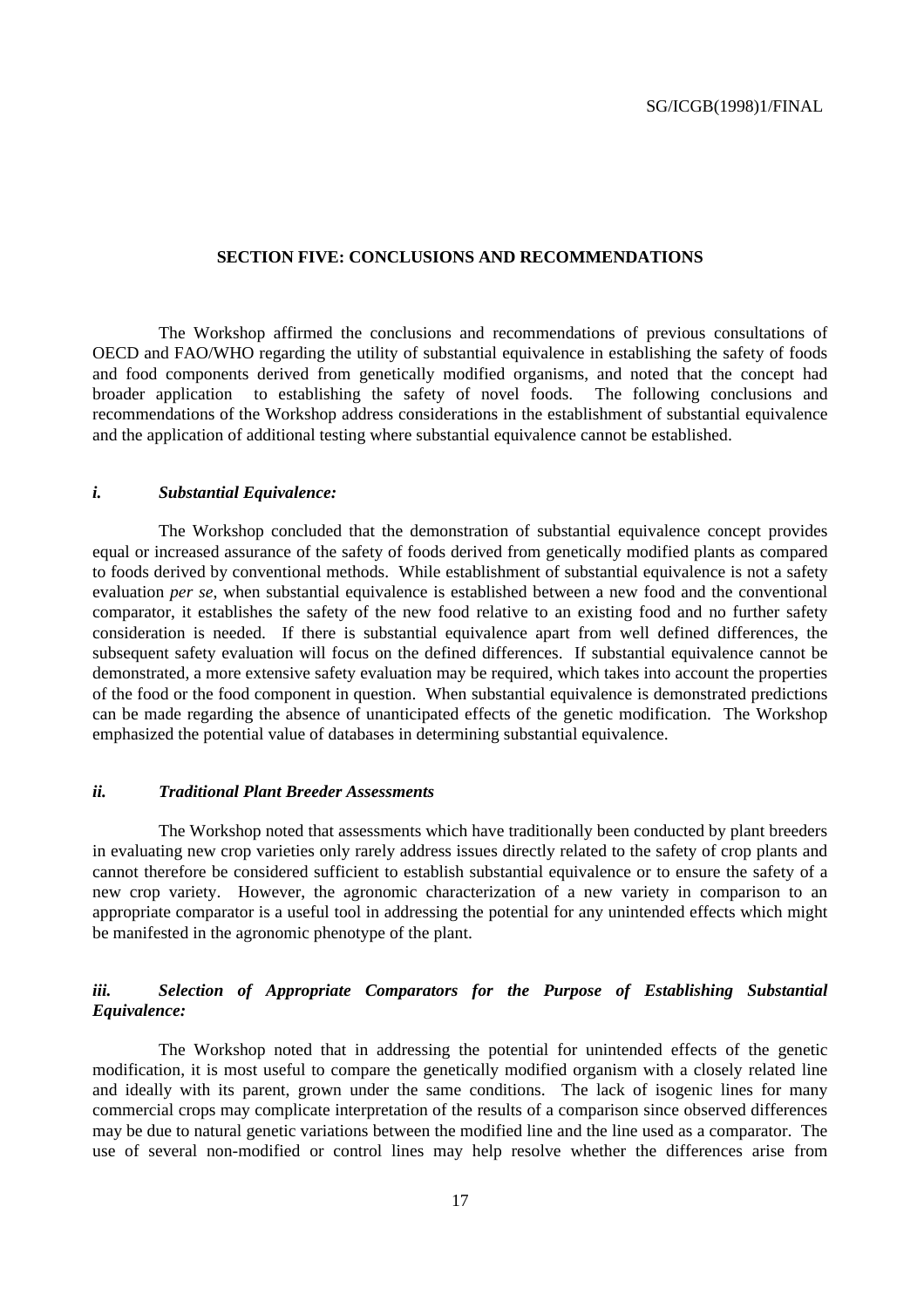#### **SECTION FIVE: CONCLUSIONS AND RECOMMENDATIONS**

The Workshop affirmed the conclusions and recommendations of previous consultations of OECD and FAO/WHO regarding the utility of substantial equivalence in establishing the safety of foods and food components derived from genetically modified organisms, and noted that the concept had broader application to establishing the safety of novel foods. The following conclusions and recommendations of the Workshop address considerations in the establishment of substantial equivalence and the application of additional testing where substantial equivalence cannot be established.

#### *i. Substantial Equivalence:*

The Workshop concluded that the demonstration of substantial equivalence concept provides equal or increased assurance of the safety of foods derived from genetically modified plants as compared to foods derived by conventional methods. While establishment of substantial equivalence is not a safety evaluation *per se*, when substantial equivalence is established between a new food and the conventional comparator, it establishes the safety of the new food relative to an existing food and no further safety consideration is needed. If there is substantial equivalence apart from well defined differences, the subsequent safety evaluation will focus on the defined differences. If substantial equivalence cannot be demonstrated, a more extensive safety evaluation may be required, which takes into account the properties of the food or the food component in question. When substantial equivalence is demonstrated predictions can be made regarding the absence of unanticipated effects of the genetic modification. The Workshop emphasized the potential value of databases in determining substantial equivalence.

#### *ii. Traditional Plant Breeder Assessments*

The Workshop noted that assessments which have traditionally been conducted by plant breeders in evaluating new crop varieties only rarely address issues directly related to the safety of crop plants and cannot therefore be considered sufficient to establish substantial equivalence or to ensure the safety of a new crop variety. However, the agronomic characterization of a new variety in comparison to an appropriate comparator is a useful tool in addressing the potential for any unintended effects which might be manifested in the agronomic phenotype of the plant.

#### *iii. Selection of Appropriate Comparators for the Purpose of Establishing Substantial Equivalence:*

The Workshop noted that in addressing the potential for unintended effects of the genetic modification, it is most useful to compare the genetically modified organism with a closely related line and ideally with its parent, grown under the same conditions. The lack of isogenic lines for many commercial crops may complicate interpretation of the results of a comparison since observed differences may be due to natural genetic variations between the modified line and the line used as a comparator. The use of several non-modified or control lines may help resolve whether the differences arise from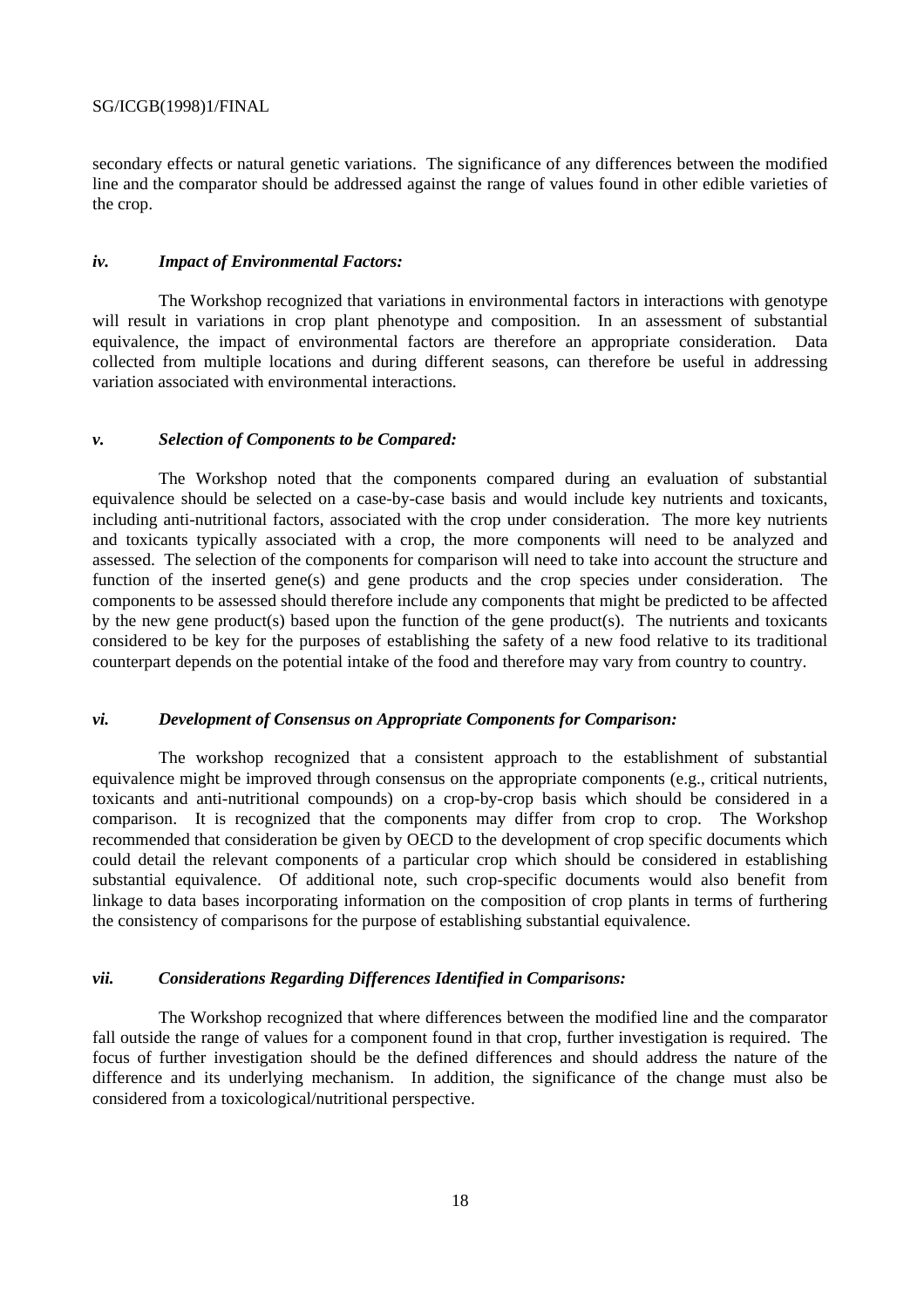secondary effects or natural genetic variations. The significance of any differences between the modified line and the comparator should be addressed against the range of values found in other edible varieties of the crop.

#### *iv. Impact of Environmental Factors:*

The Workshop recognized that variations in environmental factors in interactions with genotype will result in variations in crop plant phenotype and composition. In an assessment of substantial equivalence, the impact of environmental factors are therefore an appropriate consideration. Data collected from multiple locations and during different seasons, can therefore be useful in addressing variation associated with environmental interactions.

#### *v. Selection of Components to be Compared:*

The Workshop noted that the components compared during an evaluation of substantial equivalence should be selected on a case-by-case basis and would include key nutrients and toxicants, including anti-nutritional factors, associated with the crop under consideration. The more key nutrients and toxicants typically associated with a crop, the more components will need to be analyzed and assessed. The selection of the components for comparison will need to take into account the structure and function of the inserted gene(s) and gene products and the crop species under consideration. The components to be assessed should therefore include any components that might be predicted to be affected by the new gene product(s) based upon the function of the gene product(s). The nutrients and toxicants considered to be key for the purposes of establishing the safety of a new food relative to its traditional counterpart depends on the potential intake of the food and therefore may vary from country to country.

#### *vi. Development of Consensus on Appropriate Components for Comparison:*

The workshop recognized that a consistent approach to the establishment of substantial equivalence might be improved through consensus on the appropriate components (e.g., critical nutrients, toxicants and anti-nutritional compounds) on a crop-by-crop basis which should be considered in a comparison. It is recognized that the components may differ from crop to crop. The Workshop recommended that consideration be given by OECD to the development of crop specific documents which could detail the relevant components of a particular crop which should be considered in establishing substantial equivalence. Of additional note, such crop-specific documents would also benefit from linkage to data bases incorporating information on the composition of crop plants in terms of furthering the consistency of comparisons for the purpose of establishing substantial equivalence.

#### *vii. Considerations Regarding Differences Identified in Comparisons:*

The Workshop recognized that where differences between the modified line and the comparator fall outside the range of values for a component found in that crop, further investigation is required. The focus of further investigation should be the defined differences and should address the nature of the difference and its underlying mechanism. In addition, the significance of the change must also be considered from a toxicological/nutritional perspective.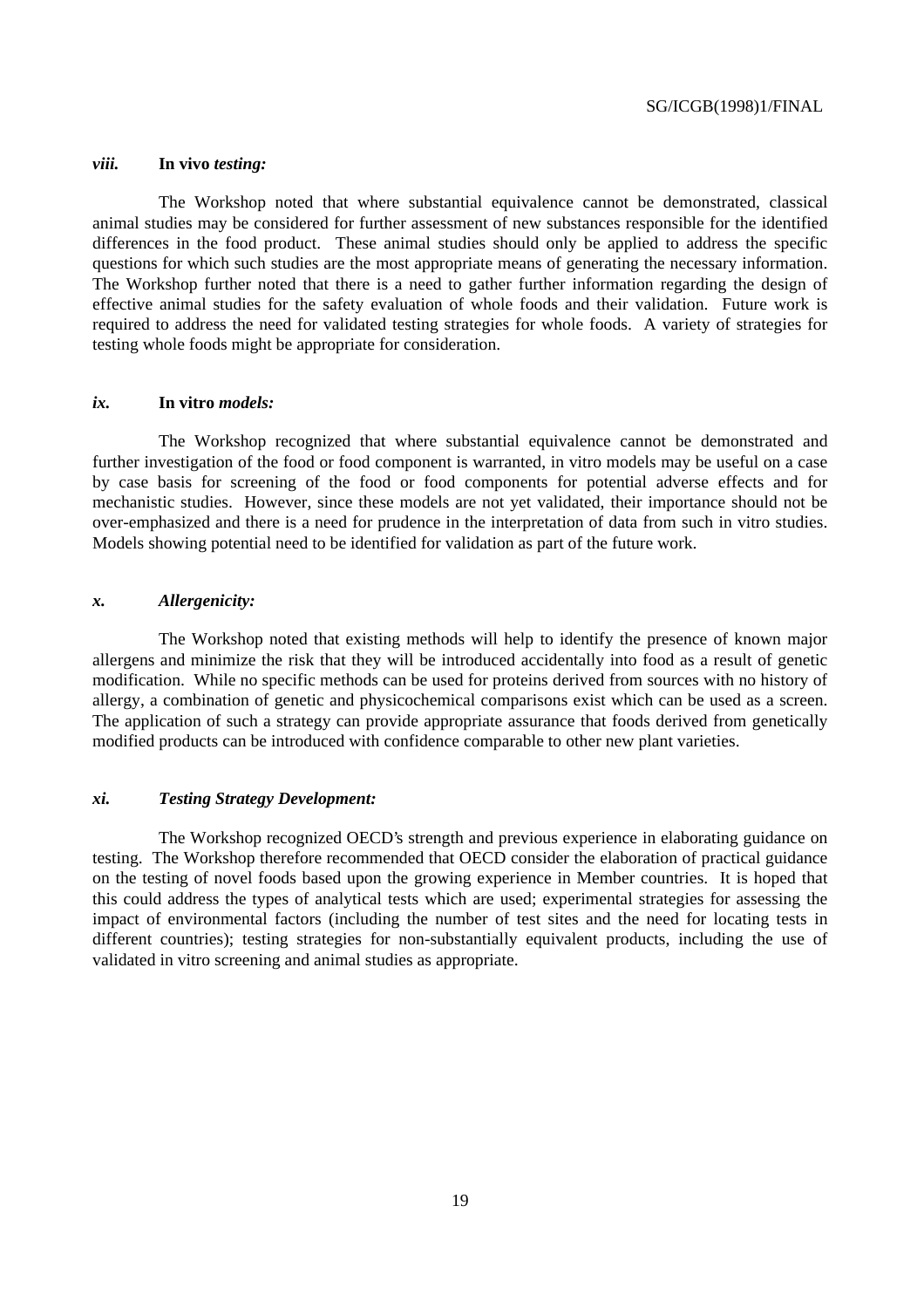#### *viii.* **In vivo** *testing:*

The Workshop noted that where substantial equivalence cannot be demonstrated, classical animal studies may be considered for further assessment of new substances responsible for the identified differences in the food product. These animal studies should only be applied to address the specific questions for which such studies are the most appropriate means of generating the necessary information. The Workshop further noted that there is a need to gather further information regarding the design of effective animal studies for the safety evaluation of whole foods and their validation. Future work is required to address the need for validated testing strategies for whole foods. A variety of strategies for testing whole foods might be appropriate for consideration.

#### *ix.* **In vitro** *models:*

The Workshop recognized that where substantial equivalence cannot be demonstrated and further investigation of the food or food component is warranted, in vitro models may be useful on a case by case basis for screening of the food or food components for potential adverse effects and for mechanistic studies. However, since these models are not yet validated, their importance should not be over-emphasized and there is a need for prudence in the interpretation of data from such in vitro studies. Models showing potential need to be identified for validation as part of the future work.

#### *x. Allergenicity:*

The Workshop noted that existing methods will help to identify the presence of known major allergens and minimize the risk that they will be introduced accidentally into food as a result of genetic modification. While no specific methods can be used for proteins derived from sources with no history of allergy, a combination of genetic and physicochemical comparisons exist which can be used as a screen. The application of such a strategy can provide appropriate assurance that foods derived from genetically modified products can be introduced with confidence comparable to other new plant varieties.

#### *xi. Testing Strategy Development:*

The Workshop recognized OECD's strength and previous experience in elaborating guidance on testing. The Workshop therefore recommended that OECD consider the elaboration of practical guidance on the testing of novel foods based upon the growing experience in Member countries. It is hoped that this could address the types of analytical tests which are used; experimental strategies for assessing the impact of environmental factors (including the number of test sites and the need for locating tests in different countries); testing strategies for non-substantially equivalent products, including the use of validated in vitro screening and animal studies as appropriate.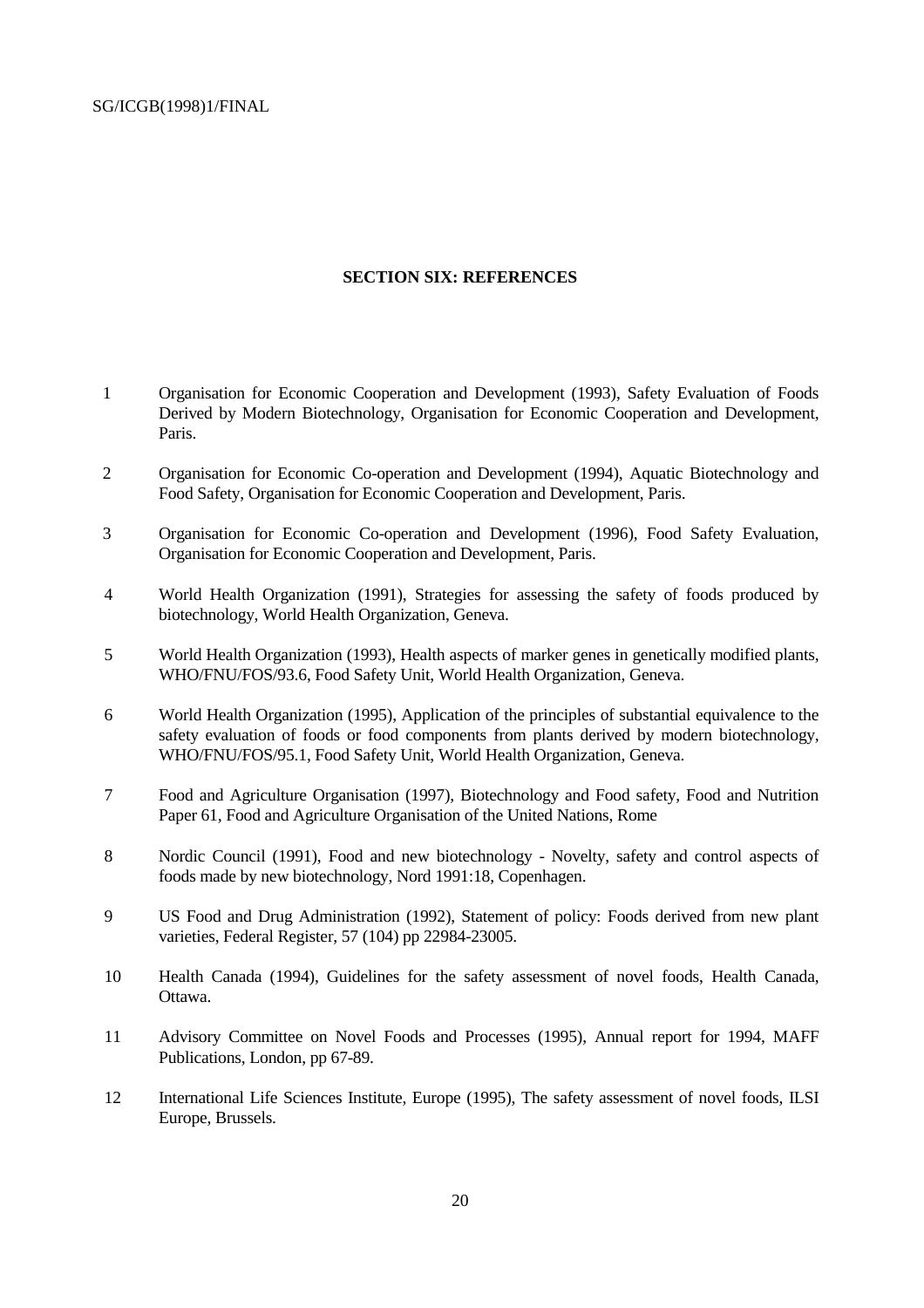#### **SECTION SIX: REFERENCES**

- 1 Organisation for Economic Cooperation and Development (1993), Safety Evaluation of Foods Derived by Modern Biotechnology, Organisation for Economic Cooperation and Development, Paris.
- 2 Organisation for Economic Co-operation and Development (1994), Aquatic Biotechnology and Food Safety, Organisation for Economic Cooperation and Development, Paris.
- 3 Organisation for Economic Co-operation and Development (1996), Food Safety Evaluation, Organisation for Economic Cooperation and Development, Paris.
- 4 World Health Organization (1991), Strategies for assessing the safety of foods produced by biotechnology, World Health Organization, Geneva.
- 5 World Health Organization (1993), Health aspects of marker genes in genetically modified plants, WHO/FNU/FOS/93.6, Food Safety Unit, World Health Organization, Geneva.
- 6 World Health Organization (1995), Application of the principles of substantial equivalence to the safety evaluation of foods or food components from plants derived by modern biotechnology, WHO/FNU/FOS/95.1, Food Safety Unit, World Health Organization, Geneva.
- 7 Food and Agriculture Organisation (1997), Biotechnology and Food safety, Food and Nutrition Paper 61, Food and Agriculture Organisation of the United Nations, Rome
- 8 Nordic Council (1991), Food and new biotechnology Novelty, safety and control aspects of foods made by new biotechnology, Nord 1991:18, Copenhagen.
- 9 US Food and Drug Administration (1992), Statement of policy: Foods derived from new plant varieties, Federal Register, 57 (104) pp 22984-23005.
- 10 Health Canada (1994), Guidelines for the safety assessment of novel foods, Health Canada, Ottawa.
- 11 Advisory Committee on Novel Foods and Processes (1995), Annual report for 1994, MAFF Publications, London, pp 67-89.
- 12 International Life Sciences Institute, Europe (1995), The safety assessment of novel foods, ILSI Europe, Brussels.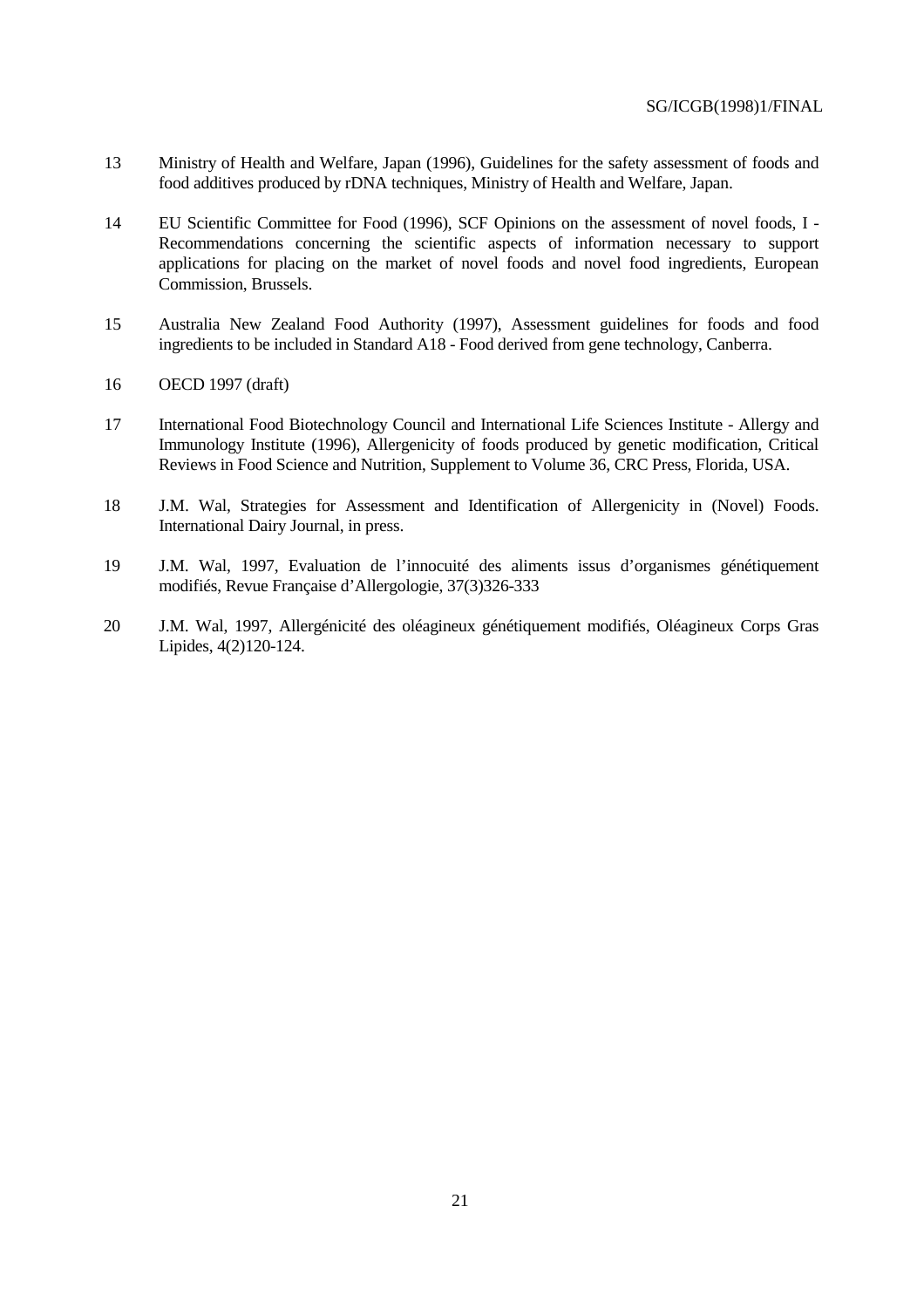- 13 Ministry of Health and Welfare, Japan (1996), Guidelines for the safety assessment of foods and food additives produced by rDNA techniques, Ministry of Health and Welfare, Japan.
- 14 EU Scientific Committee for Food (1996), SCF Opinions on the assessment of novel foods, I Recommendations concerning the scientific aspects of information necessary to support applications for placing on the market of novel foods and novel food ingredients, European Commission, Brussels.
- 15 Australia New Zealand Food Authority (1997), Assessment guidelines for foods and food ingredients to be included in Standard A18 - Food derived from gene technology, Canberra.
- 16 OECD 1997 (draft)
- 17 International Food Biotechnology Council and International Life Sciences Institute Allergy and Immunology Institute (1996), Allergenicity of foods produced by genetic modification, Critical Reviews in Food Science and Nutrition, Supplement to Volume 36, CRC Press, Florida, USA.
- 18 J.M. Wal, Strategies for Assessment and Identification of Allergenicity in (Novel) Foods. International Dairy Journal, in press.
- 19 J.M. Wal, 1997, Evaluation de l'innocuité des aliments issus d'organismes génétiquement modifiés, Revue Française d'Allergologie, 37(3)326-333
- 20 J.M. Wal, 1997, Allergénicité des oléagineux génétiquement modifiés, Oléagineux Corps Gras Lipides, 4(2)120-124.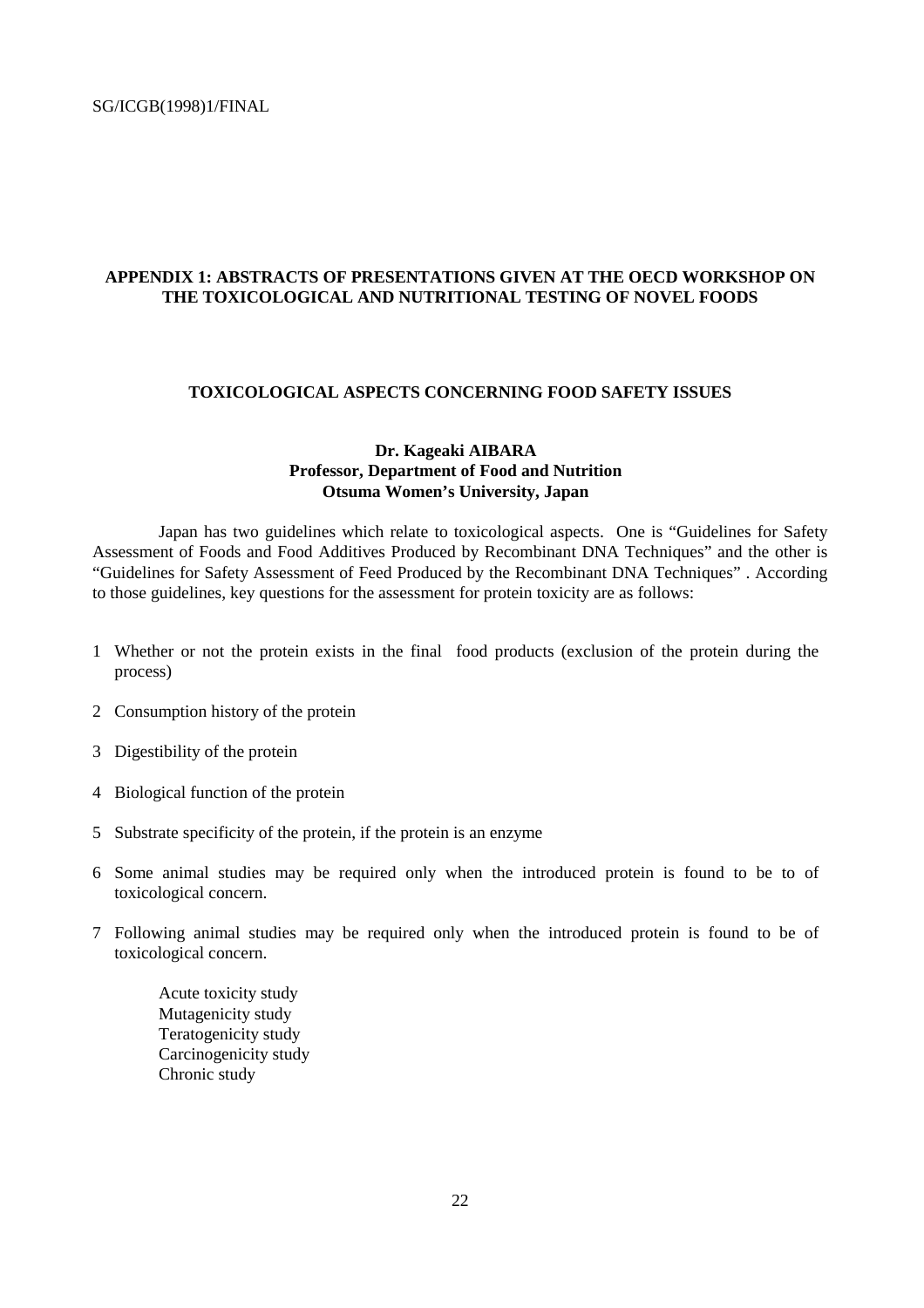#### **APPENDIX 1: ABSTRACTS OF PRESENTATIONS GIVEN AT THE OECD WORKSHOP ON THE TOXICOLOGICAL AND NUTRITIONAL TESTING OF NOVEL FOODS**

#### **TOXICOLOGICAL ASPECTS CONCERNING FOOD SAFETY ISSUES**

#### **Dr. Kageaki AIBARA Professor, Department of Food and Nutrition Otsuma Women's University, Japan**

Japan has two guidelines which relate to toxicological aspects. One is "Guidelines for Safety Assessment of Foods and Food Additives Produced by Recombinant DNA Techniques" and the other is "Guidelines for Safety Assessment of Feed Produced by the Recombinant DNA Techniques" . According to those guidelines, key questions for the assessment for protein toxicity are as follows:

- 1 Whether or not the protein exists in the final food products (exclusion of the protein during the process)
- 2 Consumption history of the protein
- 3 Digestibility of the protein
- 4 Biological function of the protein
- 5 Substrate specificity of the protein, if the protein is an enzyme
- 6 Some animal studies may be required only when the introduced protein is found to be to of toxicological concern.
- 7 Following animal studies may be required only when the introduced protein is found to be of toxicological concern.

Acute toxicity study Mutagenicity study Teratogenicity study Carcinogenicity study Chronic study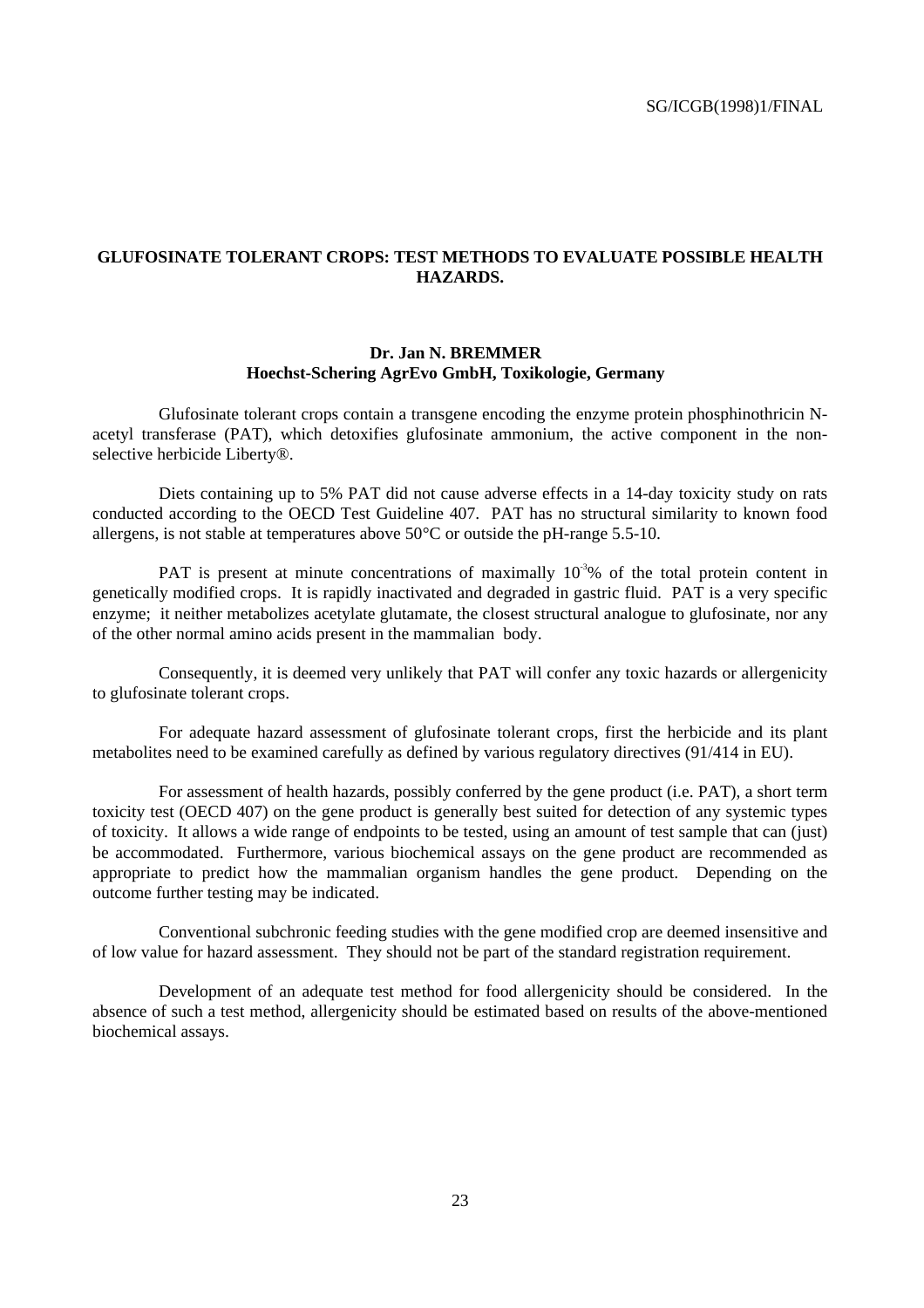#### **GLUFOSINATE TOLERANT CROPS: TEST METHODS TO EVALUATE POSSIBLE HEALTH HAZARDS.**

#### **Dr. Jan N. BREMMER Hoechst-Schering AgrEvo GmbH, Toxikologie, Germany**

Glufosinate tolerant crops contain a transgene encoding the enzyme protein phosphinothricin Nacetyl transferase (PAT), which detoxifies glufosinate ammonium, the active component in the nonselective herbicide Liberty®.

Diets containing up to 5% PAT did not cause adverse effects in a 14-day toxicity study on rats conducted according to the OECD Test Guideline 407. PAT has no structural similarity to known food allergens, is not stable at temperatures above 50°C or outside the pH-range 5.5-10.

PAT is present at minute concentrations of maximally  $10<sup>3</sup>%$  of the total protein content in genetically modified crops. It is rapidly inactivated and degraded in gastric fluid. PAT is a very specific enzyme; it neither metabolizes acetylate glutamate, the closest structural analogue to glufosinate, nor any of the other normal amino acids present in the mammalian body.

Consequently, it is deemed very unlikely that PAT will confer any toxic hazards or allergenicity to glufosinate tolerant crops.

For adequate hazard assessment of glufosinate tolerant crops, first the herbicide and its plant metabolites need to be examined carefully as defined by various regulatory directives (91/414 in EU).

For assessment of health hazards, possibly conferred by the gene product (i.e. PAT), a short term toxicity test (OECD 407) on the gene product is generally best suited for detection of any systemic types of toxicity. It allows a wide range of endpoints to be tested, using an amount of test sample that can (just) be accommodated. Furthermore, various biochemical assays on the gene product are recommended as appropriate to predict how the mammalian organism handles the gene product. Depending on the outcome further testing may be indicated.

Conventional subchronic feeding studies with the gene modified crop are deemed insensitive and of low value for hazard assessment. They should not be part of the standard registration requirement.

Development of an adequate test method for food allergenicity should be considered. In the absence of such a test method, allergenicity should be estimated based on results of the above-mentioned biochemical assays.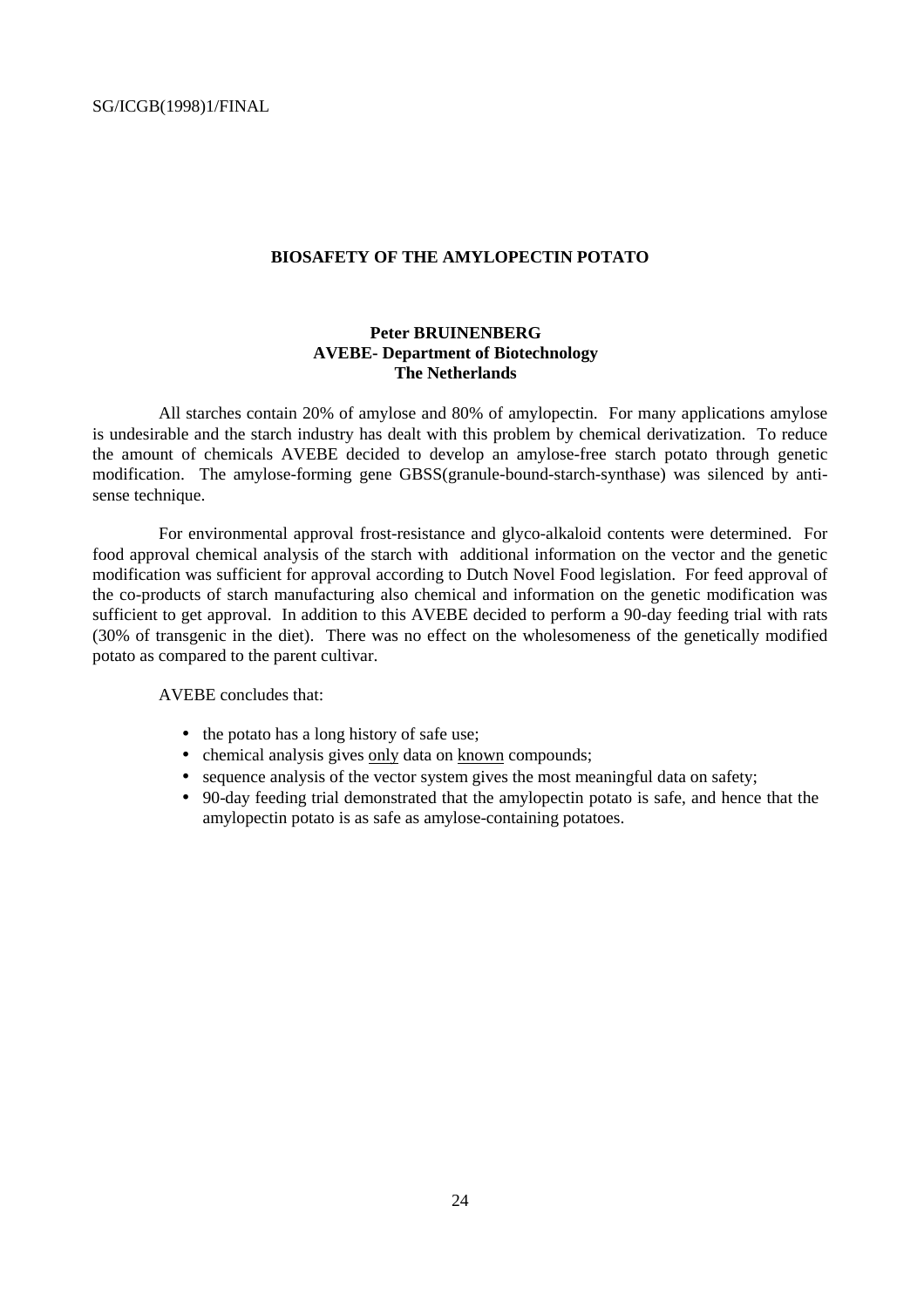#### **BIOSAFETY OF THE AMYLOPECTIN POTATO**

#### **Peter BRUINENBERG AVEBE- Department of Biotechnology The Netherlands**

All starches contain 20% of amylose and 80% of amylopectin. For many applications amylose is undesirable and the starch industry has dealt with this problem by chemical derivatization. To reduce the amount of chemicals AVEBE decided to develop an amylose-free starch potato through genetic modification. The amylose-forming gene GBSS(granule-bound-starch-synthase) was silenced by antisense technique.

For environmental approval frost-resistance and glyco-alkaloid contents were determined. For food approval chemical analysis of the starch with additional information on the vector and the genetic modification was sufficient for approval according to Dutch Novel Food legislation. For feed approval of the co-products of starch manufacturing also chemical and information on the genetic modification was sufficient to get approval. In addition to this AVEBE decided to perform a 90-day feeding trial with rats (30% of transgenic in the diet). There was no effect on the wholesomeness of the genetically modified potato as compared to the parent cultivar.

AVEBE concludes that:

- the potato has a long history of safe use;
- chemical analysis gives only data on known compounds;
- sequence analysis of the vector system gives the most meaningful data on safety;
- 90-day feeding trial demonstrated that the amylopectin potato is safe, and hence that the amylopectin potato is as safe as amylose-containing potatoes.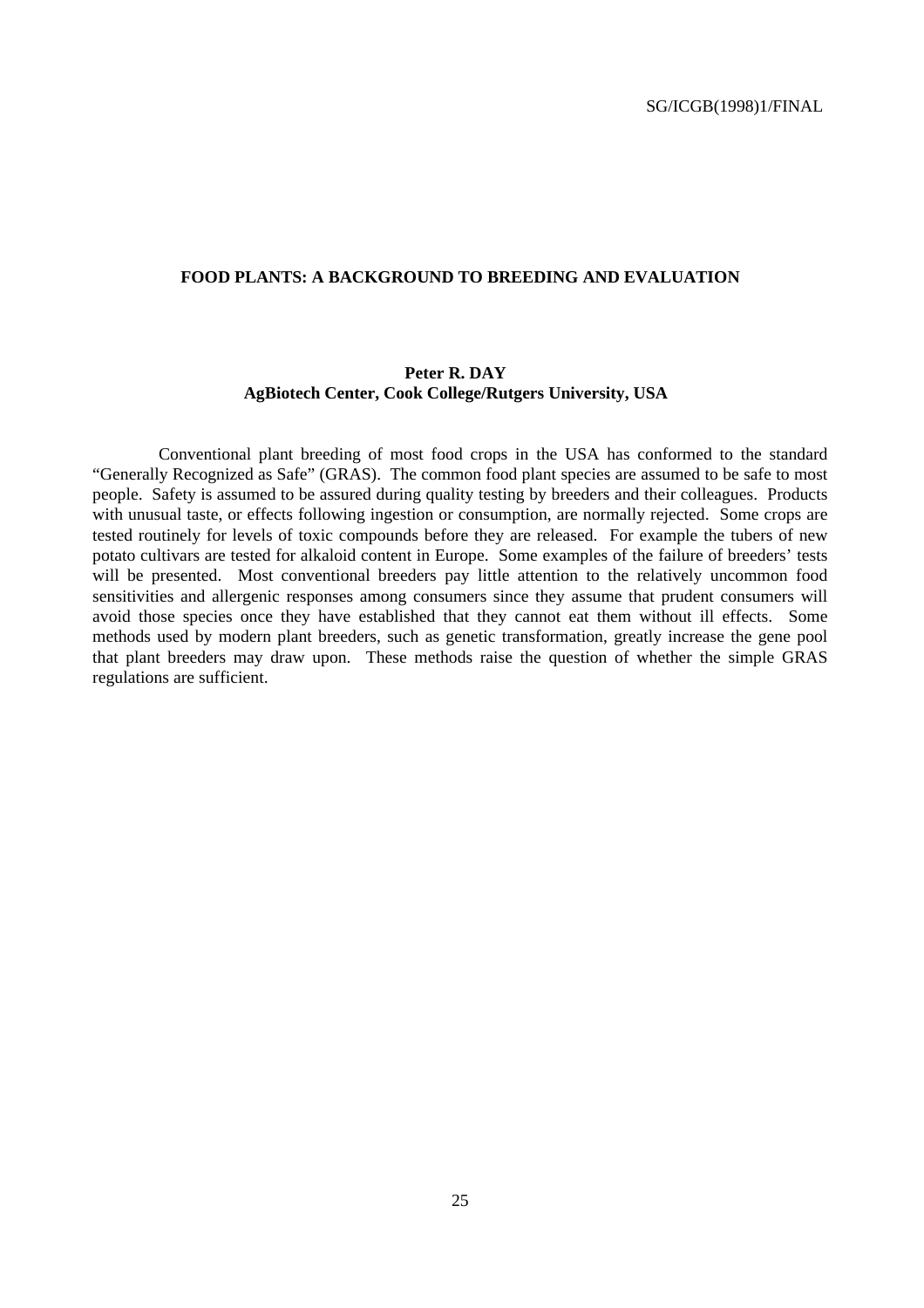#### **FOOD PLANTS: A BACKGROUND TO BREEDING AND EVALUATION**

#### **Peter R. DAY AgBiotech Center, Cook College/Rutgers University, USA**

Conventional plant breeding of most food crops in the USA has conformed to the standard "Generally Recognized as Safe" (GRAS). The common food plant species are assumed to be safe to most people. Safety is assumed to be assured during quality testing by breeders and their colleagues. Products with unusual taste, or effects following ingestion or consumption, are normally rejected. Some crops are tested routinely for levels of toxic compounds before they are released. For example the tubers of new potato cultivars are tested for alkaloid content in Europe. Some examples of the failure of breeders' tests will be presented. Most conventional breeders pay little attention to the relatively uncommon food sensitivities and allergenic responses among consumers since they assume that prudent consumers will avoid those species once they have established that they cannot eat them without ill effects. Some methods used by modern plant breeders, such as genetic transformation, greatly increase the gene pool that plant breeders may draw upon. These methods raise the question of whether the simple GRAS regulations are sufficient.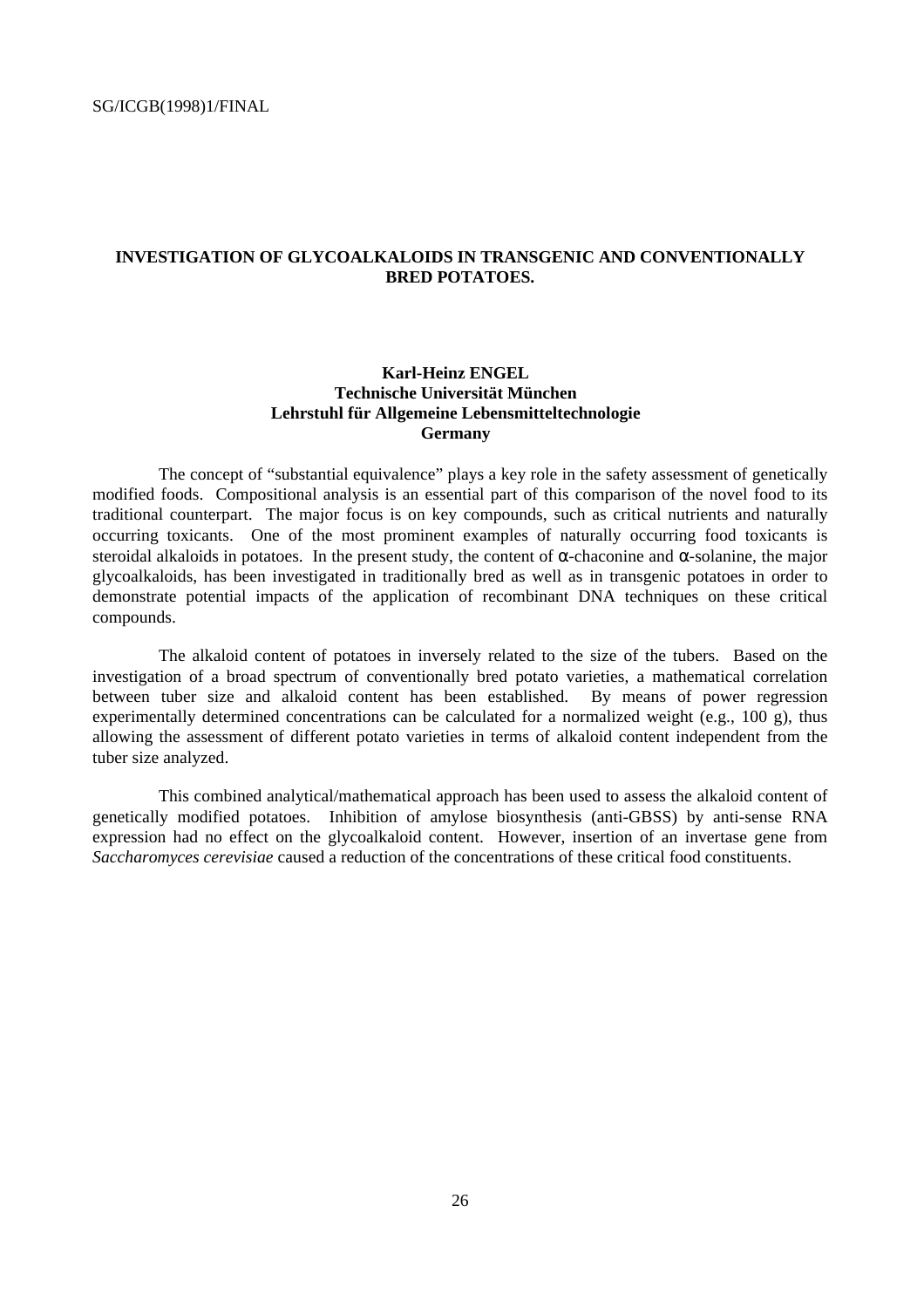#### **INVESTIGATION OF GLYCOALKALOIDS IN TRANSGENIC AND CONVENTIONALLY BRED POTATOES.**

#### **Karl-Heinz ENGEL Technische Universität München Lehrstuhl für Allgemeine Lebensmitteltechnologie Germany**

The concept of "substantial equivalence" plays a key role in the safety assessment of genetically modified foods. Compositional analysis is an essential part of this comparison of the novel food to its traditional counterpart. The major focus is on key compounds, such as critical nutrients and naturally occurring toxicants. One of the most prominent examples of naturally occurring food toxicants is steroidal alkaloids in potatoes. In the present study, the content of  $\alpha$ -chaconine and  $\alpha$ -solanine, the major glycoalkaloids, has been investigated in traditionally bred as well as in transgenic potatoes in order to demonstrate potential impacts of the application of recombinant DNA techniques on these critical compounds.

The alkaloid content of potatoes in inversely related to the size of the tubers. Based on the investigation of a broad spectrum of conventionally bred potato varieties, a mathematical correlation between tuber size and alkaloid content has been established. By means of power regression experimentally determined concentrations can be calculated for a normalized weight (e.g., 100 g), thus allowing the assessment of different potato varieties in terms of alkaloid content independent from the tuber size analyzed.

This combined analytical/mathematical approach has been used to assess the alkaloid content of genetically modified potatoes. Inhibition of amylose biosynthesis (anti-GBSS) by anti-sense RNA expression had no effect on the glycoalkaloid content. However, insertion of an invertase gene from *Saccharomyces cerevisiae* caused a reduction of the concentrations of these critical food constituents.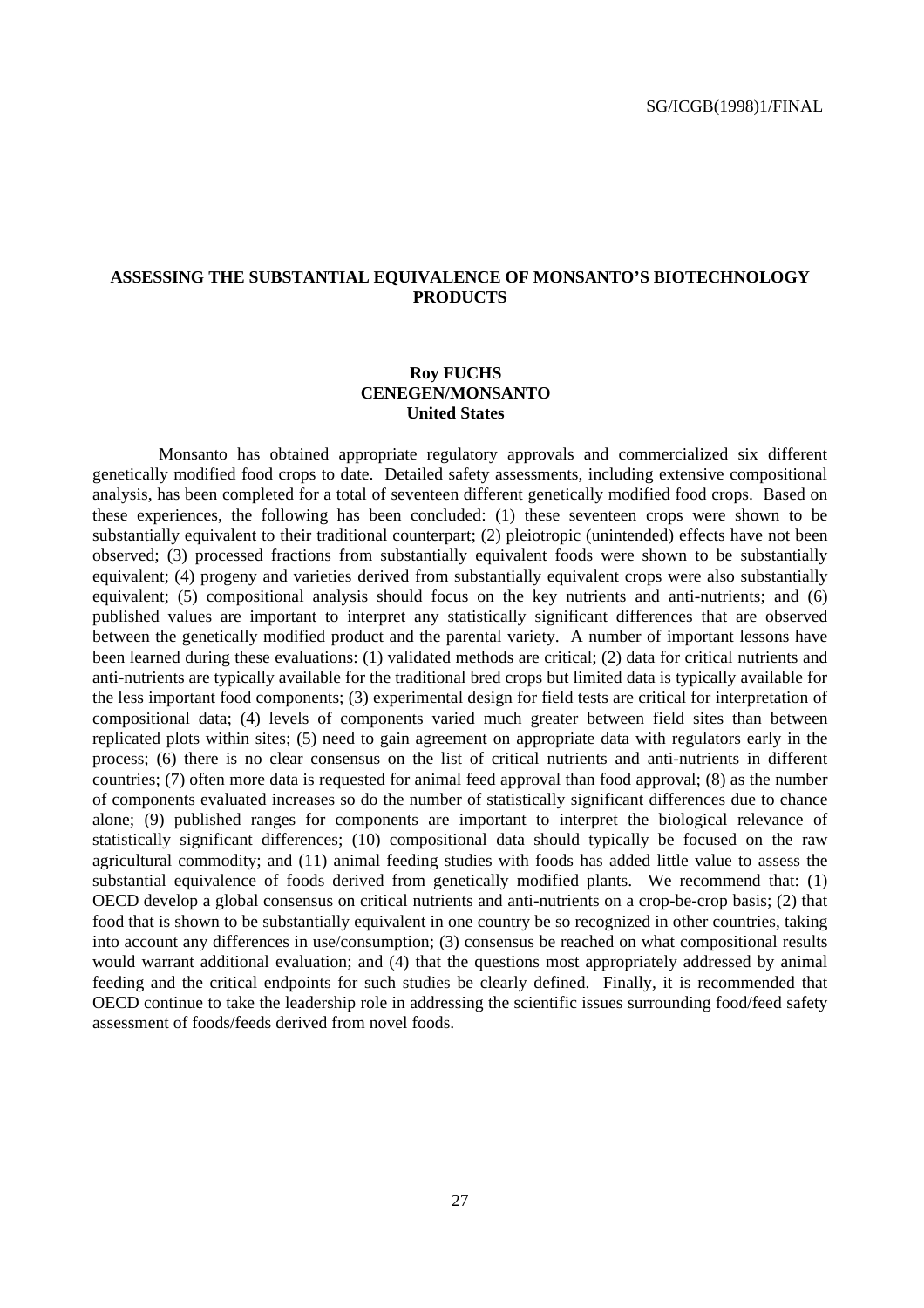#### **ASSESSING THE SUBSTANTIAL EQUIVALENCE OF MONSANTO'S BIOTECHNOLOGY PRODUCTS**

#### **Roy FUCHS CENEGEN/MONSANTO United States**

Monsanto has obtained appropriate regulatory approvals and commercialized six different genetically modified food crops to date. Detailed safety assessments, including extensive compositional analysis, has been completed for a total of seventeen different genetically modified food crops. Based on these experiences, the following has been concluded: (1) these seventeen crops were shown to be substantially equivalent to their traditional counterpart; (2) pleiotropic (unintended) effects have not been observed; (3) processed fractions from substantially equivalent foods were shown to be substantially equivalent; (4) progeny and varieties derived from substantially equivalent crops were also substantially equivalent; (5) compositional analysis should focus on the key nutrients and anti-nutrients; and (6) published values are important to interpret any statistically significant differences that are observed between the genetically modified product and the parental variety. A number of important lessons have been learned during these evaluations: (1) validated methods are critical; (2) data for critical nutrients and anti-nutrients are typically available for the traditional bred crops but limited data is typically available for the less important food components; (3) experimental design for field tests are critical for interpretation of compositional data; (4) levels of components varied much greater between field sites than between replicated plots within sites; (5) need to gain agreement on appropriate data with regulators early in the process; (6) there is no clear consensus on the list of critical nutrients and anti-nutrients in different countries; (7) often more data is requested for animal feed approval than food approval; (8) as the number of components evaluated increases so do the number of statistically significant differences due to chance alone; (9) published ranges for components are important to interpret the biological relevance of statistically significant differences; (10) compositional data should typically be focused on the raw agricultural commodity; and (11) animal feeding studies with foods has added little value to assess the substantial equivalence of foods derived from genetically modified plants. We recommend that: (1) OECD develop a global consensus on critical nutrients and anti-nutrients on a crop-be-crop basis; (2) that food that is shown to be substantially equivalent in one country be so recognized in other countries, taking into account any differences in use/consumption; (3) consensus be reached on what compositional results would warrant additional evaluation; and (4) that the questions most appropriately addressed by animal feeding and the critical endpoints for such studies be clearly defined. Finally, it is recommended that OECD continue to take the leadership role in addressing the scientific issues surrounding food/feed safety assessment of foods/feeds derived from novel foods.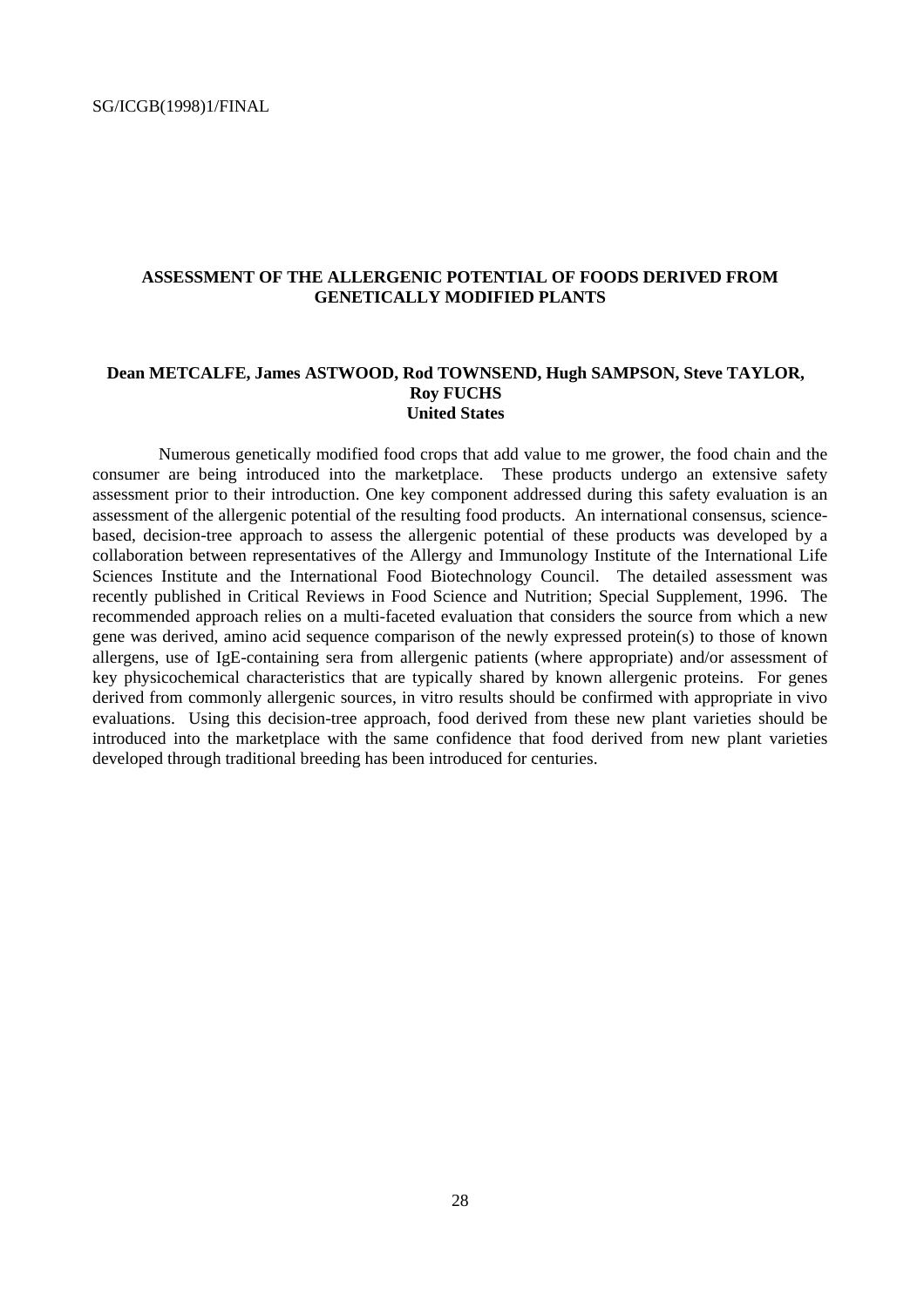#### **ASSESSMENT OF THE ALLERGENIC POTENTIAL OF FOODS DERIVED FROM GENETICALLY MODIFIED PLANTS**

#### **Dean METCALFE, James ASTWOOD, Rod TOWNSEND, Hugh SAMPSON, Steve TAYLOR, Roy FUCHS United States**

Numerous genetically modified food crops that add value to me grower, the food chain and the consumer are being introduced into the marketplace. These products undergo an extensive safety assessment prior to their introduction. One key component addressed during this safety evaluation is an assessment of the allergenic potential of the resulting food products. An international consensus, sciencebased, decision-tree approach to assess the allergenic potential of these products was developed by a collaboration between representatives of the Allergy and Immunology Institute of the International Life Sciences Institute and the International Food Biotechnology Council. The detailed assessment was recently published in Critical Reviews in Food Science and Nutrition; Special Supplement, 1996. The recommended approach relies on a multi-faceted evaluation that considers the source from which a new gene was derived, amino acid sequence comparison of the newly expressed protein(s) to those of known allergens, use of IgE-containing sera from allergenic patients (where appropriate) and/or assessment of key physicochemical characteristics that are typically shared by known allergenic proteins. For genes derived from commonly allergenic sources, in vitro results should be confirmed with appropriate in vivo evaluations. Using this decision-tree approach, food derived from these new plant varieties should be introduced into the marketplace with the same confidence that food derived from new plant varieties developed through traditional breeding has been introduced for centuries.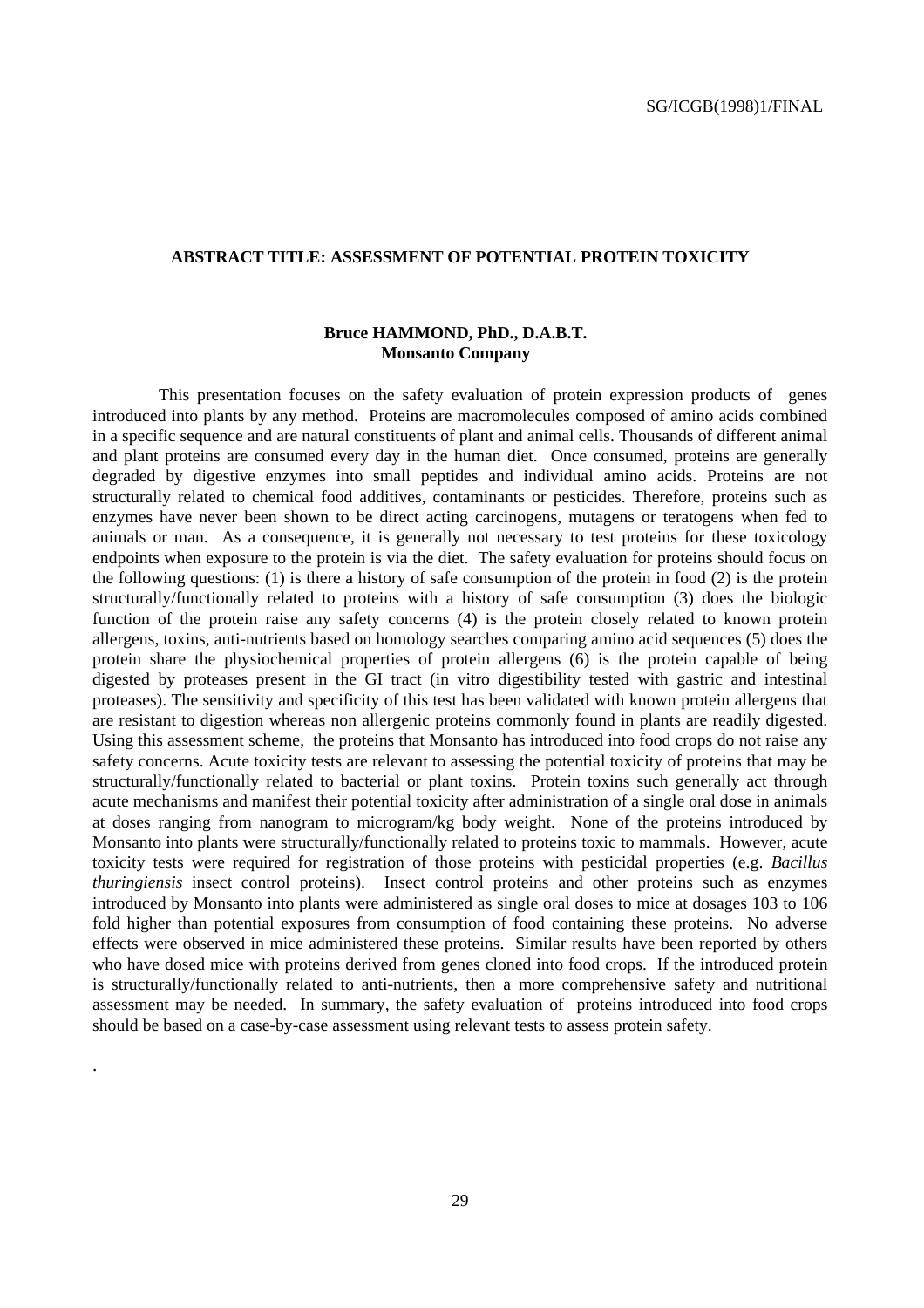#### **ABSTRACT TITLE: ASSESSMENT OF POTENTIAL PROTEIN TOXICITY**

#### **Bruce HAMMOND, PhD., D.A.B.T. Monsanto Company**

This presentation focuses on the safety evaluation of protein expression products of genes introduced into plants by any method. Proteins are macromolecules composed of amino acids combined in a specific sequence and are natural constituents of plant and animal cells. Thousands of different animal and plant proteins are consumed every day in the human diet. Once consumed, proteins are generally degraded by digestive enzymes into small peptides and individual amino acids. Proteins are not structurally related to chemical food additives, contaminants or pesticides. Therefore, proteins such as enzymes have never been shown to be direct acting carcinogens, mutagens or teratogens when fed to animals or man. As a consequence, it is generally not necessary to test proteins for these toxicology endpoints when exposure to the protein is via the diet. The safety evaluation for proteins should focus on the following questions: (1) is there a history of safe consumption of the protein in food (2) is the protein structurally/functionally related to proteins with a history of safe consumption (3) does the biologic function of the protein raise any safety concerns (4) is the protein closely related to known protein allergens, toxins, anti-nutrients based on homology searches comparing amino acid sequences (5) does the protein share the physiochemical properties of protein allergens (6) is the protein capable of being digested by proteases present in the GI tract (in vitro digestibility tested with gastric and intestinal proteases). The sensitivity and specificity of this test has been validated with known protein allergens that are resistant to digestion whereas non allergenic proteins commonly found in plants are readily digested. Using this assessment scheme, the proteins that Monsanto has introduced into food crops do not raise any safety concerns. Acute toxicity tests are relevant to assessing the potential toxicity of proteins that may be structurally/functionally related to bacterial or plant toxins. Protein toxins such generally act through acute mechanisms and manifest their potential toxicity after administration of a single oral dose in animals at doses ranging from nanogram to microgram/kg body weight. None of the proteins introduced by Monsanto into plants were structurally/functionally related to proteins toxic to mammals. However, acute toxicity tests were required for registration of those proteins with pesticidal properties (e.g. *Bacillus thuringiensis* insect control proteins). Insect control proteins and other proteins such as enzymes introduced by Monsanto into plants were administered as single oral doses to mice at dosages 103 to 106 fold higher than potential exposures from consumption of food containing these proteins. No adverse effects were observed in mice administered these proteins. Similar results have been reported by others who have dosed mice with proteins derived from genes cloned into food crops. If the introduced protein is structurally/functionally related to anti-nutrients, then a more comprehensive safety and nutritional assessment may be needed. In summary, the safety evaluation of proteins introduced into food crops should be based on a case-by-case assessment using relevant tests to assess protein safety.

.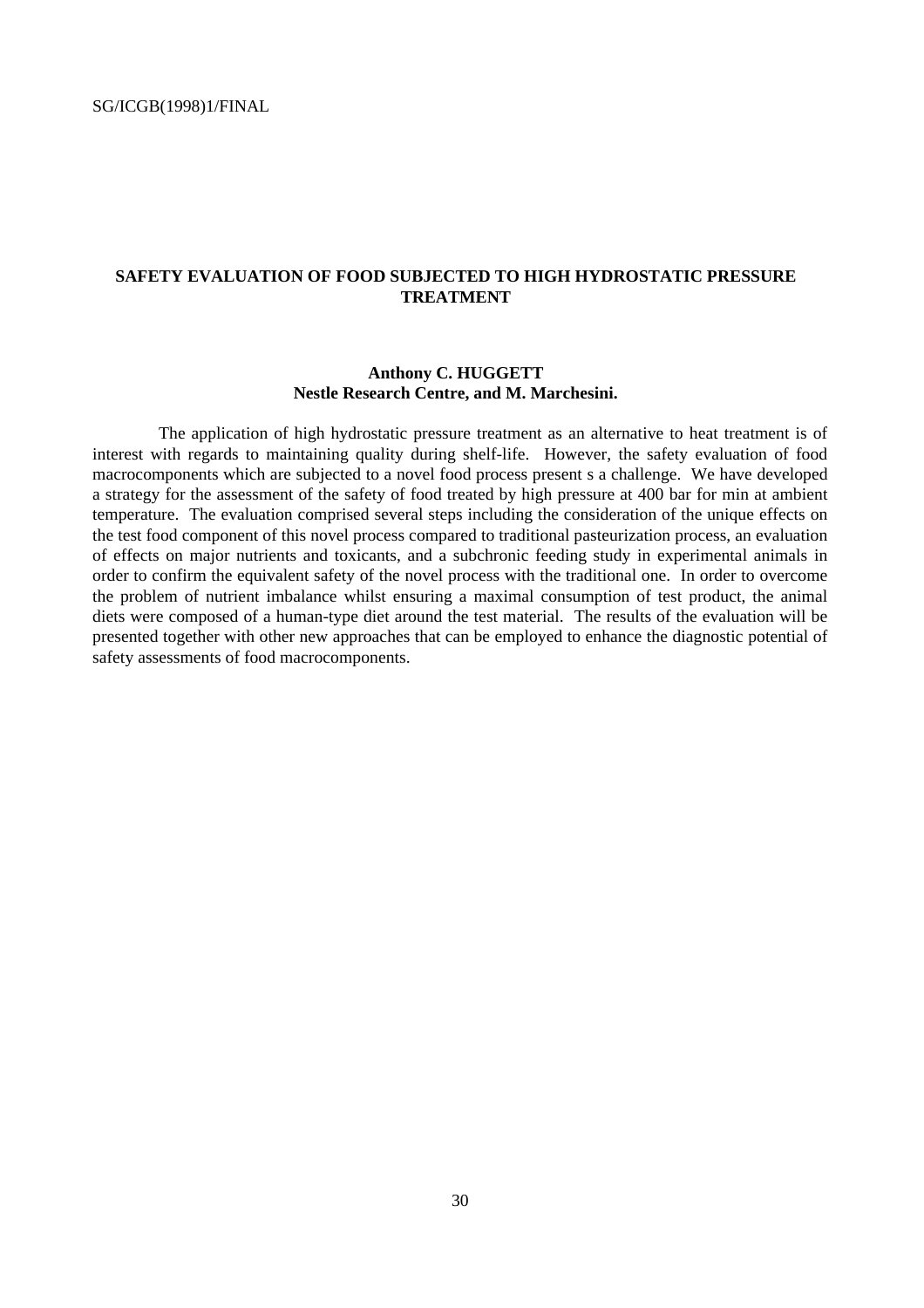#### **SAFETY EVALUATION OF FOOD SUBJECTED TO HIGH HYDROSTATIC PRESSURE TREATMENT**

#### **Anthony C. HUGGETT Nestle Research Centre, and M. Marchesini.**

The application of high hydrostatic pressure treatment as an alternative to heat treatment is of interest with regards to maintaining quality during shelf-life. However, the safety evaluation of food macrocomponents which are subjected to a novel food process present s a challenge. We have developed a strategy for the assessment of the safety of food treated by high pressure at 400 bar for min at ambient temperature. The evaluation comprised several steps including the consideration of the unique effects on the test food component of this novel process compared to traditional pasteurization process, an evaluation of effects on major nutrients and toxicants, and a subchronic feeding study in experimental animals in order to confirm the equivalent safety of the novel process with the traditional one. In order to overcome the problem of nutrient imbalance whilst ensuring a maximal consumption of test product, the animal diets were composed of a human-type diet around the test material. The results of the evaluation will be presented together with other new approaches that can be employed to enhance the diagnostic potential of safety assessments of food macrocomponents.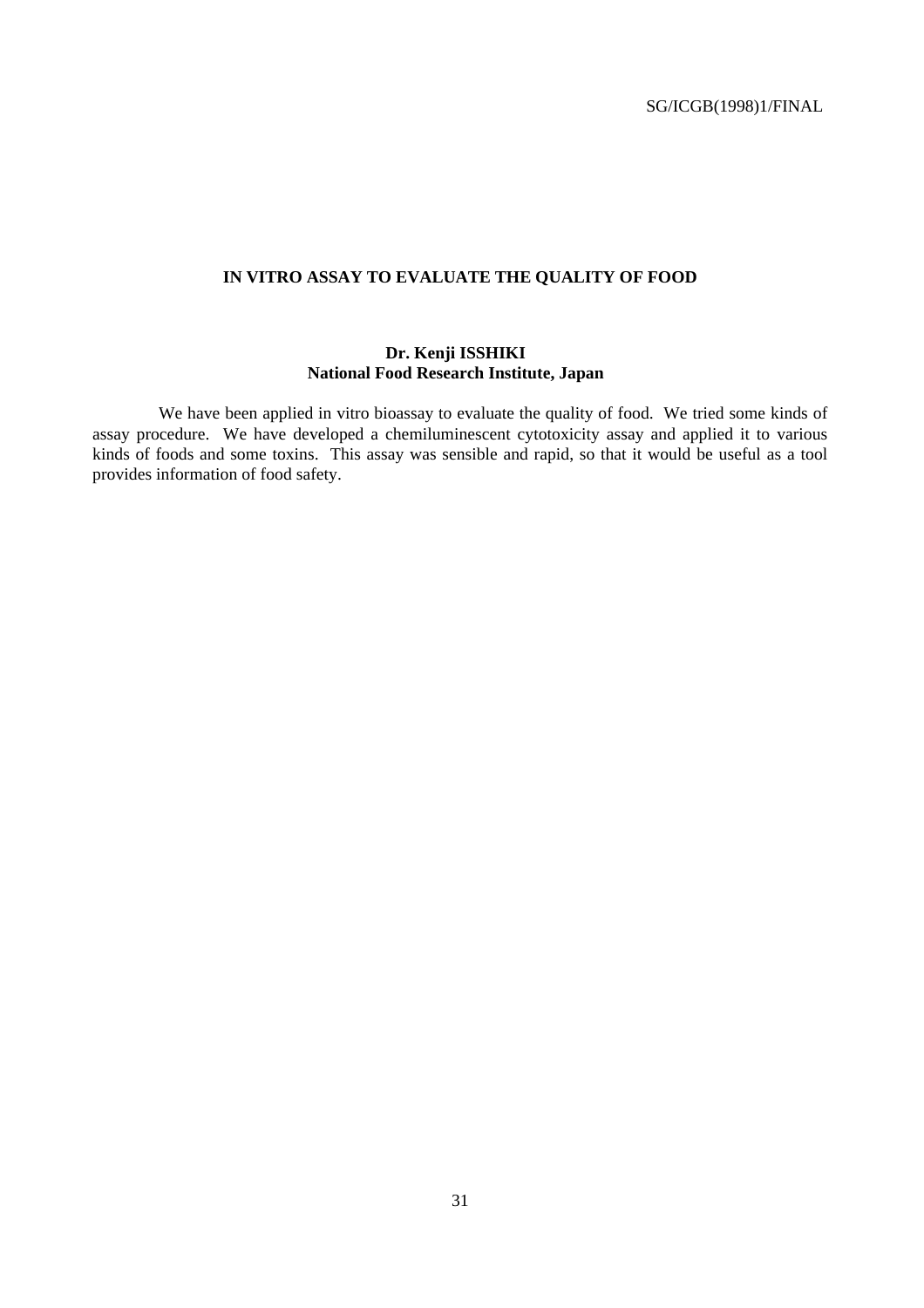#### **IN VITRO ASSAY TO EVALUATE THE QUALITY OF FOOD**

#### **Dr. Kenji ISSHIKI National Food Research Institute, Japan**

We have been applied in vitro bioassay to evaluate the quality of food. We tried some kinds of assay procedure. We have developed a chemiluminescent cytotoxicity assay and applied it to various kinds of foods and some toxins. This assay was sensible and rapid, so that it would be useful as a tool provides information of food safety.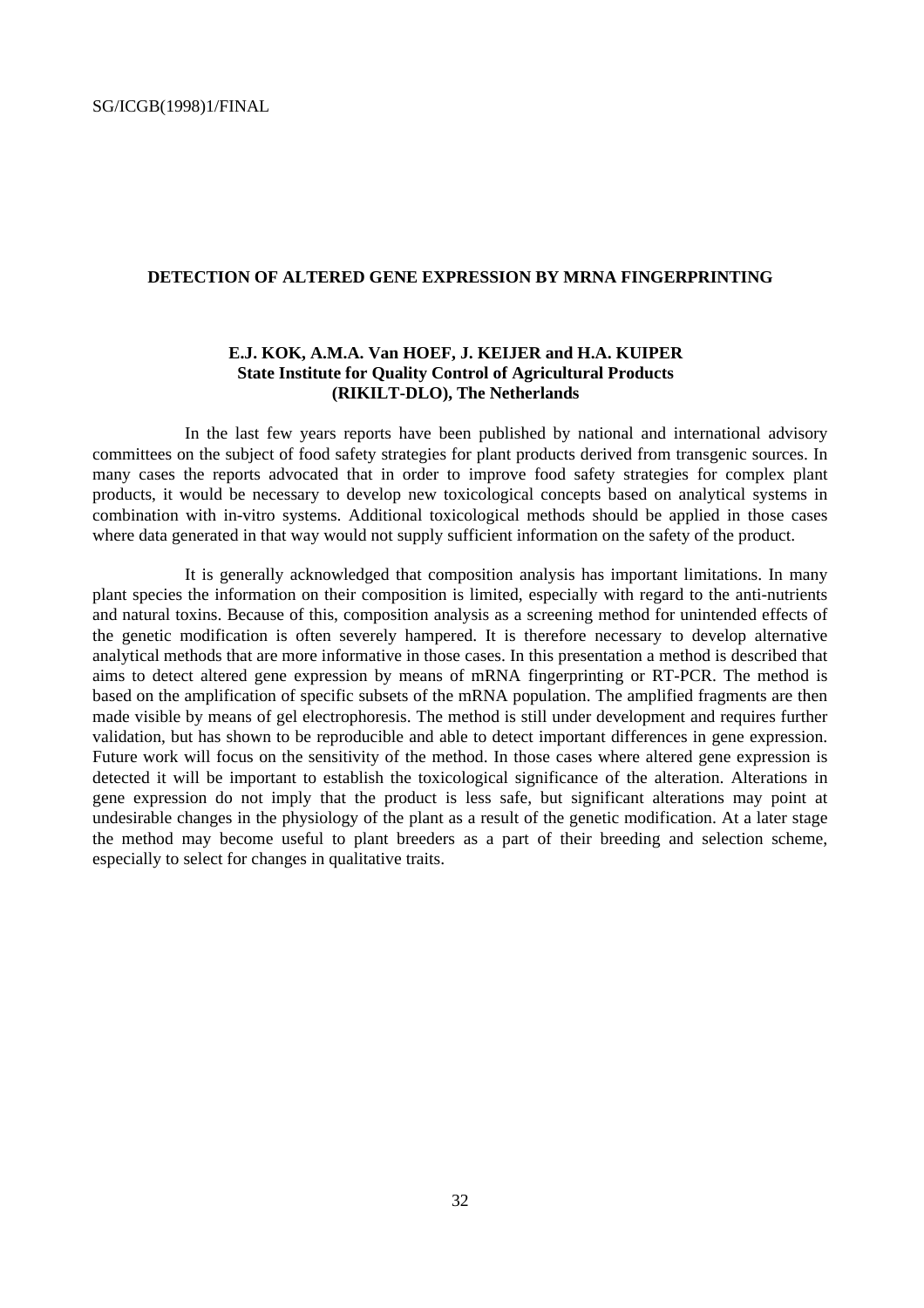#### **DETECTION OF ALTERED GENE EXPRESSION BY MRNA FINGERPRINTING**

#### **E.J. KOK, A.M.A. Van HOEF, J. KEIJER and H.A. KUIPER State Institute for Quality Control of Agricultural Products (RIKILT-DLO), The Netherlands**

In the last few years reports have been published by national and international advisory committees on the subject of food safety strategies for plant products derived from transgenic sources. In many cases the reports advocated that in order to improve food safety strategies for complex plant products, it would be necessary to develop new toxicological concepts based on analytical systems in combination with in-vitro systems. Additional toxicological methods should be applied in those cases where data generated in that way would not supply sufficient information on the safety of the product.

It is generally acknowledged that composition analysis has important limitations. In many plant species the information on their composition is limited, especially with regard to the anti-nutrients and natural toxins. Because of this, composition analysis as a screening method for unintended effects of the genetic modification is often severely hampered. It is therefore necessary to develop alternative analytical methods that are more informative in those cases. In this presentation a method is described that aims to detect altered gene expression by means of mRNA fingerprinting or RT-PCR. The method is based on the amplification of specific subsets of the mRNA population. The amplified fragments are then made visible by means of gel electrophoresis. The method is still under development and requires further validation, but has shown to be reproducible and able to detect important differences in gene expression. Future work will focus on the sensitivity of the method. In those cases where altered gene expression is detected it will be important to establish the toxicological significance of the alteration. Alterations in gene expression do not imply that the product is less safe, but significant alterations may point at undesirable changes in the physiology of the plant as a result of the genetic modification. At a later stage the method may become useful to plant breeders as a part of their breeding and selection scheme, especially to select for changes in qualitative traits.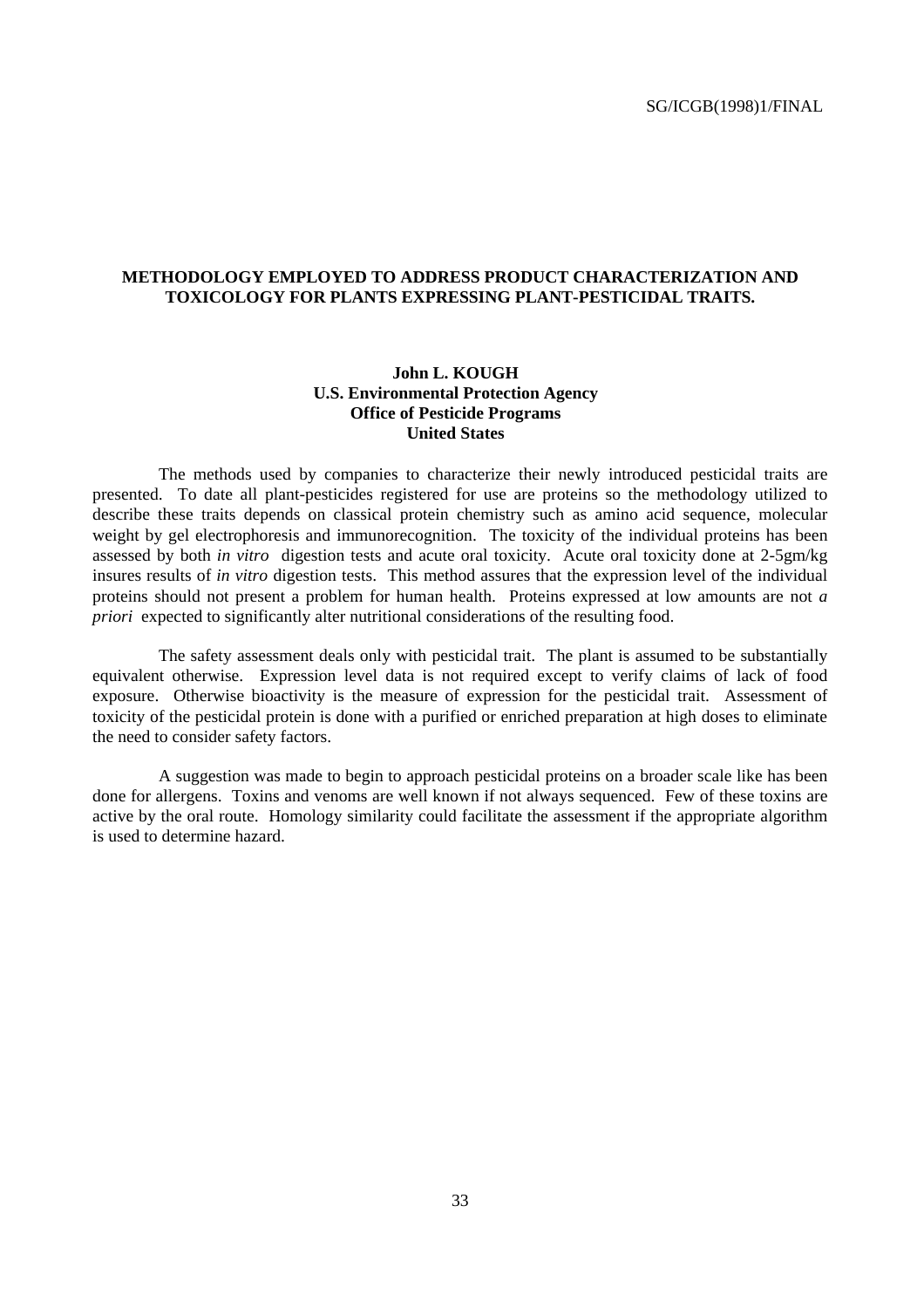#### **METHODOLOGY EMPLOYED TO ADDRESS PRODUCT CHARACTERIZATION AND TOXICOLOGY FOR PLANTS EXPRESSING PLANT-PESTICIDAL TRAITS.**

#### **John L. KOUGH U.S. Environmental Protection Agency Office of Pesticide Programs United States**

The methods used by companies to characterize their newly introduced pesticidal traits are presented. To date all plant-pesticides registered for use are proteins so the methodology utilized to describe these traits depends on classical protein chemistry such as amino acid sequence, molecular weight by gel electrophoresis and immunorecognition. The toxicity of the individual proteins has been assessed by both *in vitro* digestion tests and acute oral toxicity. Acute oral toxicity done at 2-5gm/kg insures results of *in vitro* digestion tests. This method assures that the expression level of the individual proteins should not present a problem for human health. Proteins expressed at low amounts are not *a priori* expected to significantly alter nutritional considerations of the resulting food.

The safety assessment deals only with pesticidal trait. The plant is assumed to be substantially equivalent otherwise. Expression level data is not required except to verify claims of lack of food exposure. Otherwise bioactivity is the measure of expression for the pesticidal trait. Assessment of toxicity of the pesticidal protein is done with a purified or enriched preparation at high doses to eliminate the need to consider safety factors.

A suggestion was made to begin to approach pesticidal proteins on a broader scale like has been done for allergens. Toxins and venoms are well known if not always sequenced. Few of these toxins are active by the oral route. Homology similarity could facilitate the assessment if the appropriate algorithm is used to determine hazard.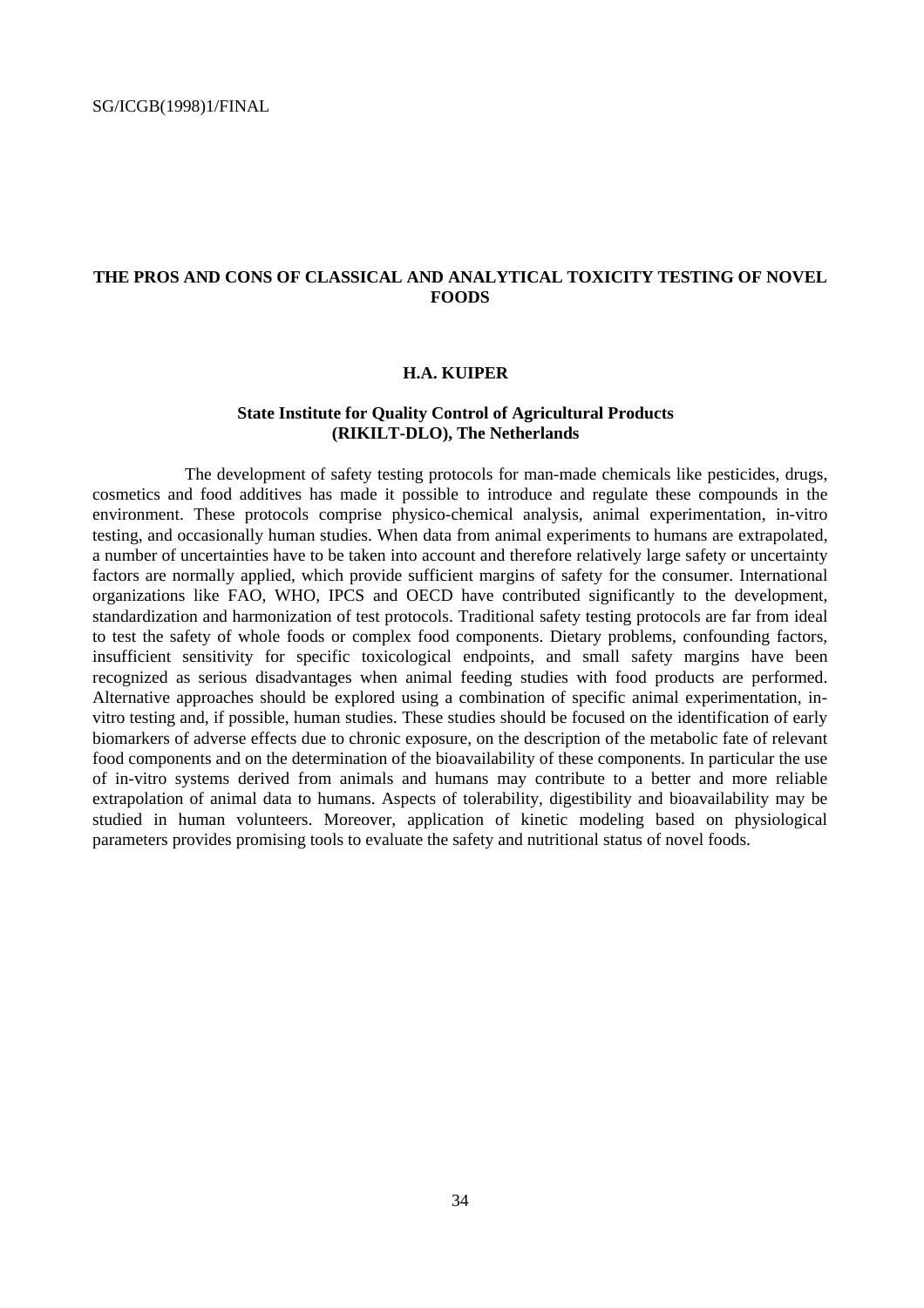#### **THE PROS AND CONS OF CLASSICAL AND ANALYTICAL TOXICITY TESTING OF NOVEL FOODS**

#### **H.A. KUIPER**

#### **State Institute for Quality Control of Agricultural Products (RIKILT-DLO), The Netherlands**

The development of safety testing protocols for man-made chemicals like pesticides, drugs, cosmetics and food additives has made it possible to introduce and regulate these compounds in the environment. These protocols comprise physico-chemical analysis, animal experimentation, in-vitro testing, and occasionally human studies. When data from animal experiments to humans are extrapolated, a number of uncertainties have to be taken into account and therefore relatively large safety or uncertainty factors are normally applied, which provide sufficient margins of safety for the consumer. International organizations like FAO, WHO, IPCS and OECD have contributed significantly to the development, standardization and harmonization of test protocols. Traditional safety testing protocols are far from ideal to test the safety of whole foods or complex food components. Dietary problems, confounding factors, insufficient sensitivity for specific toxicological endpoints, and small safety margins have been recognized as serious disadvantages when animal feeding studies with food products are performed. Alternative approaches should be explored using a combination of specific animal experimentation, invitro testing and, if possible, human studies. These studies should be focused on the identification of early biomarkers of adverse effects due to chronic exposure, on the description of the metabolic fate of relevant food components and on the determination of the bioavailability of these components. In particular the use of in-vitro systems derived from animals and humans may contribute to a better and more reliable extrapolation of animal data to humans. Aspects of tolerability, digestibility and bioavailability may be studied in human volunteers. Moreover, application of kinetic modeling based on physiological parameters provides promising tools to evaluate the safety and nutritional status of novel foods.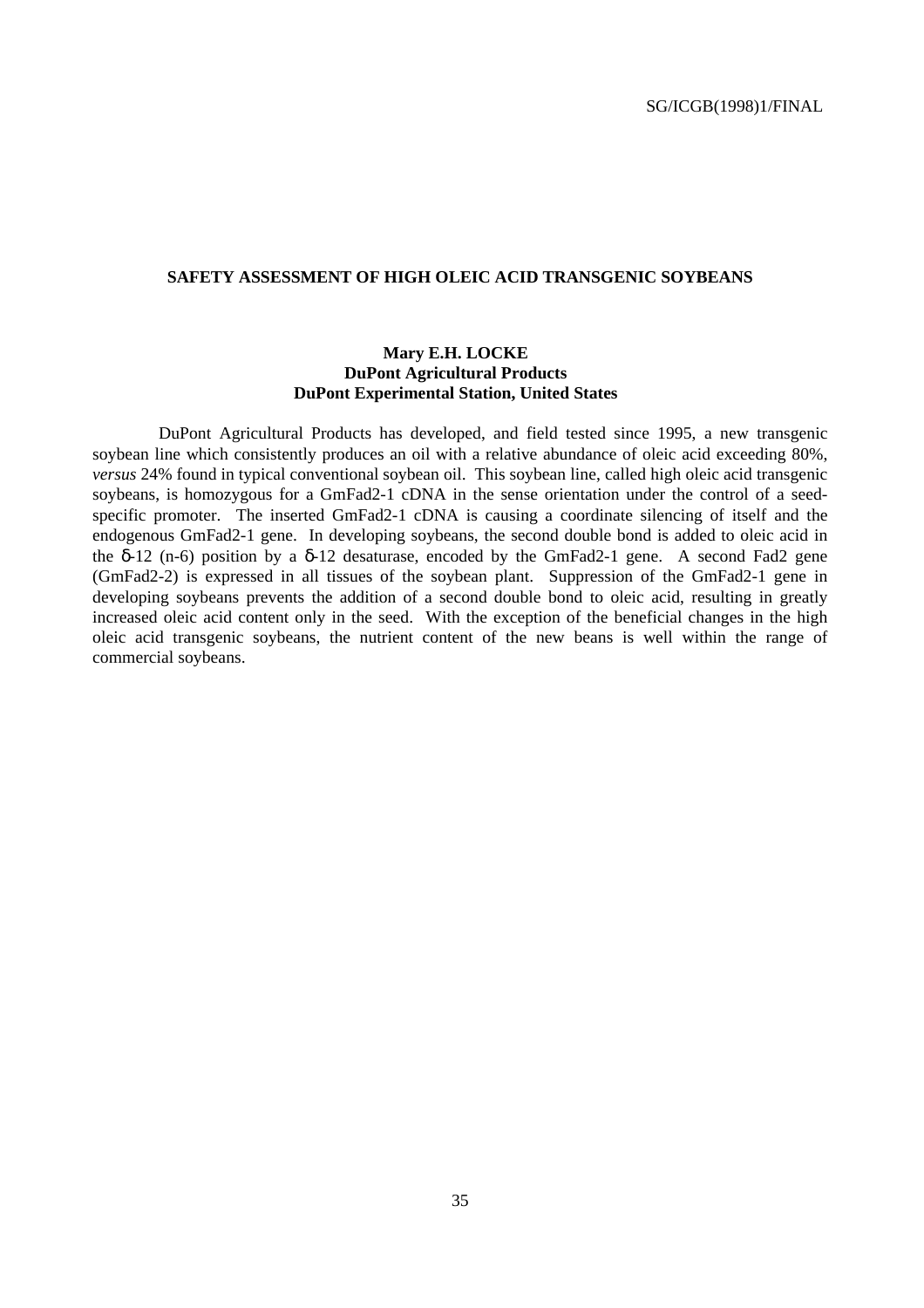#### **SAFETY ASSESSMENT OF HIGH OLEIC ACID TRANSGENIC SOYBEANS**

#### **Mary E.H. LOCKE DuPont Agricultural Products DuPont Experimental Station, United States**

DuPont Agricultural Products has developed, and field tested since 1995, a new transgenic soybean line which consistently produces an oil with a relative abundance of oleic acid exceeding 80%, *versus* 24% found in typical conventional soybean oil. This soybean line, called high oleic acid transgenic soybeans, is homozygous for a GmFad2-1 cDNA in the sense orientation under the control of a seedspecific promoter. The inserted GmFad2-1 cDNA is causing a coordinate silencing of itself and the endogenous GmFad2-1 gene. In developing soybeans, the second double bond is added to oleic acid in the  $\delta$ -12 (n-6) position by a  $\delta$ -12 desaturase, encoded by the GmFad2-1 gene. A second Fad2 gene (GmFad2-2) is expressed in all tissues of the soybean plant. Suppression of the GmFad2-1 gene in developing soybeans prevents the addition of a second double bond to oleic acid, resulting in greatly increased oleic acid content only in the seed. With the exception of the beneficial changes in the high oleic acid transgenic soybeans, the nutrient content of the new beans is well within the range of commercial soybeans.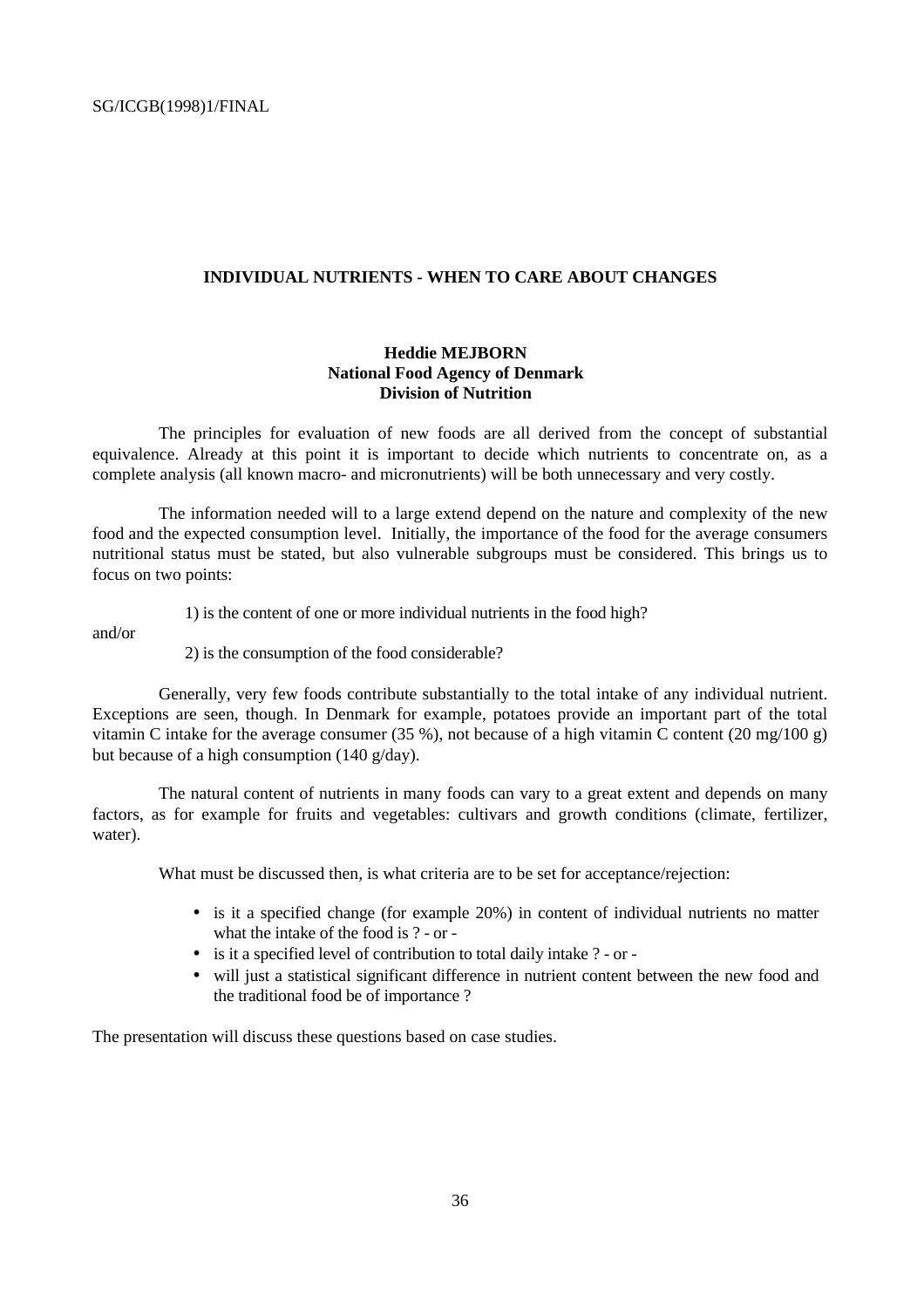#### **INDIVIDUAL NUTRIENTS - WHEN TO CARE ABOUT CHANGES**

#### **Heddie MEJBORN National Food Agency of Denmark Division of Nutrition**

The principles for evaluation of new foods are all derived from the concept of substantial equivalence. Already at this point it is important to decide which nutrients to concentrate on, as a complete analysis (all known macro- and micronutrients) will be both unnecessary and very costly.

The information needed will to a large extend depend on the nature and complexity of the new food and the expected consumption level. Initially, the importance of the food for the average consumers nutritional status must be stated, but also vulnerable subgroups must be considered. This brings us to focus on two points:

1) is the content of one or more individual nutrients in the food high?

and/or

2) is the consumption of the food considerable?

Generally, very few foods contribute substantially to the total intake of any individual nutrient. Exceptions are seen, though. In Denmark for example, potatoes provide an important part of the total vitamin C intake for the average consumer (35 %), not because of a high vitamin C content (20 mg/100 g) but because of a high consumption (140 g/day).

The natural content of nutrients in many foods can vary to a great extent and depends on many factors, as for example for fruits and vegetables: cultivars and growth conditions (climate, fertilizer, water).

What must be discussed then, is what criteria are to be set for acceptance/rejection:

- is it a specified change (for example 20%) in content of individual nutrients no matter what the intake of the food is ? - or -
- is it a specified level of contribution to total daily intake ? or -
- will just a statistical significant difference in nutrient content between the new food and the traditional food be of importance ?

The presentation will discuss these questions based on case studies.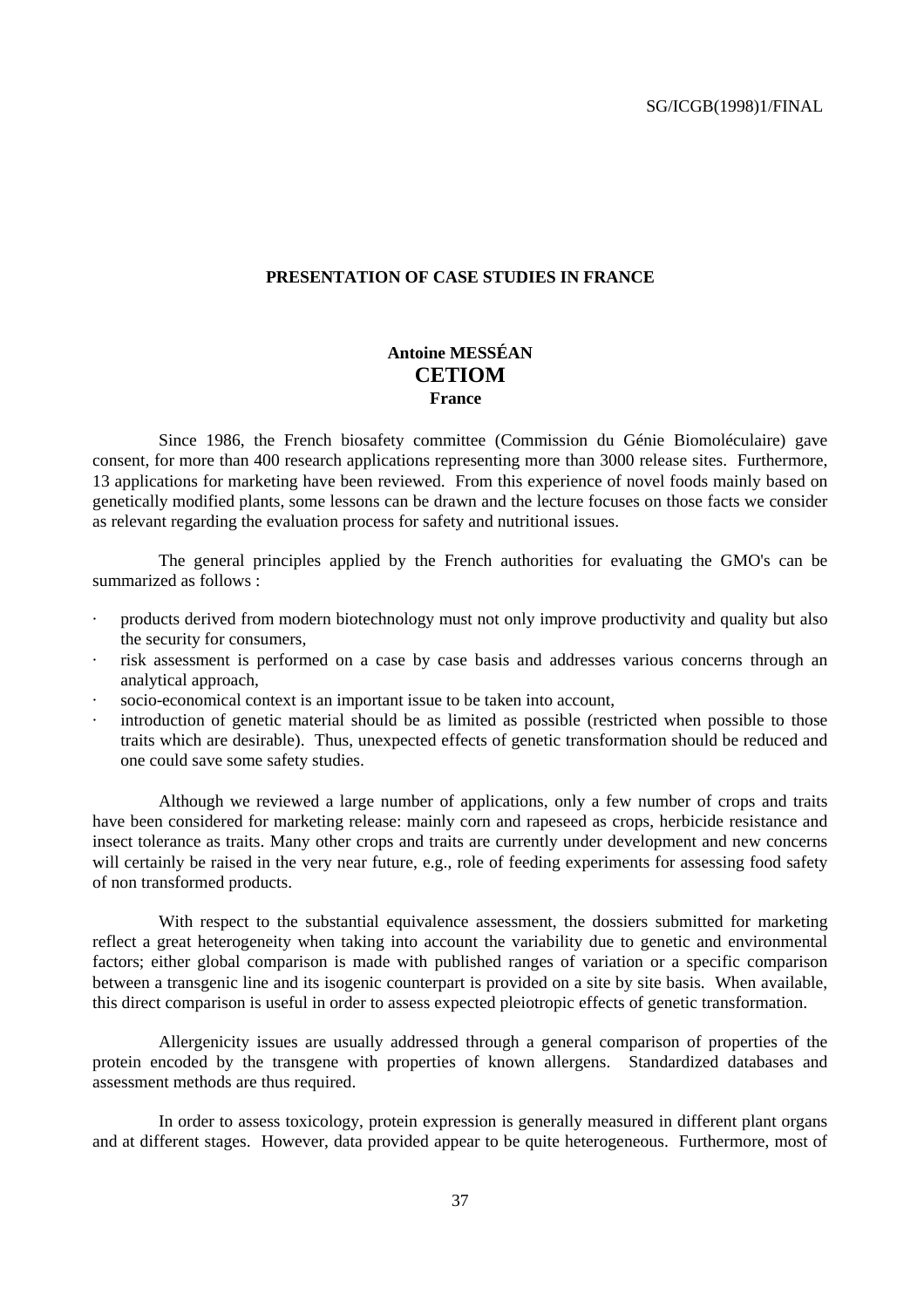#### **PRESENTATION OF CASE STUDIES IN FRANCE**

#### **Antoine MESSÉAN CETIOM France**

Since 1986, the French biosafety committee (Commission du Génie Biomoléculaire) gave consent, for more than 400 research applications representing more than 3000 release sites. Furthermore, 13 applications for marketing have been reviewed. From this experience of novel foods mainly based on genetically modified plants, some lessons can be drawn and the lecture focuses on those facts we consider as relevant regarding the evaluation process for safety and nutritional issues.

The general principles applied by the French authorities for evaluating the GMO's can be summarized as follows :

- · products derived from modern biotechnology must not only improve productivity and quality but also the security for consumers,
- · risk assessment is performed on a case by case basis and addresses various concerns through an analytical approach,
- socio-economical context is an important issue to be taken into account,
- introduction of genetic material should be as limited as possible (restricted when possible to those traits which are desirable). Thus, unexpected effects of genetic transformation should be reduced and one could save some safety studies.

Although we reviewed a large number of applications, only a few number of crops and traits have been considered for marketing release: mainly corn and rapeseed as crops, herbicide resistance and insect tolerance as traits. Many other crops and traits are currently under development and new concerns will certainly be raised in the very near future, e.g., role of feeding experiments for assessing food safety of non transformed products.

With respect to the substantial equivalence assessment, the dossiers submitted for marketing reflect a great heterogeneity when taking into account the variability due to genetic and environmental factors; either global comparison is made with published ranges of variation or a specific comparison between a transgenic line and its isogenic counterpart is provided on a site by site basis. When available, this direct comparison is useful in order to assess expected pleiotropic effects of genetic transformation.

Allergenicity issues are usually addressed through a general comparison of properties of the protein encoded by the transgene with properties of known allergens. Standardized databases and assessment methods are thus required.

In order to assess toxicology, protein expression is generally measured in different plant organs and at different stages. However, data provided appear to be quite heterogeneous. Furthermore, most of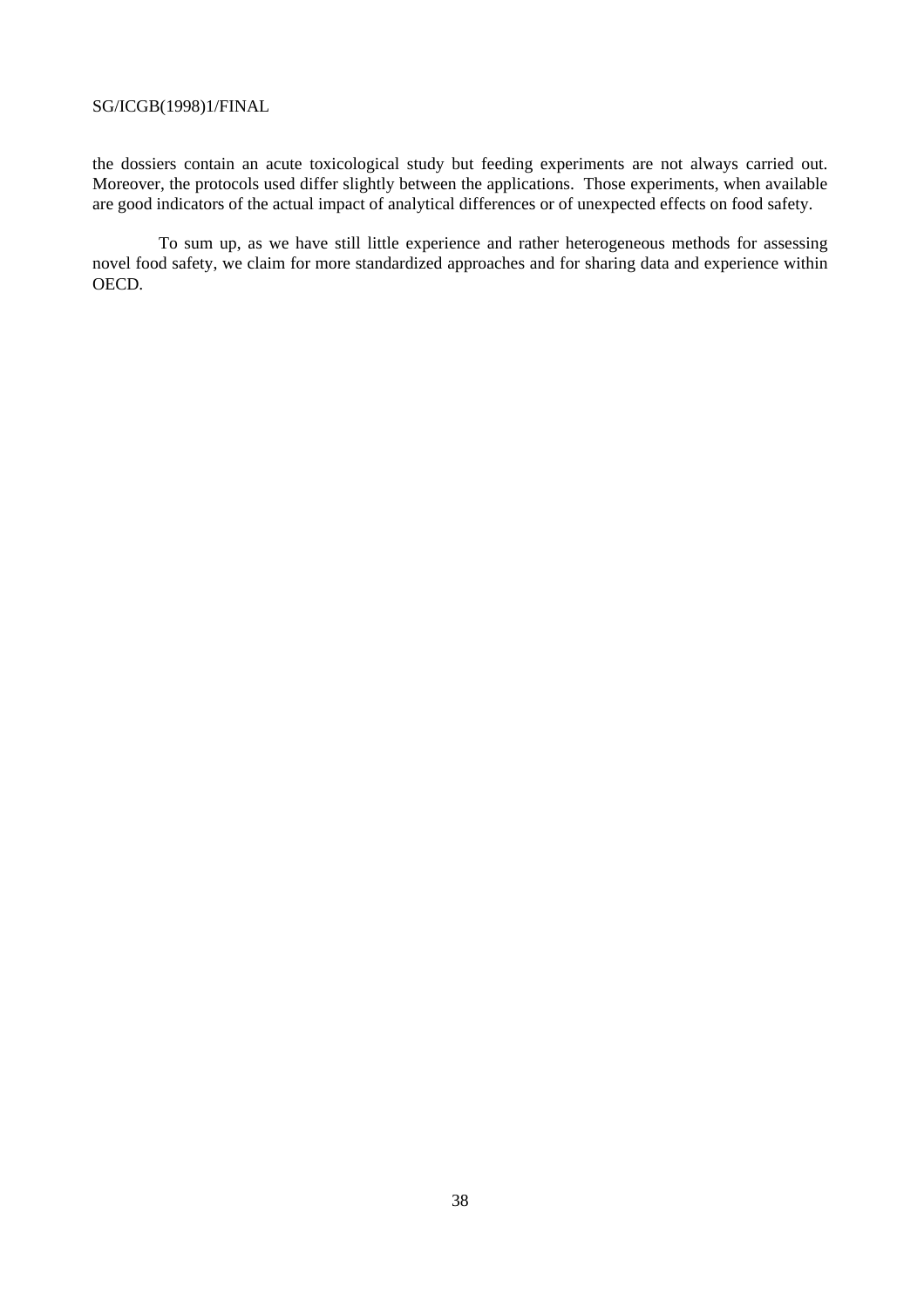the dossiers contain an acute toxicological study but feeding experiments are not always carried out. Moreover, the protocols used differ slightly between the applications. Those experiments, when available are good indicators of the actual impact of analytical differences or of unexpected effects on food safety.

To sum up, as we have still little experience and rather heterogeneous methods for assessing novel food safety, we claim for more standardized approaches and for sharing data and experience within OECD.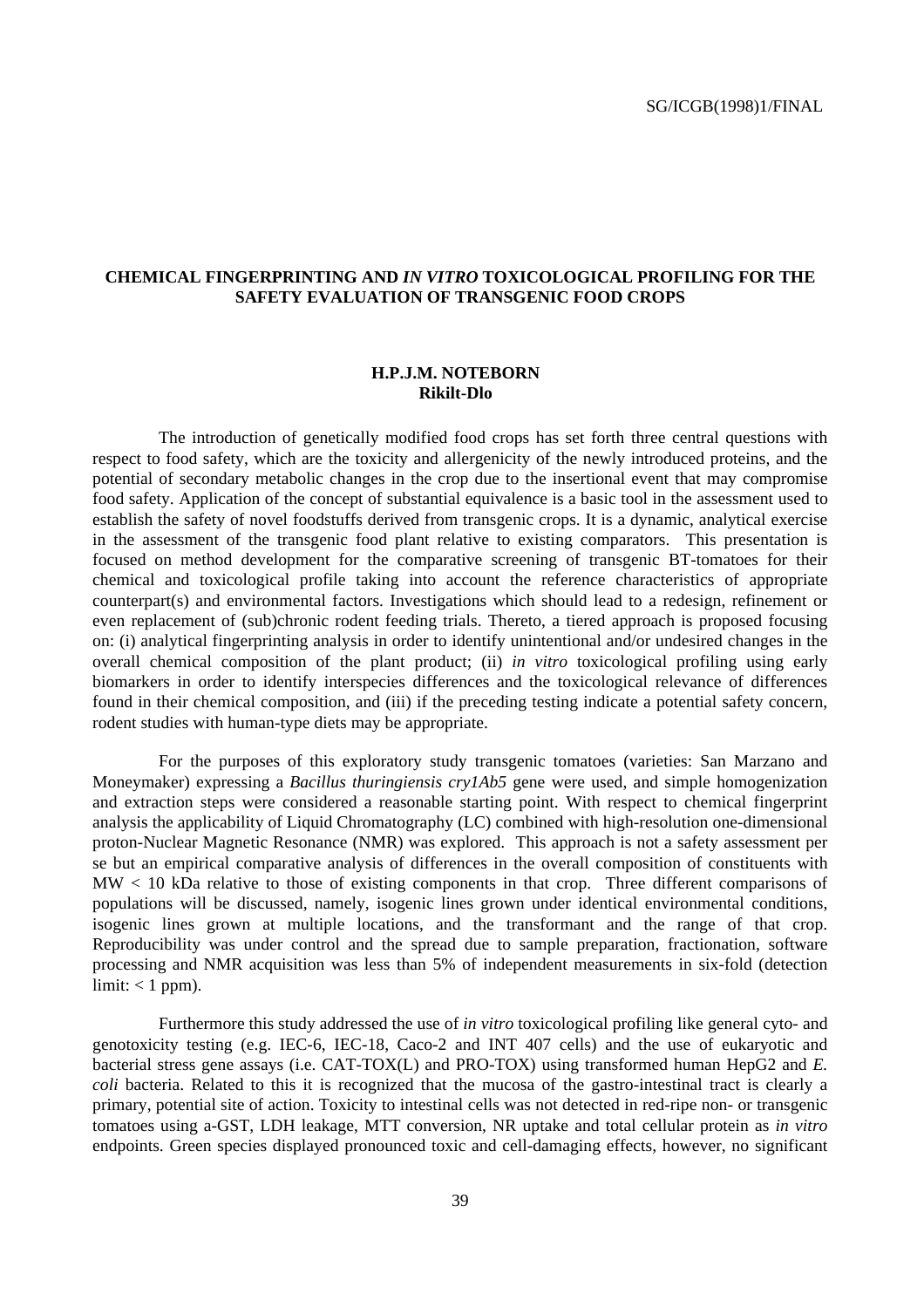#### **CHEMICAL FINGERPRINTING AND** *IN VITRO* **TOXICOLOGICAL PROFILING FOR THE SAFETY EVALUATION OF TRANSGENIC FOOD CROPS**

#### **H.P.J.M. NOTEBORN Rikilt-Dlo**

The introduction of genetically modified food crops has set forth three central questions with respect to food safety, which are the toxicity and allergenicity of the newly introduced proteins, and the potential of secondary metabolic changes in the crop due to the insertional event that may compromise food safety. Application of the concept of substantial equivalence is a basic tool in the assessment used to establish the safety of novel foodstuffs derived from transgenic crops. It is a dynamic, analytical exercise in the assessment of the transgenic food plant relative to existing comparators. This presentation is focused on method development for the comparative screening of transgenic BT-tomatoes for their chemical and toxicological profile taking into account the reference characteristics of appropriate counterpart(s) and environmental factors. Investigations which should lead to a redesign, refinement or even replacement of (sub)chronic rodent feeding trials. Thereto, a tiered approach is proposed focusing on: (i) analytical fingerprinting analysis in order to identify unintentional and/or undesired changes in the overall chemical composition of the plant product; (ii) *in vitro* toxicological profiling using early biomarkers in order to identify interspecies differences and the toxicological relevance of differences found in their chemical composition, and (iii) if the preceding testing indicate a potential safety concern, rodent studies with human-type diets may be appropriate.

For the purposes of this exploratory study transgenic tomatoes (varieties: San Marzano and Moneymaker) expressing a *Bacillus thuringiensis cry1Ab5* gene were used, and simple homogenization and extraction steps were considered a reasonable starting point. With respect to chemical fingerprint analysis the applicability of Liquid Chromatography (LC) combined with high-resolution one-dimensional proton-Nuclear Magnetic Resonance (NMR) was explored. This approach is not a safety assessment per se but an empirical comparative analysis of differences in the overall composition of constituents with MW < 10 kDa relative to those of existing components in that crop. Three different comparisons of populations will be discussed, namely, isogenic lines grown under identical environmental conditions, isogenic lines grown at multiple locations, and the transformant and the range of that crop. Reproducibility was under control and the spread due to sample preparation, fractionation, software processing and NMR acquisition was less than 5% of independent measurements in six-fold (detection  $limit: < 1 ppm$ ).

Furthermore this study addressed the use of *in vitro* toxicological profiling like general cyto- and genotoxicity testing (e.g. IEC-6, IEC-18, Caco-2 and INT 407 cells) and the use of eukaryotic and bacterial stress gene assays (i.e. CAT-TOX(L) and PRO-TOX) using transformed human HepG2 and *E. coli* bacteria. Related to this it is recognized that the mucosa of the gastro-intestinal tract is clearly a primary, potential site of action. Toxicity to intestinal cells was not detected in red-ripe non- or transgenic tomatoes using a-GST, LDH leakage, MTT conversion, NR uptake and total cellular protein as *in vitro* endpoints. Green species displayed pronounced toxic and cell-damaging effects, however, no significant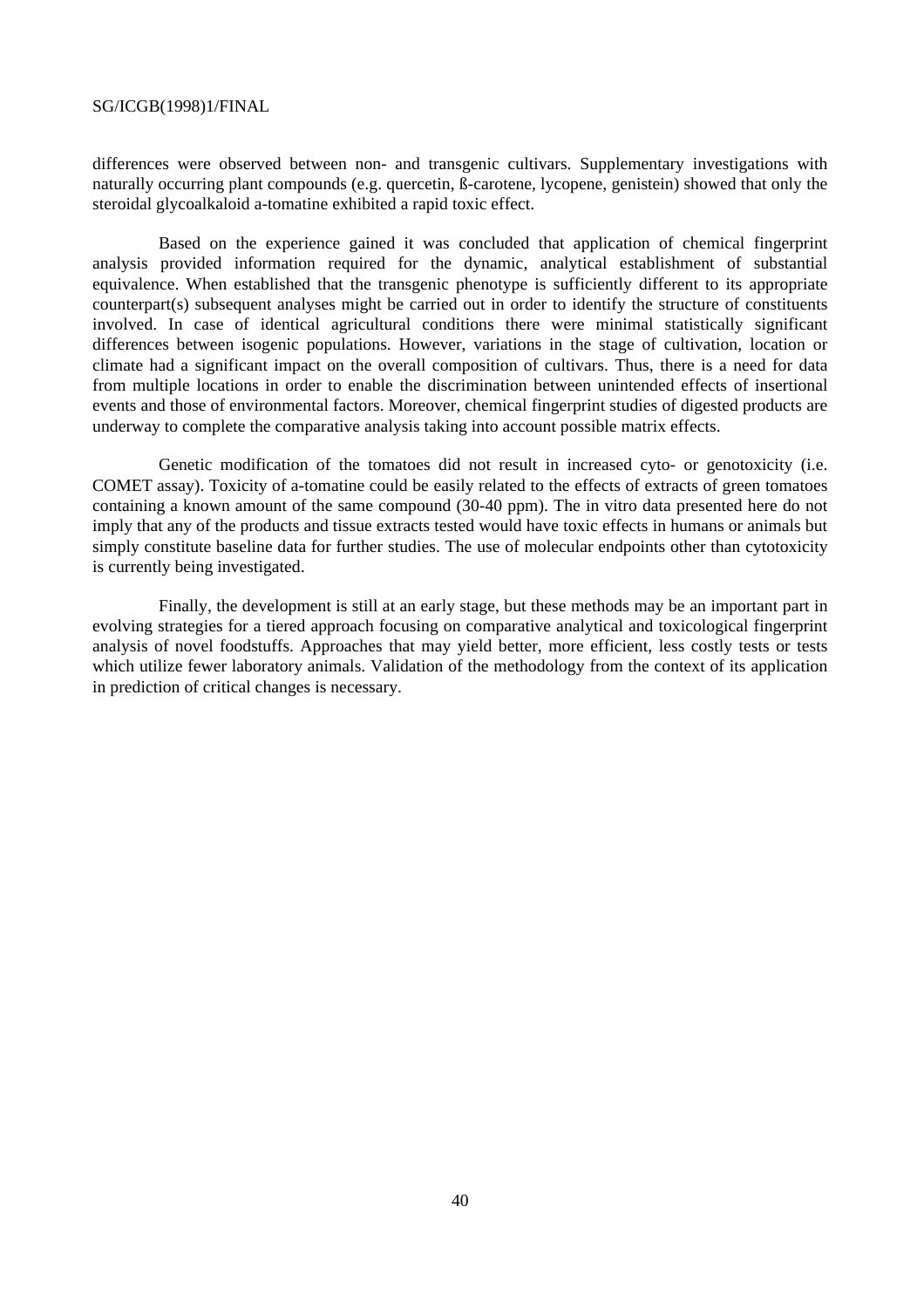differences were observed between non- and transgenic cultivars. Supplementary investigations with naturally occurring plant compounds (e.g. quercetin, ß-carotene, lycopene, genistein) showed that only the steroidal glycoalkaloid a-tomatine exhibited a rapid toxic effect.

Based on the experience gained it was concluded that application of chemical fingerprint analysis provided information required for the dynamic, analytical establishment of substantial equivalence. When established that the transgenic phenotype is sufficiently different to its appropriate counterpart(s) subsequent analyses might be carried out in order to identify the structure of constituents involved. In case of identical agricultural conditions there were minimal statistically significant differences between isogenic populations. However, variations in the stage of cultivation, location or climate had a significant impact on the overall composition of cultivars. Thus, there is a need for data from multiple locations in order to enable the discrimination between unintended effects of insertional events and those of environmental factors. Moreover, chemical fingerprint studies of digested products are underway to complete the comparative analysis taking into account possible matrix effects.

Genetic modification of the tomatoes did not result in increased cyto- or genotoxicity (i.e. COMET assay). Toxicity of a-tomatine could be easily related to the effects of extracts of green tomatoes containing a known amount of the same compound (30-40 ppm). The in vitro data presented here do not imply that any of the products and tissue extracts tested would have toxic effects in humans or animals but simply constitute baseline data for further studies. The use of molecular endpoints other than cytotoxicity is currently being investigated.

Finally, the development is still at an early stage, but these methods may be an important part in evolving strategies for a tiered approach focusing on comparative analytical and toxicological fingerprint analysis of novel foodstuffs. Approaches that may yield better, more efficient, less costly tests or tests which utilize fewer laboratory animals. Validation of the methodology from the context of its application in prediction of critical changes is necessary.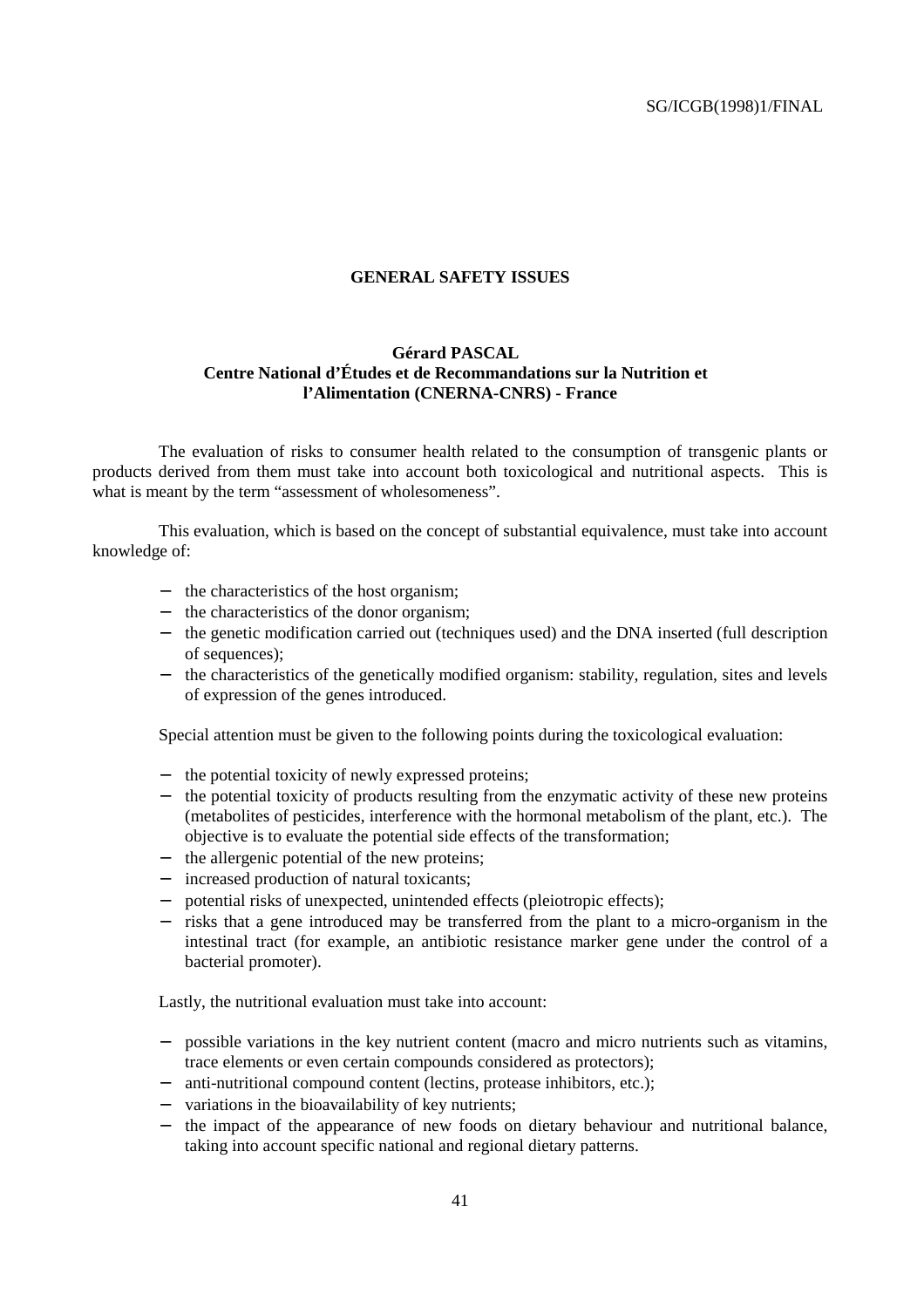#### **GENERAL SAFETY ISSUES**

#### **Gérard PASCAL Centre National d'Études et de Recommandations sur la Nutrition et l'Alimentation (CNERNA-CNRS) - France**

The evaluation of risks to consumer health related to the consumption of transgenic plants or products derived from them must take into account both toxicological and nutritional aspects. This is what is meant by the term "assessment of wholesomeness".

This evaluation, which is based on the concept of substantial equivalence, must take into account knowledge of:

- − the characteristics of the host organism;
- − the characteristics of the donor organism;
- − the genetic modification carried out (techniques used) and the DNA inserted (full description of sequences);
- − the characteristics of the genetically modified organism: stability, regulation, sites and levels of expression of the genes introduced.

Special attention must be given to the following points during the toxicological evaluation:

- − the potential toxicity of newly expressed proteins;
- − the potential toxicity of products resulting from the enzymatic activity of these new proteins (metabolites of pesticides, interference with the hormonal metabolism of the plant, etc.). The objective is to evaluate the potential side effects of the transformation;
- − the allergenic potential of the new proteins;
- − increased production of natural toxicants;
- potential risks of unexpected, unintended effects (pleiotropic effects);
- − risks that a gene introduced may be transferred from the plant to a micro-organism in the intestinal tract (for example, an antibiotic resistance marker gene under the control of a bacterial promoter).

Lastly, the nutritional evaluation must take into account:

- possible variations in the key nutrient content (macro and micro nutrients such as vitamins, trace elements or even certain compounds considered as protectors);
- − anti-nutritional compound content (lectins, protease inhibitors, etc.);
- − variations in the bioavailability of key nutrients;
- − the impact of the appearance of new foods on dietary behaviour and nutritional balance, taking into account specific national and regional dietary patterns.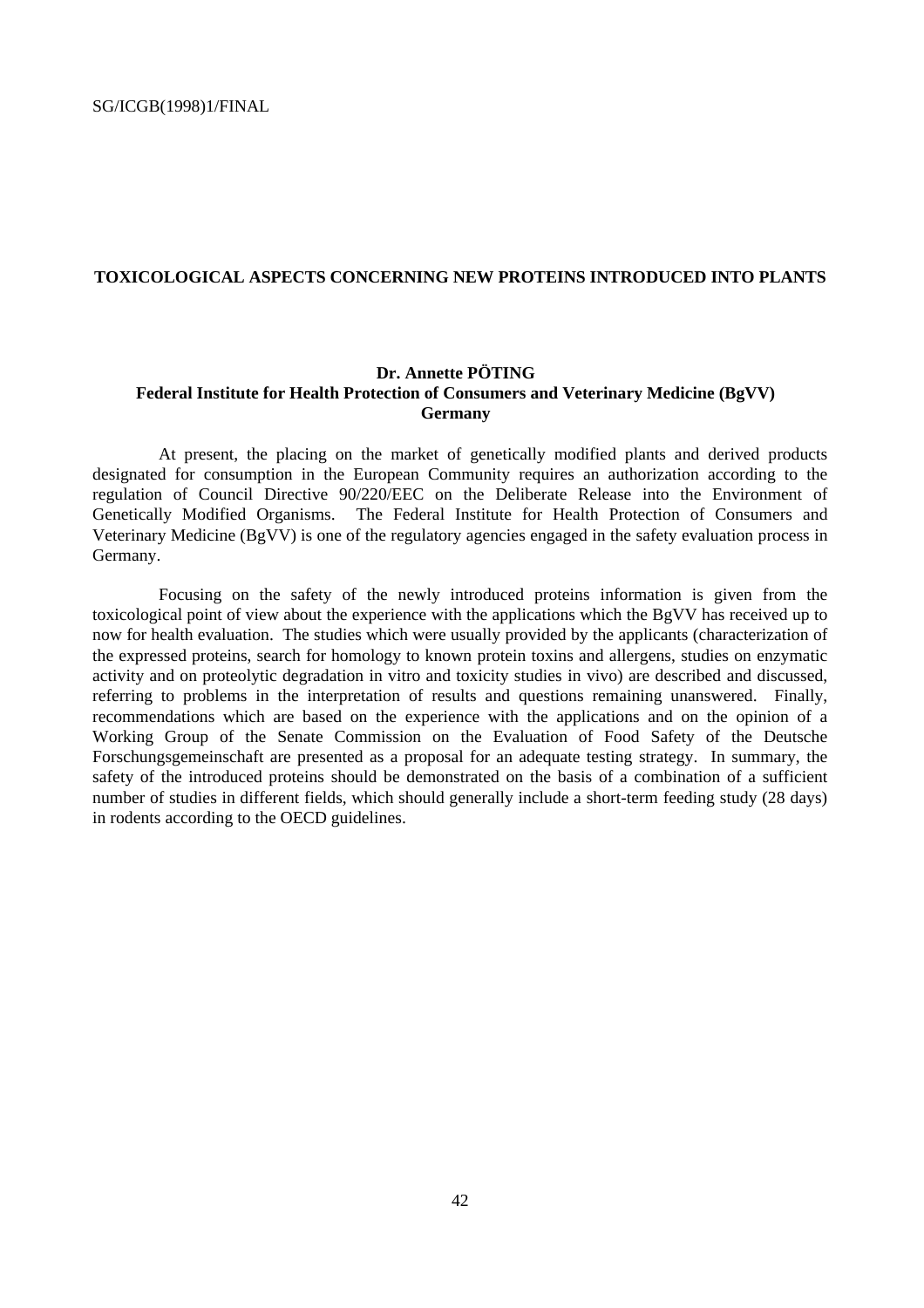#### **TOXICOLOGICAL ASPECTS CONCERNING NEW PROTEINS INTRODUCED INTO PLANTS**

#### **Dr. Annette PÖTING Federal Institute for Health Protection of Consumers and Veterinary Medicine (BgVV) Germany**

At present, the placing on the market of genetically modified plants and derived products designated for consumption in the European Community requires an authorization according to the regulation of Council Directive 90/220/EEC on the Deliberate Release into the Environment of Genetically Modified Organisms. The Federal Institute for Health Protection of Consumers and Veterinary Medicine (BgVV) is one of the regulatory agencies engaged in the safety evaluation process in Germany.

Focusing on the safety of the newly introduced proteins information is given from the toxicological point of view about the experience with the applications which the BgVV has received up to now for health evaluation. The studies which were usually provided by the applicants (characterization of the expressed proteins, search for homology to known protein toxins and allergens, studies on enzymatic activity and on proteolytic degradation in vitro and toxicity studies in vivo) are described and discussed, referring to problems in the interpretation of results and questions remaining unanswered. Finally, recommendations which are based on the experience with the applications and on the opinion of a Working Group of the Senate Commission on the Evaluation of Food Safety of the Deutsche Forschungsgemeinschaft are presented as a proposal for an adequate testing strategy. In summary, the safety of the introduced proteins should be demonstrated on the basis of a combination of a sufficient number of studies in different fields, which should generally include a short-term feeding study (28 days) in rodents according to the OECD guidelines.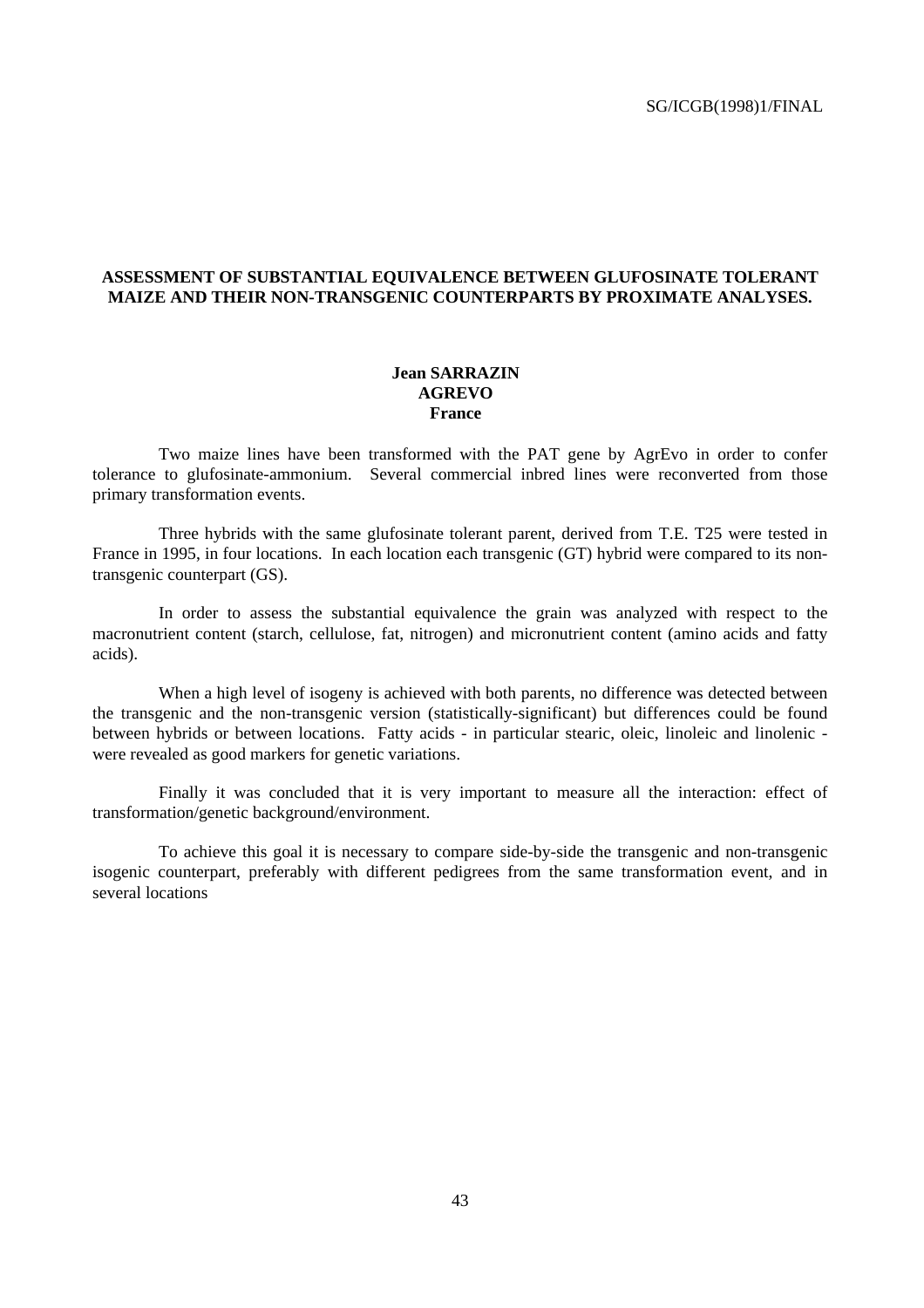#### **ASSESSMENT OF SUBSTANTIAL EQUIVALENCE BETWEEN GLUFOSINATE TOLERANT MAIZE AND THEIR NON-TRANSGENIC COUNTERPARTS BY PROXIMATE ANALYSES.**

#### **Jean SARRAZIN AGREVO France**

Two maize lines have been transformed with the PAT gene by AgrEvo in order to confer tolerance to glufosinate-ammonium. Several commercial inbred lines were reconverted from those primary transformation events.

Three hybrids with the same glufosinate tolerant parent, derived from T.E. T25 were tested in France in 1995, in four locations. In each location each transgenic (GT) hybrid were compared to its nontransgenic counterpart (GS).

In order to assess the substantial equivalence the grain was analyzed with respect to the macronutrient content (starch, cellulose, fat, nitrogen) and micronutrient content (amino acids and fatty acids).

When a high level of isogeny is achieved with both parents, no difference was detected between the transgenic and the non-transgenic version (statistically-significant) but differences could be found between hybrids or between locations. Fatty acids - in particular stearic, oleic, linoleic and linolenic were revealed as good markers for genetic variations.

Finally it was concluded that it is very important to measure all the interaction: effect of transformation/genetic background/environment.

To achieve this goal it is necessary to compare side-by-side the transgenic and non-transgenic isogenic counterpart, preferably with different pedigrees from the same transformation event, and in several locations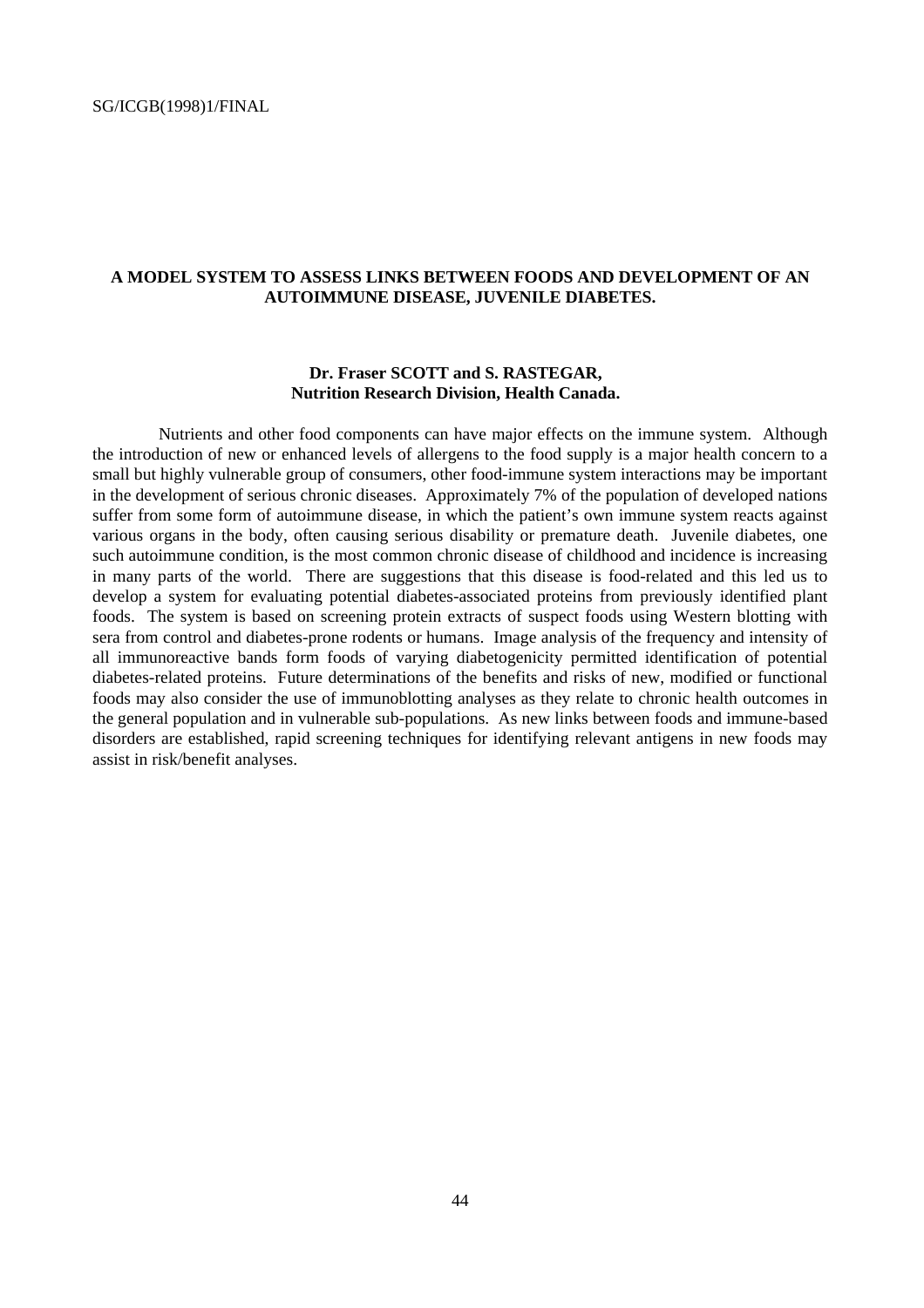#### **A MODEL SYSTEM TO ASSESS LINKS BETWEEN FOODS AND DEVELOPMENT OF AN AUTOIMMUNE DISEASE, JUVENILE DIABETES.**

#### **Dr. Fraser SCOTT and S. RASTEGAR, Nutrition Research Division, Health Canada.**

Nutrients and other food components can have major effects on the immune system. Although the introduction of new or enhanced levels of allergens to the food supply is a major health concern to a small but highly vulnerable group of consumers, other food-immune system interactions may be important in the development of serious chronic diseases. Approximately 7% of the population of developed nations suffer from some form of autoimmune disease, in which the patient's own immune system reacts against various organs in the body, often causing serious disability or premature death. Juvenile diabetes, one such autoimmune condition, is the most common chronic disease of childhood and incidence is increasing in many parts of the world. There are suggestions that this disease is food-related and this led us to develop a system for evaluating potential diabetes-associated proteins from previously identified plant foods. The system is based on screening protein extracts of suspect foods using Western blotting with sera from control and diabetes-prone rodents or humans. Image analysis of the frequency and intensity of all immunoreactive bands form foods of varying diabetogenicity permitted identification of potential diabetes-related proteins. Future determinations of the benefits and risks of new, modified or functional foods may also consider the use of immunoblotting analyses as they relate to chronic health outcomes in the general population and in vulnerable sub-populations. As new links between foods and immune-based disorders are established, rapid screening techniques for identifying relevant antigens in new foods may assist in risk/benefit analyses.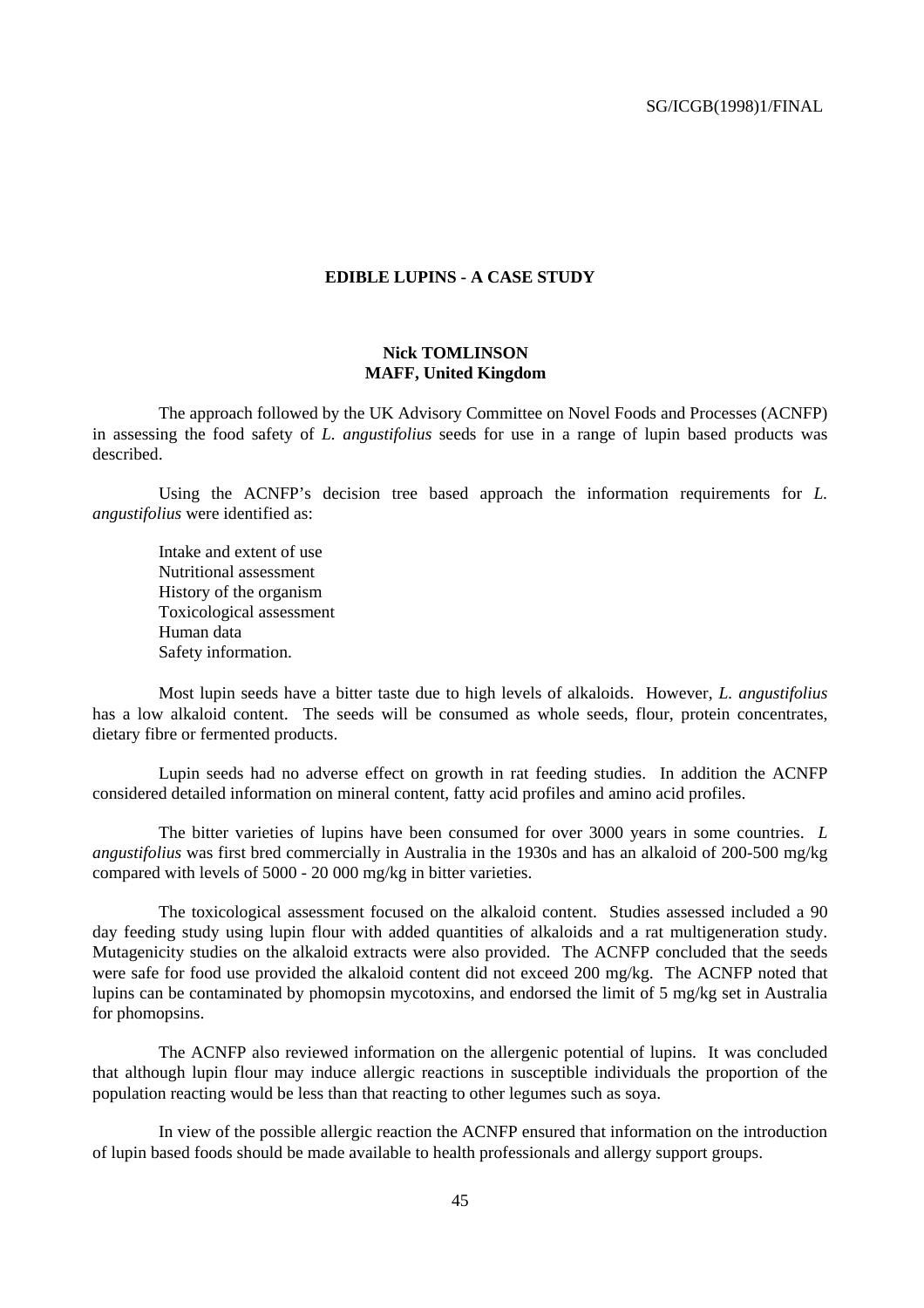#### **EDIBLE LUPINS - A CASE STUDY**

#### **Nick TOMLINSON MAFF, United Kingdom**

The approach followed by the UK Advisory Committee on Novel Foods and Processes (ACNFP) in assessing the food safety of *L. angustifolius* seeds for use in a range of lupin based products was described.

Using the ACNFP's decision tree based approach the information requirements for *L. angustifolius* were identified as:

Intake and extent of use Nutritional assessment History of the organism Toxicological assessment Human data Safety information.

Most lupin seeds have a bitter taste due to high levels of alkaloids. However, *L. angustifolius* has a low alkaloid content. The seeds will be consumed as whole seeds, flour, protein concentrates, dietary fibre or fermented products.

Lupin seeds had no adverse effect on growth in rat feeding studies. In addition the ACNFP considered detailed information on mineral content, fatty acid profiles and amino acid profiles.

The bitter varieties of lupins have been consumed for over 3000 years in some countries. *L angustifolius* was first bred commercially in Australia in the 1930s and has an alkaloid of 200-500 mg/kg compared with levels of 5000 - 20 000 mg/kg in bitter varieties.

The toxicological assessment focused on the alkaloid content. Studies assessed included a 90 day feeding study using lupin flour with added quantities of alkaloids and a rat multigeneration study. Mutagenicity studies on the alkaloid extracts were also provided. The ACNFP concluded that the seeds were safe for food use provided the alkaloid content did not exceed 200 mg/kg. The ACNFP noted that lupins can be contaminated by phomopsin mycotoxins, and endorsed the limit of 5 mg/kg set in Australia for phomopsins.

The ACNFP also reviewed information on the allergenic potential of lupins. It was concluded that although lupin flour may induce allergic reactions in susceptible individuals the proportion of the population reacting would be less than that reacting to other legumes such as soya.

In view of the possible allergic reaction the ACNFP ensured that information on the introduction of lupin based foods should be made available to health professionals and allergy support groups.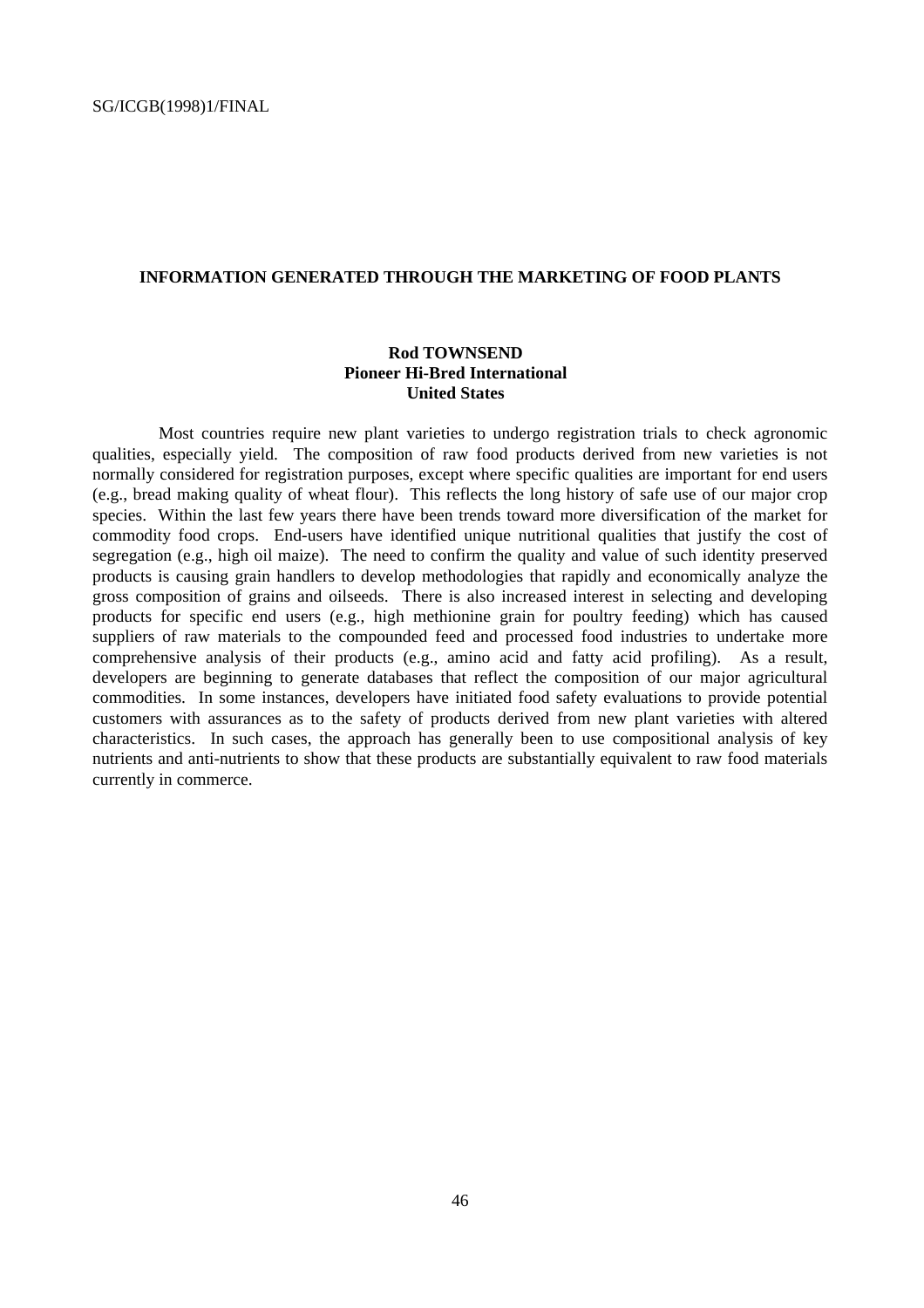#### **INFORMATION GENERATED THROUGH THE MARKETING OF FOOD PLANTS**

#### **Rod TOWNSEND Pioneer Hi-Bred International United States**

Most countries require new plant varieties to undergo registration trials to check agronomic qualities, especially yield. The composition of raw food products derived from new varieties is not normally considered for registration purposes, except where specific qualities are important for end users (e.g., bread making quality of wheat flour). This reflects the long history of safe use of our major crop species. Within the last few years there have been trends toward more diversification of the market for commodity food crops. End-users have identified unique nutritional qualities that justify the cost of segregation (e.g., high oil maize). The need to confirm the quality and value of such identity preserved products is causing grain handlers to develop methodologies that rapidly and economically analyze the gross composition of grains and oilseeds. There is also increased interest in selecting and developing products for specific end users (e.g., high methionine grain for poultry feeding) which has caused suppliers of raw materials to the compounded feed and processed food industries to undertake more comprehensive analysis of their products (e.g., amino acid and fatty acid profiling). As a result, developers are beginning to generate databases that reflect the composition of our major agricultural commodities. In some instances, developers have initiated food safety evaluations to provide potential customers with assurances as to the safety of products derived from new plant varieties with altered characteristics. In such cases, the approach has generally been to use compositional analysis of key nutrients and anti-nutrients to show that these products are substantially equivalent to raw food materials currently in commerce.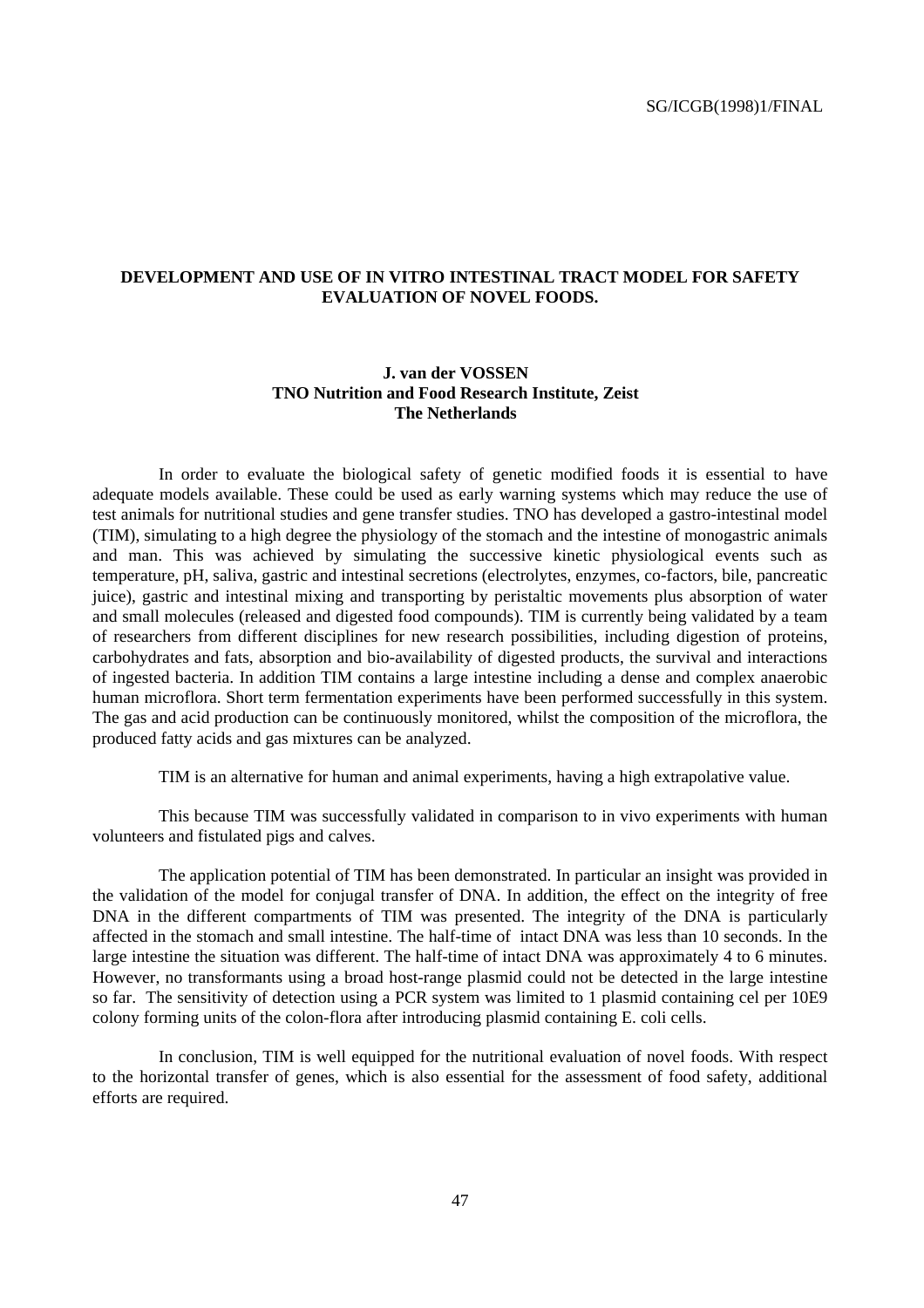#### **DEVELOPMENT AND USE OF IN VITRO INTESTINAL TRACT MODEL FOR SAFETY EVALUATION OF NOVEL FOODS.**

#### **J. van der VOSSEN TNO Nutrition and Food Research Institute, Zeist The Netherlands**

In order to evaluate the biological safety of genetic modified foods it is essential to have adequate models available. These could be used as early warning systems which may reduce the use of test animals for nutritional studies and gene transfer studies. TNO has developed a gastro-intestinal model (TIM), simulating to a high degree the physiology of the stomach and the intestine of monogastric animals and man. This was achieved by simulating the successive kinetic physiological events such as temperature, pH, saliva, gastric and intestinal secretions (electrolytes, enzymes, co-factors, bile, pancreatic juice), gastric and intestinal mixing and transporting by peristaltic movements plus absorption of water and small molecules (released and digested food compounds). TIM is currently being validated by a team of researchers from different disciplines for new research possibilities, including digestion of proteins, carbohydrates and fats, absorption and bio-availability of digested products, the survival and interactions of ingested bacteria. In addition TIM contains a large intestine including a dense and complex anaerobic human microflora. Short term fermentation experiments have been performed successfully in this system. The gas and acid production can be continuously monitored, whilst the composition of the microflora, the produced fatty acids and gas mixtures can be analyzed.

TIM is an alternative for human and animal experiments, having a high extrapolative value.

This because TIM was successfully validated in comparison to in vivo experiments with human volunteers and fistulated pigs and calves.

The application potential of TIM has been demonstrated. In particular an insight was provided in the validation of the model for conjugal transfer of DNA. In addition, the effect on the integrity of free DNA in the different compartments of TIM was presented. The integrity of the DNA is particularly affected in the stomach and small intestine. The half-time of intact DNA was less than 10 seconds. In the large intestine the situation was different. The half-time of intact DNA was approximately 4 to 6 minutes. However, no transformants using a broad host-range plasmid could not be detected in the large intestine so far. The sensitivity of detection using a PCR system was limited to 1 plasmid containing cel per 10E9 colony forming units of the colon-flora after introducing plasmid containing E. coli cells.

In conclusion, TIM is well equipped for the nutritional evaluation of novel foods. With respect to the horizontal transfer of genes, which is also essential for the assessment of food safety, additional efforts are required.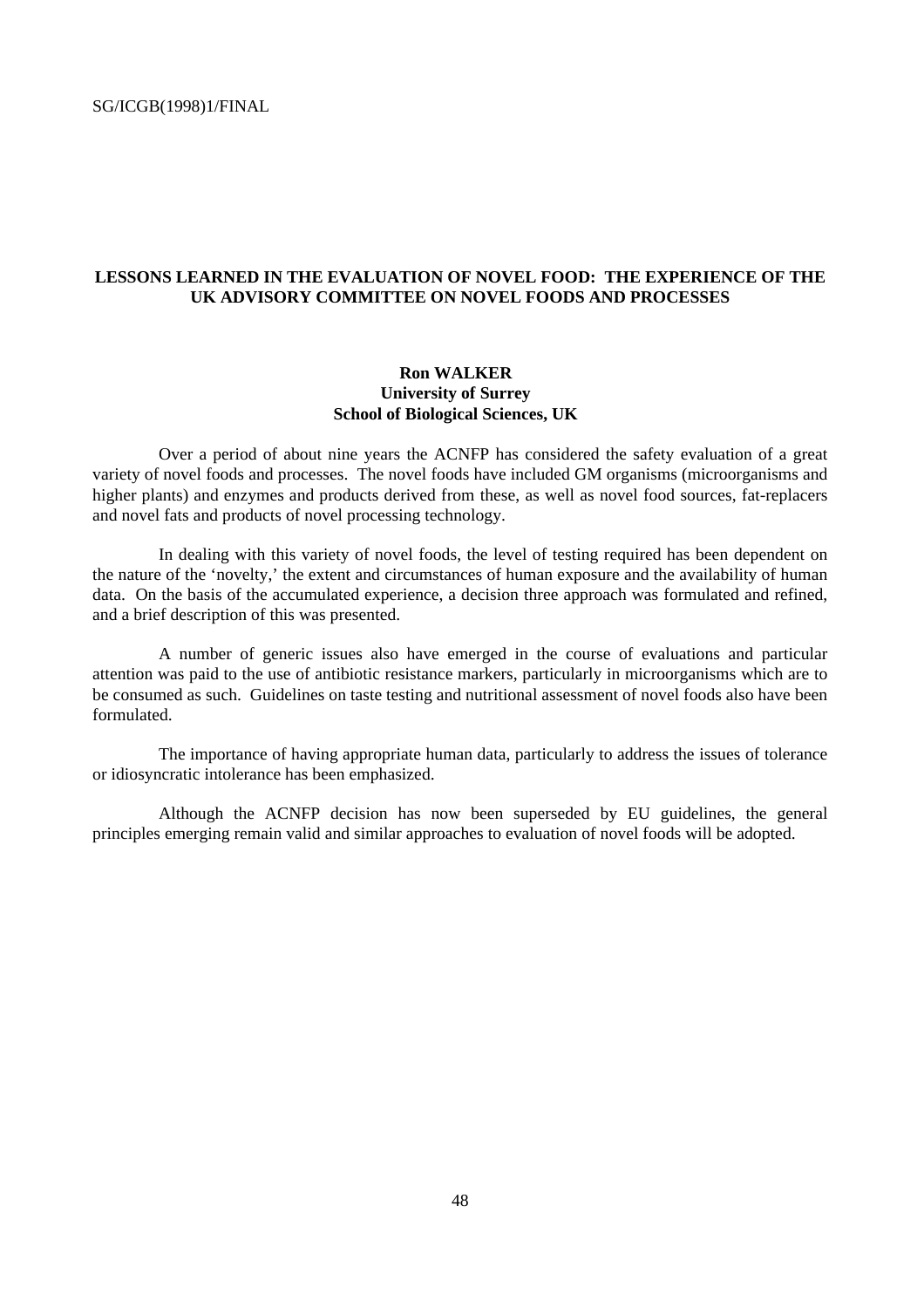#### **LESSONS LEARNED IN THE EVALUATION OF NOVEL FOOD: THE EXPERIENCE OF THE UK ADVISORY COMMITTEE ON NOVEL FOODS AND PROCESSES**

#### **Ron WALKER University of Surrey School of Biological Sciences, UK**

Over a period of about nine years the ACNFP has considered the safety evaluation of a great variety of novel foods and processes. The novel foods have included GM organisms (microorganisms and higher plants) and enzymes and products derived from these, as well as novel food sources, fat-replacers and novel fats and products of novel processing technology.

In dealing with this variety of novel foods, the level of testing required has been dependent on the nature of the 'novelty,' the extent and circumstances of human exposure and the availability of human data. On the basis of the accumulated experience, a decision three approach was formulated and refined, and a brief description of this was presented.

A number of generic issues also have emerged in the course of evaluations and particular attention was paid to the use of antibiotic resistance markers, particularly in microorganisms which are to be consumed as such. Guidelines on taste testing and nutritional assessment of novel foods also have been formulated.

The importance of having appropriate human data, particularly to address the issues of tolerance or idiosyncratic intolerance has been emphasized.

Although the ACNFP decision has now been superseded by EU guidelines, the general principles emerging remain valid and similar approaches to evaluation of novel foods will be adopted.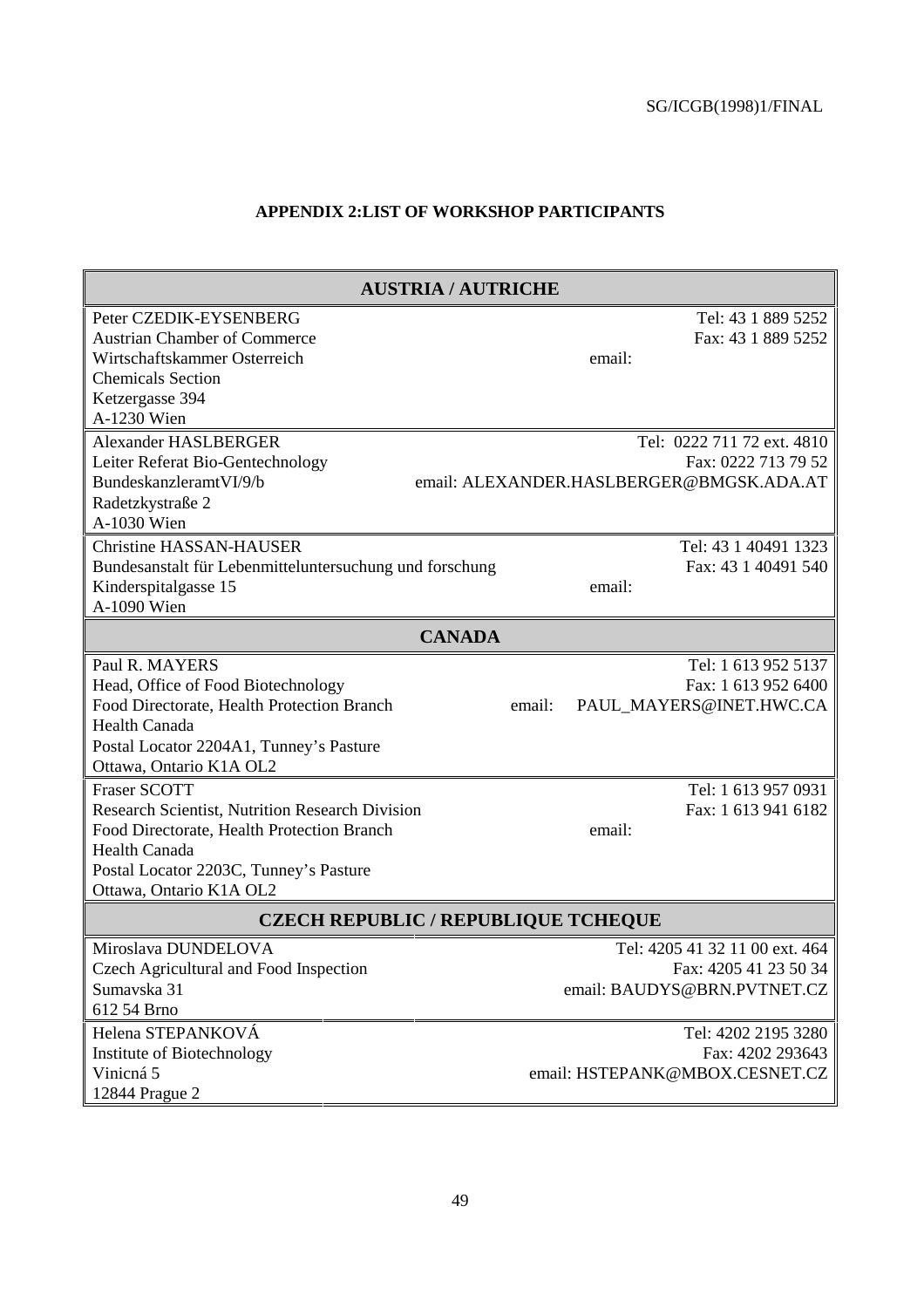#### **APPENDIX 2:LIST OF WORKSHOP PARTICIPANTS**

| <b>AUSTRIA / AUTRICHE</b>                               |                                          |
|---------------------------------------------------------|------------------------------------------|
| Peter CZEDIK-EYSENBERG                                  | Tel: 43 1 889 5252                       |
| <b>Austrian Chamber of Commerce</b>                     | Fax: 43 1 889 5252                       |
| Wirtschaftskammer Osterreich                            | email:                                   |
| <b>Chemicals Section</b>                                |                                          |
| Ketzergasse 394                                         |                                          |
| A-1230 Wien                                             |                                          |
| <b>Alexander HASLBERGER</b>                             | Tel: 0222 711 72 ext. 4810               |
| Leiter Referat Bio-Gentechnology                        | Fax: 0222 713 79 52                      |
| BundeskanzleramtVI/9/b                                  | email: ALEXANDER.HASLBERGER@BMGSK.ADA.AT |
| Radetzkystraße 2                                        |                                          |
| A-1030 Wien                                             |                                          |
| <b>Christine HASSAN-HAUSER</b>                          | Tel: 43 1 40491 1323                     |
| Bundesanstalt für Lebenmitteluntersuchung und forschung | Fax: 43 1 40491 540                      |
| Kinderspitalgasse 15                                    | email:                                   |
| A-1090 Wien                                             |                                          |
| <b>CANADA</b>                                           |                                          |
| Paul R. MAYERS                                          | Tel: 1 613 952 5137                      |
| Head, Office of Food Biotechnology                      | Fax: 1 613 952 6400                      |
| Food Directorate, Health Protection Branch              | PAUL_MAYERS@INET.HWC.CA<br>email:        |
| <b>Health Canada</b>                                    |                                          |
| Postal Locator 2204A1, Tunney's Pasture                 |                                          |
| Ottawa, Ontario K1A OL2                                 |                                          |
| <b>Fraser SCOTT</b>                                     | Tel: 1 613 957 0931                      |
| Research Scientist, Nutrition Research Division         | Fax: 1 613 941 6182                      |
| Food Directorate, Health Protection Branch              | email:                                   |
| Health Canada                                           |                                          |
| Postal Locator 2203C, Tunney's Pasture                  |                                          |
| Ottawa, Ontario K1A OL2                                 |                                          |
| <b>CZECH REPUBLIC / REPUBLIQUE TCHEQUE</b>              |                                          |
| Miroslava DUNDELOVA                                     | Tel: 4205 41 32 11 00 ext. 464           |
| Czech Agricultural and Food Inspection                  | Fax: 4205 41 23 50 34                    |
| Sumavska 31                                             | email: BAUDYS@BRN.PVTNET.CZ              |
| 612 54 Brno                                             |                                          |
| Helena STEPANKOVÁ                                       | Tel: 4202 2195 3280                      |
| Institute of Biotechnology                              | Fax: 4202 293643                         |
| Vinicná 5                                               | email: HSTEPANK@MBOX.CESNET.CZ           |
| 12844 Prague 2                                          |                                          |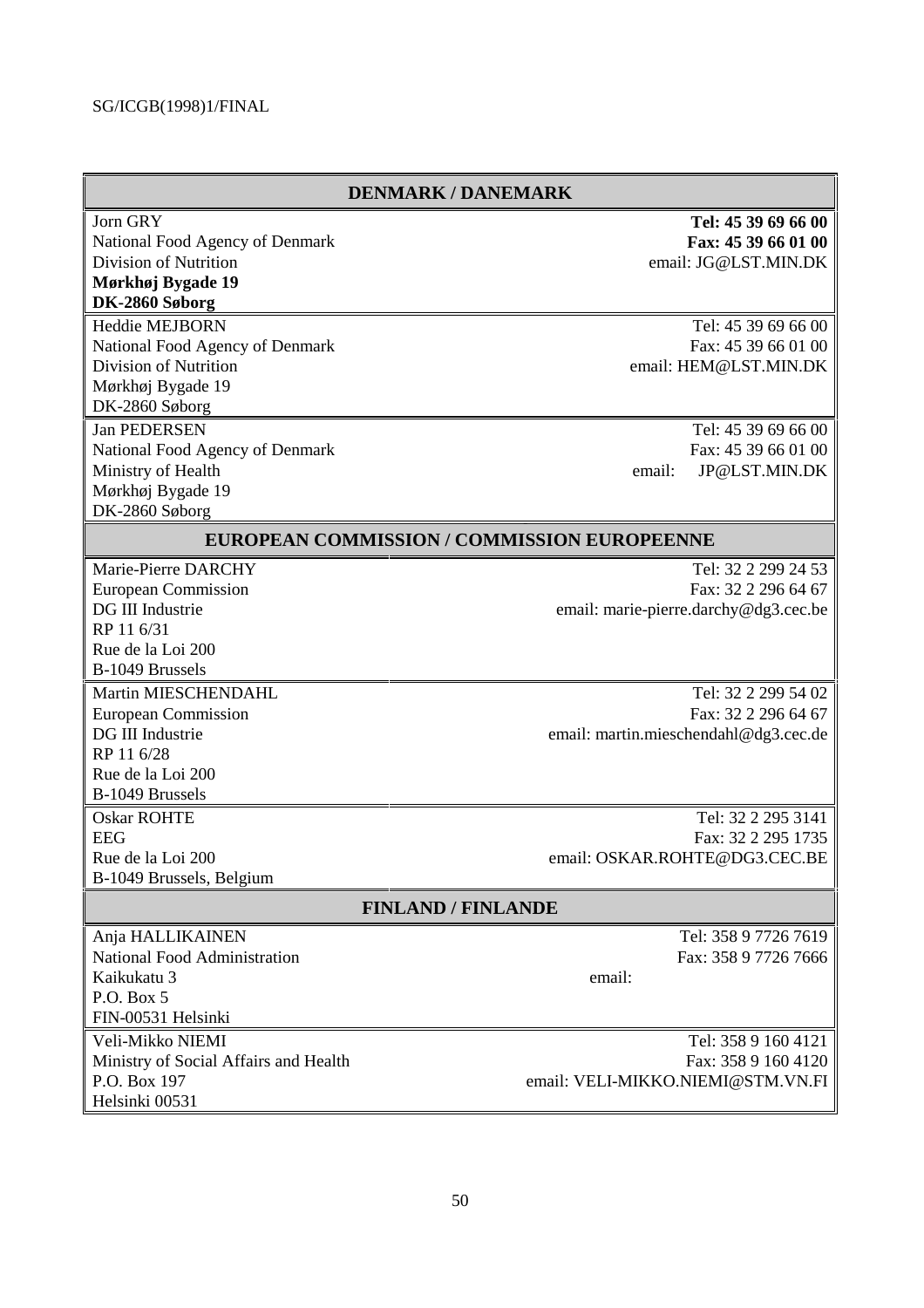| <b>DENMARK / DANEMARK</b>                   |                                       |
|---------------------------------------------|---------------------------------------|
| Jorn GRY                                    | Tel: 45 39 69 66 00                   |
| National Food Agency of Denmark             | Fax: 45 39 66 01 00                   |
| Division of Nutrition                       | email: JG@LST.MIN.DK                  |
| Mørkhøj Bygade 19                           |                                       |
| DK-2860 Søborg                              |                                       |
| <b>Heddie MEJBORN</b>                       | Tel: 45 39 69 66 00                   |
| National Food Agency of Denmark             | Fax: 45 39 66 01 00                   |
| <b>Division of Nutrition</b>                | email: HEM@LST.MIN.DK                 |
| Mørkhøj Bygade 19                           |                                       |
| DK-2860 Søborg                              |                                       |
| <b>Jan PEDERSEN</b>                         | Tel: 45 39 69 66 00                   |
| National Food Agency of Denmark             | Fax: 45 39 66 01 00                   |
| Ministry of Health                          | JP@LST.MIN.DK<br>email:               |
| Mørkhøj Bygade 19                           |                                       |
| DK-2860 Søborg                              |                                       |
| EUROPEAN COMMISSION / COMMISSION EUROPEENNE |                                       |
| Marie-Pierre DARCHY                         | Tel: 32 2 299 24 53                   |
| <b>European Commission</b>                  | Fax: 32 2 296 64 67                   |
| DG III Industrie                            | email: marie-pierre.darchy@dg3.cec.be |
| RP 11 6/31                                  |                                       |
| Rue de la Loi 200                           |                                       |
| B-1049 Brussels                             |                                       |
| Martin MIESCHENDAHL                         | Tel: 32 2 299 54 02                   |
| <b>European Commission</b>                  | Fax: 32 2 296 64 67                   |
| DG III Industrie                            | email: martin.mieschendahl@dg3.cec.de |
| RP 11 6/28                                  |                                       |
| Rue de la Loi 200                           |                                       |
| B-1049 Brussels                             |                                       |
| <b>Oskar ROHTE</b>                          | Tel: 32 2 295 3141                    |
| <b>EEG</b>                                  | Fax: 32 2 295 1735                    |
| Rue de la Loi 200                           | email: OSKAR.ROHTE@DG3.CEC.BE         |
| B-1049 Brussels, Belgium                    |                                       |
| <b>FINLAND / FINLANDE</b>                   |                                       |
| Anja HALLIKAINEN                            | Tel: 358 9 7726 7619                  |
| National Food Administration                | Fax: 358 9 7726 7666                  |
| Kaikukatu 3                                 | email:                                |
| P.O. Box 5                                  |                                       |
| FIN-00531 Helsinki                          |                                       |
| Veli-Mikko NIEMI                            | Tel: 358 9 160 4121                   |
| Ministry of Social Affairs and Health       | Fax: 358 9 160 4120                   |
| P.O. Box 197                                | email: VELI-MIKKO.NIEMI@STM.VN.FI     |
| Helsinki 00531                              |                                       |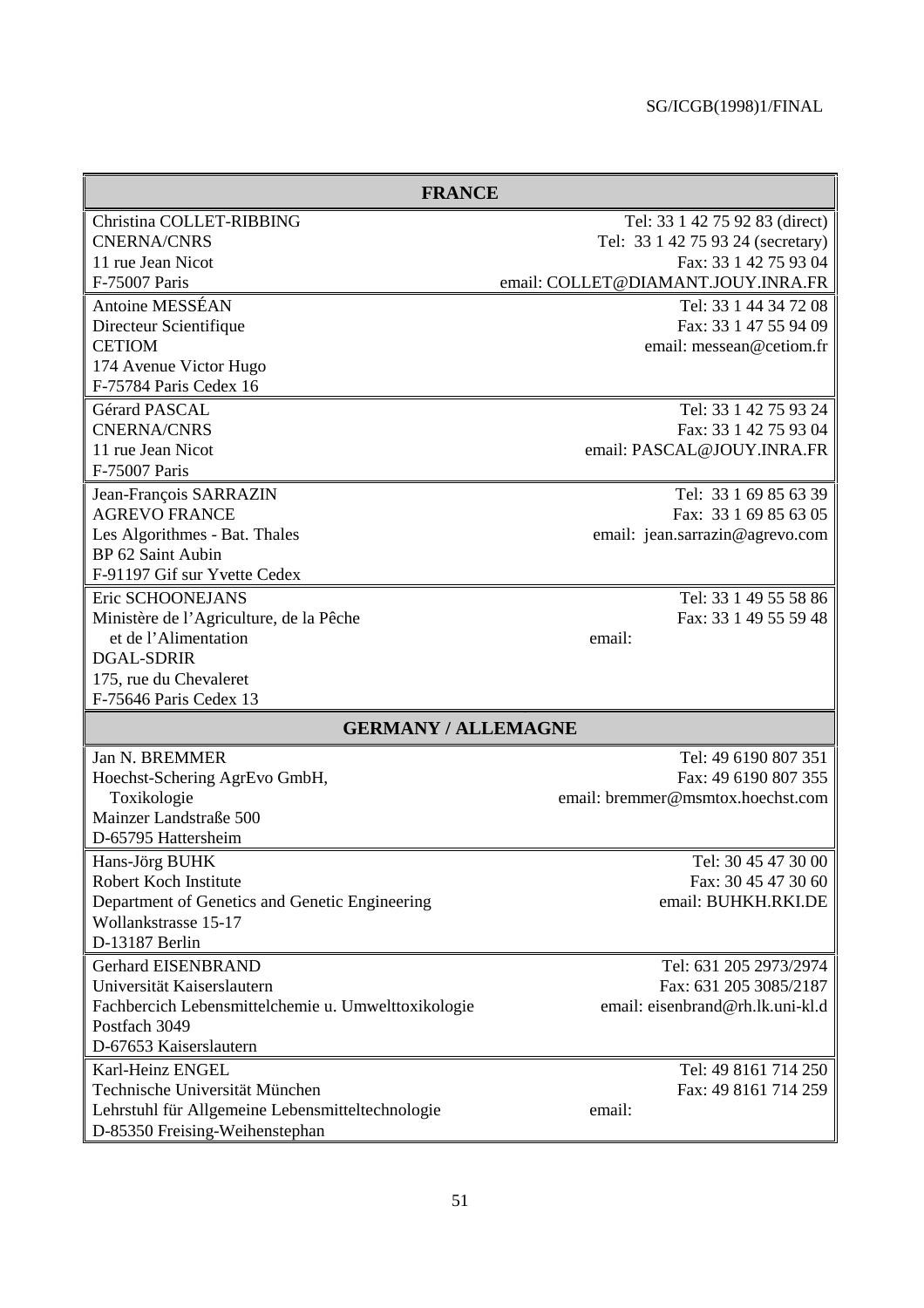| <b>FRANCE</b>                                       |                                    |
|-----------------------------------------------------|------------------------------------|
| Christina COLLET-RIBBING                            | Tel: 33 1 42 75 92 83 (direct)     |
| <b>CNERNA/CNRS</b>                                  | Tel: 33 1 42 75 93 24 (secretary)  |
| 11 rue Jean Nicot                                   | Fax: 33 1 42 75 93 04              |
| F-75007 Paris                                       | email: COLLET@DIAMANT.JOUY.INRA.FR |
| Antoine MESSÉAN                                     | Tel: 33 1 44 34 72 08              |
| Directeur Scientifique                              | Fax: 33 1 47 55 94 09              |
| <b>CETIOM</b>                                       | email: messean@cetiom.fr           |
| 174 Avenue Victor Hugo                              |                                    |
| F-75784 Paris Cedex 16                              |                                    |
| Gérard PASCAL                                       | Tel: 33 1 42 75 93 24              |
| <b>CNERNA/CNRS</b>                                  | Fax: 33 1 42 75 93 04              |
| 11 rue Jean Nicot                                   | email: PASCAL@JOUY.INRA.FR         |
| F-75007 Paris                                       |                                    |
| Jean-François SARRAZIN                              | Tel: 33 1 69 85 63 39              |
| <b>AGREVO FRANCE</b>                                | Fax: 33 1 69 85 63 05              |
| Les Algorithmes - Bat. Thales                       | email: jean.sarrazin@agrevo.com    |
| BP 62 Saint Aubin                                   |                                    |
| F-91197 Gif sur Yvette Cedex                        |                                    |
| Eric SCHOONEJANS                                    | Tel: 33 1 49 55 58 86              |
| Ministère de l'Agriculture, de la Pêche             | Fax: 33 1 49 55 59 48              |
| et de l'Alimentation                                | email:                             |
| <b>DGAL-SDRIR</b>                                   |                                    |
| 175, rue du Chevaleret                              |                                    |
| F-75646 Paris Cedex 13                              |                                    |
| <b>GERMANY / ALLEMAGNE</b>                          |                                    |
| Jan N. BREMMER                                      | Tel: 49 6190 807 351               |
| Hoechst-Schering AgrEvo GmbH,                       | Fax: 49 6190 807 355               |
| Toxikologie                                         | email: bremmer@msmtox.hoechst.com  |
| Mainzer Landstraße 500                              |                                    |
| D-65795 Hattersheim                                 |                                    |
| Hans-Jörg BUHK                                      | Tel: 30 45 47 30 00                |
| Robert Koch Institute                               | Fax: 30 45 47 30 60                |
| Department of Genetics and Genetic Engineering      | email: BUHKH.RKI.DE                |
| Wollankstrasse 15-17                                |                                    |
| D-13187 Berlin                                      |                                    |
| <b>Gerhard EISENBRAND</b>                           | Tel: 631 205 2973/2974             |
| Universität Kaiserslautern                          | Fax: 631 205 3085/2187             |
| Fachbercich Lebensmittelchemie u. Umwelttoxikologie | email: eisenbrand@rh.lk.uni-kl.d   |
| Postfach 3049                                       |                                    |
| D-67653 Kaiserslautern                              |                                    |
| Karl-Heinz ENGEL                                    | Tel: 49 8161 714 250               |
| Technische Universität München                      | Fax: 49 8161 714 259               |
| Lehrstuhl für Allgemeine Lebensmitteltechnologie    | email:                             |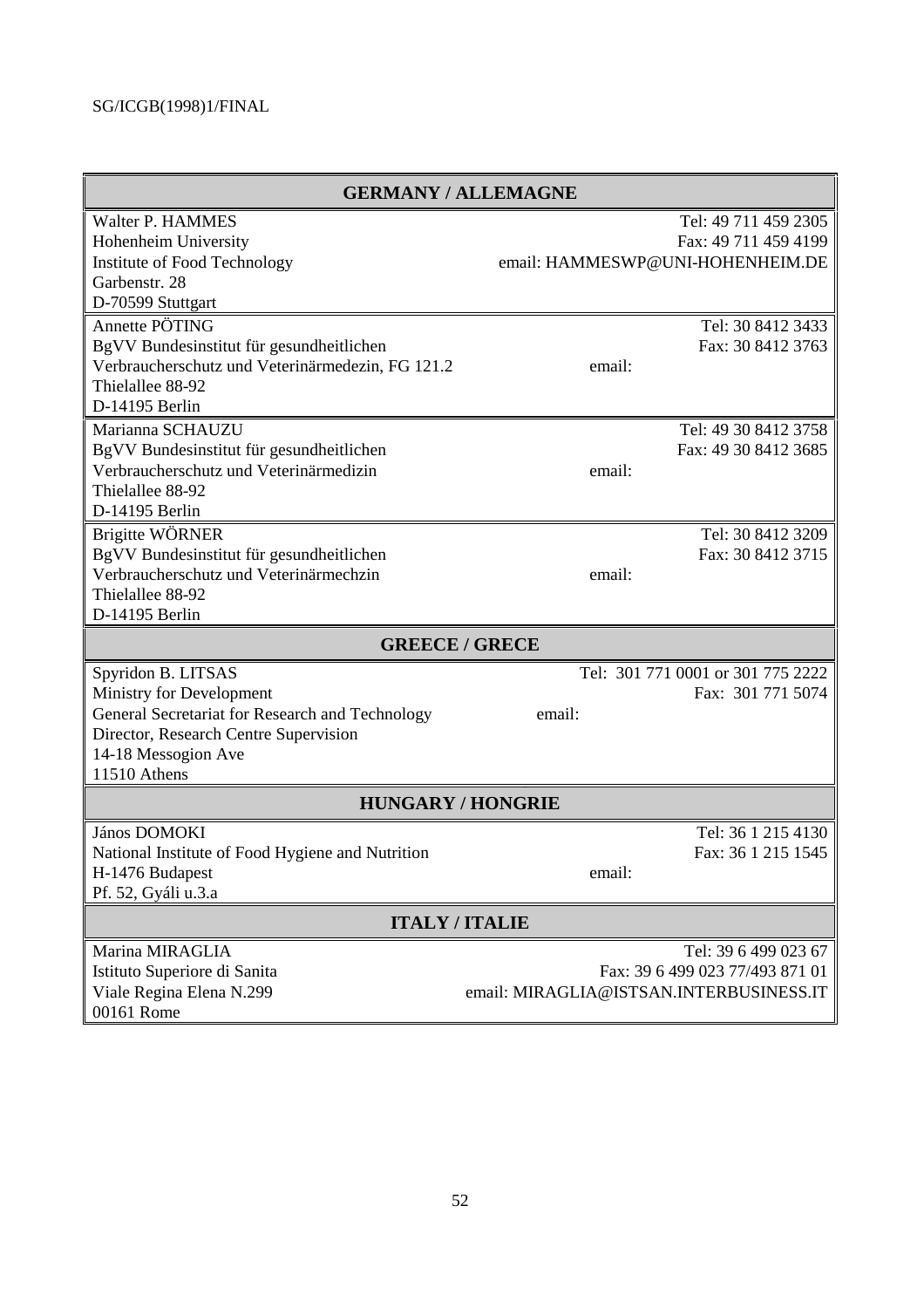| <b>GERMANY / ALLEMAGNE</b>                       |                                         |
|--------------------------------------------------|-----------------------------------------|
| Walter P. HAMMES                                 | Tel: 49 711 459 2305                    |
| Hohenheim University                             | Fax: 49 711 459 4199                    |
| Institute of Food Technology                     | email: HAMMESWP@UNI-HOHENHEIM.DE        |
| Garbenstr. 28                                    |                                         |
| D-70599 Stuttgart                                |                                         |
| Annette PÖTING                                   | Tel: 30 8412 3433                       |
| BgVV Bundesinstitut für gesundheitlichen         | Fax: 30 8412 3763                       |
| Verbraucherschutz und Veterinärmedezin, FG 121.2 | email:                                  |
| Thielallee 88-92                                 |                                         |
| D-14195 Berlin                                   |                                         |
| Marianna SCHAUZU                                 | Tel: 49 30 8412 3758                    |
| BgVV Bundesinstitut für gesundheitlichen         | Fax: 49 30 8412 3685                    |
| Verbraucherschutz und Veterinärmedizin           | email:                                  |
| Thielallee 88-92                                 |                                         |
| D-14195 Berlin                                   |                                         |
| Brigitte WÖRNER                                  | Tel: 30 8412 3209                       |
| BgVV Bundesinstitut für gesundheitlichen         | Fax: 30 8412 3715                       |
| Verbraucherschutz und Veterinärmechzin           | email:                                  |
| Thielallee 88-92                                 |                                         |
| D-14195 Berlin                                   |                                         |
| <b>GREECE / GRECE</b>                            |                                         |
| Spyridon B. LITSAS                               | Tel: 301 771 0001 or 301 775 2222       |
| Ministry for Development                         | Fax: 301 771 5074                       |
| General Secretariat for Research and Technology  | email:                                  |
| Director, Research Centre Supervision            |                                         |
| 14-18 Messogion Ave                              |                                         |
| 11510 Athens                                     |                                         |
| <b>HUNGARY / HONGRIE</b>                         |                                         |
| János DOMOKI                                     | Tel: 36 1 215 4130                      |
| National Institute of Food Hygiene and Nutrition | Fax: 36 1 215 1545                      |
| H-1476 Budapest                                  | email:                                  |
| Pf. 52, Gyáli u.3.a                              |                                         |
| <b>ITALY/ITALIE</b>                              |                                         |
| Marina MIRAGLIA                                  | Tel: 39 6 499 023 67                    |
| Istituto Superiore di Sanita                     | Fax: 39 6 499 023 77/493 871 01         |
| Viale Regina Elena N.299                         | email: MIRAGLIA@ISTSAN.INTERBUSINESS.IT |
| 00161 Rome                                       |                                         |
|                                                  |                                         |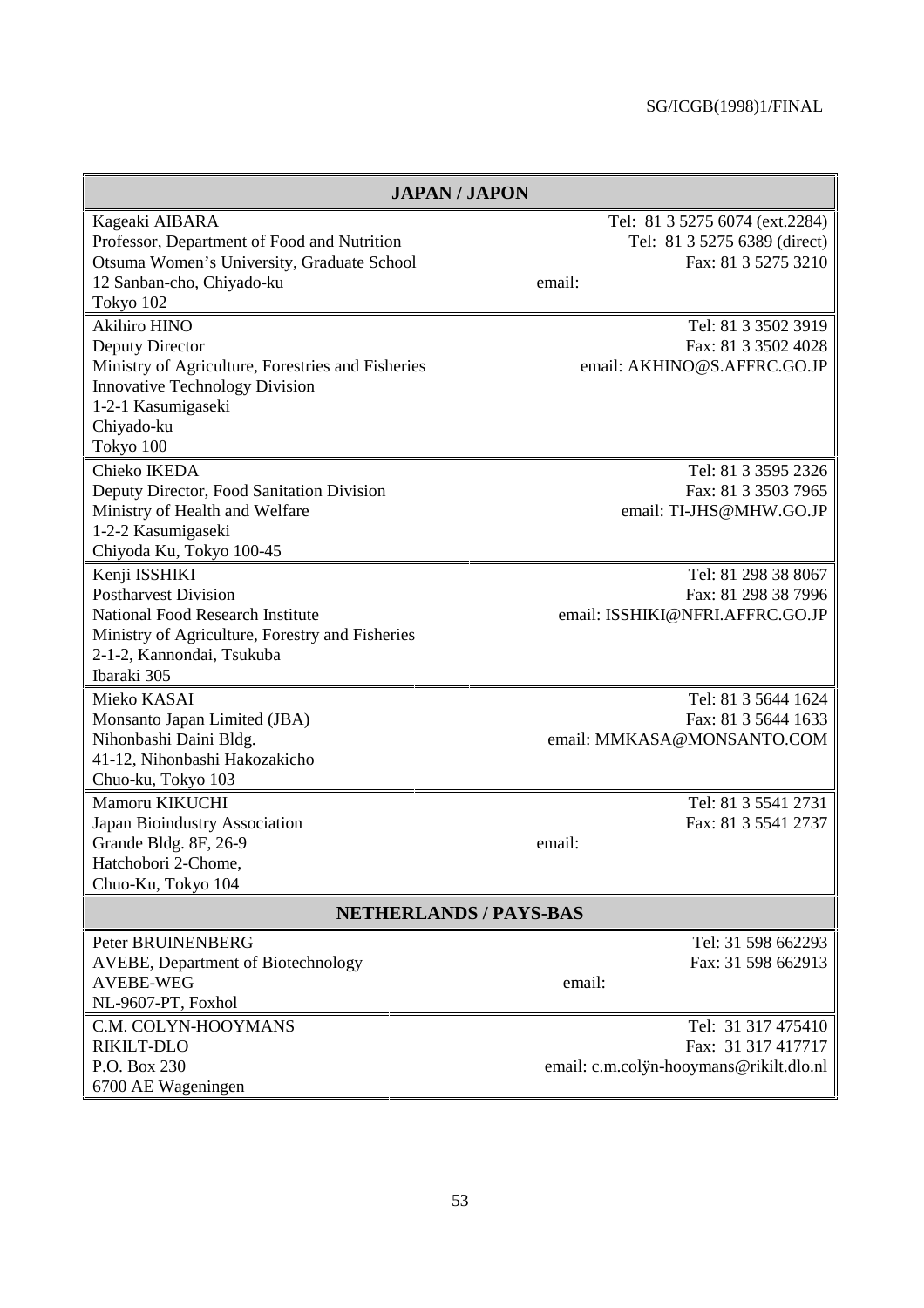| <b>JAPAN/JAPON</b>                                                                         |                                                                                       |
|--------------------------------------------------------------------------------------------|---------------------------------------------------------------------------------------|
| Kageaki AIBARA<br>Professor, Department of Food and Nutrition                              | Tel: 81 3 5275 6074 (ext.2284)<br>Tel: 81 3 5275 6389 (direct)<br>Fax: 81 3 5275 3210 |
| Otsuma Women's University, Graduate School<br>12 Sanban-cho, Chiyado-ku<br>Tokyo 102       | email:                                                                                |
| <b>Akihiro HINO</b>                                                                        | Tel: 81 3 3502 3919                                                                   |
| Deputy Director<br>Ministry of Agriculture, Forestries and Fisheries                       | Fax: 81 3 3502 4028<br>email: AKHINO@S.AFFRC.GO.JP                                    |
| <b>Innovative Technology Division</b>                                                      |                                                                                       |
| 1-2-1 Kasumigaseki<br>Chiyado-ku                                                           |                                                                                       |
| Tokyo 100                                                                                  |                                                                                       |
| Chieko IKEDA                                                                               | Tel: 81 3 3595 2326                                                                   |
| Deputy Director, Food Sanitation Division                                                  | Fax: 81 3 3503 7965<br>email: TI-JHS@MHW.GO.JP                                        |
| Ministry of Health and Welfare<br>1-2-2 Kasumigaseki                                       |                                                                                       |
| Chiyoda Ku, Tokyo 100-45                                                                   |                                                                                       |
| Kenji ISSHIKI                                                                              | Tel: 81 298 38 8067                                                                   |
| <b>Postharvest Division</b>                                                                | Fax: 81 298 38 7996                                                                   |
| <b>National Food Research Institute</b><br>Ministry of Agriculture, Forestry and Fisheries | email: ISSHIKI@NFRI.AFFRC.GO.JP                                                       |
| 2-1-2, Kannondai, Tsukuba                                                                  |                                                                                       |
| Ibaraki 305                                                                                |                                                                                       |
| Mieko KASAI                                                                                | Tel: 81 3 5644 1624                                                                   |
| Monsanto Japan Limited (JBA)                                                               | Fax: 81 3 5644 1633                                                                   |
| Nihonbashi Daini Bldg.<br>41-12, Nihonbashi Hakozakicho                                    | email: MMKASA@MONSANTO.COM                                                            |
| Chuo-ku, Tokyo 103                                                                         |                                                                                       |
| Mamoru KIKUCHI                                                                             | Tel: 81 3 5541 2731                                                                   |
| Japan Bioindustry Association                                                              | Fax: 81 3 5541 2737                                                                   |
| Grande Bldg. 8F, 26-9                                                                      | email:                                                                                |
| Hatchobori 2-Chome<br>Chuo-Ku, Tokyo 104                                                   |                                                                                       |
|                                                                                            |                                                                                       |
| <b>NETHERLANDS / PAYS-BAS</b>                                                              |                                                                                       |
| Peter BRUINENBERG                                                                          | Tel: 31 598 662293                                                                    |
| <b>AVEBE, Department of Biotechnology</b><br><b>AVEBE-WEG</b>                              | Fax: 31 598 662913<br>email:                                                          |
| NL-9607-PT, Foxhol                                                                         |                                                                                       |
| C.M. COLYN-HOOYMANS                                                                        | Tel: 31 317 475410                                                                    |
| RIKILT-DLO                                                                                 | Fax: 31 317 417717                                                                    |
| P.O. Box 230                                                                               | email: c.m.colyn-hooymans@rikilt.dlo.nl                                               |
| 6700 AE Wageningen                                                                         |                                                                                       |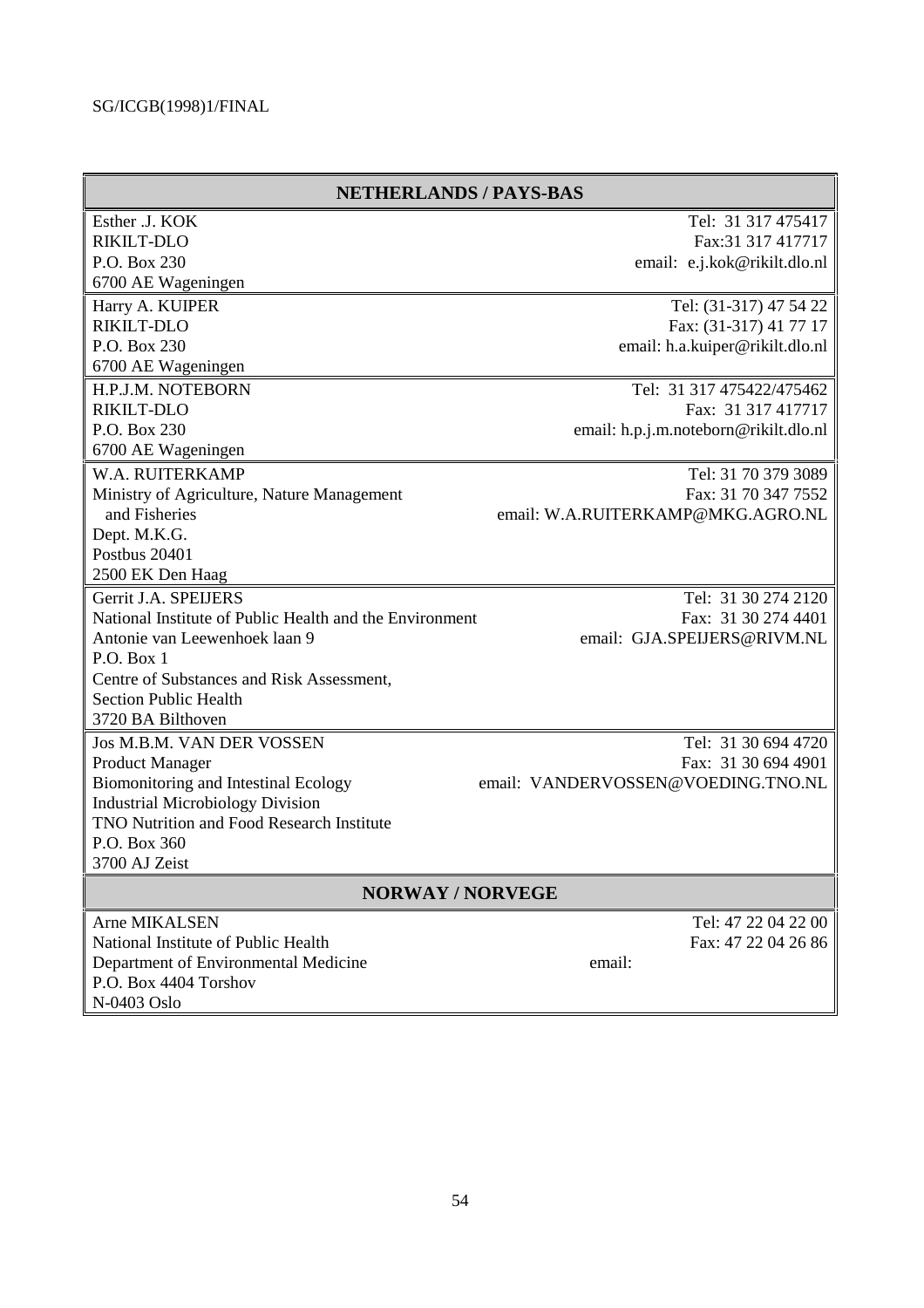|                                                         | <b>NETHERLANDS / PAYS-BAS</b>         |
|---------------------------------------------------------|---------------------------------------|
| Esther J. KOK                                           | Tel: 31 317 475417                    |
| RIKILT-DLO                                              | Fax: 31 317 417717                    |
| P.O. Box 230                                            | email: e.j.kok@rikilt.dlo.nl          |
| 6700 AE Wageningen                                      |                                       |
| Harry A. KUIPER                                         | Tel: (31-317) 47 54 22                |
| RIKILT-DLO                                              | Fax: (31-317) 41 77 17                |
| P.O. Box 230                                            | email: h.a.kuiper@rikilt.dlo.nl       |
| 6700 AE Wageningen                                      |                                       |
| H.P.J.M. NOTEBORN                                       | Tel: 31 317 475422/475462             |
| RIKILT-DLO                                              | Fax: 31 317 417717                    |
| P.O. Box 230                                            | email: h.p.j.m.noteborn@rikilt.dlo.nl |
| 6700 AE Wageningen                                      |                                       |
| W.A. RUITERKAMP                                         | Tel: 31 70 379 3089                   |
| Ministry of Agriculture, Nature Management              | Fax: 31 70 347 7552                   |
| and Fisheries                                           | email: W.A.RUITERKAMP@MKG.AGRO.NL     |
| Dept. M.K.G.                                            |                                       |
| Postbus 20401                                           |                                       |
| 2500 EK Den Haag                                        |                                       |
| Gerrit J.A. SPEIJERS                                    | Tel: 31 30 274 2120                   |
| National Institute of Public Health and the Environment | Fax: 31 30 274 4401                   |
| Antonie van Leewenhoek laan 9                           | email: GJA.SPEIJERS@RIVM.NL           |
| P.O. Box 1                                              |                                       |
| Centre of Substances and Risk Assessment,               |                                       |
| <b>Section Public Health</b>                            |                                       |
| 3720 BA Bilthoven                                       |                                       |
| Jos M.B.M. VAN DER VOSSEN                               | Tel: 31 30 694 4720                   |
| <b>Product Manager</b>                                  | Fax: 31 30 694 4901                   |
| Biomonitoring and Intestinal Ecology                    | email: VANDERVOSSEN@VOEDING.TNO.NL    |
| <b>Industrial Microbiology Division</b>                 |                                       |
| TNO Nutrition and Food Research Institute               |                                       |
| P.O. Box 360                                            |                                       |
| 3700 AJ Zeist                                           |                                       |
| <b>NORWAY/NORVEGE</b>                                   |                                       |
| Arne MIKALSEN                                           | Tel: 47 22 04 22 00                   |
| National Institute of Public Health                     | Fax: 47 22 04 26 86                   |
| Department of Environmental Medicine                    | email:                                |
| P.O. Box 4404 Torshov                                   |                                       |
| N-0403 Oslo                                             |                                       |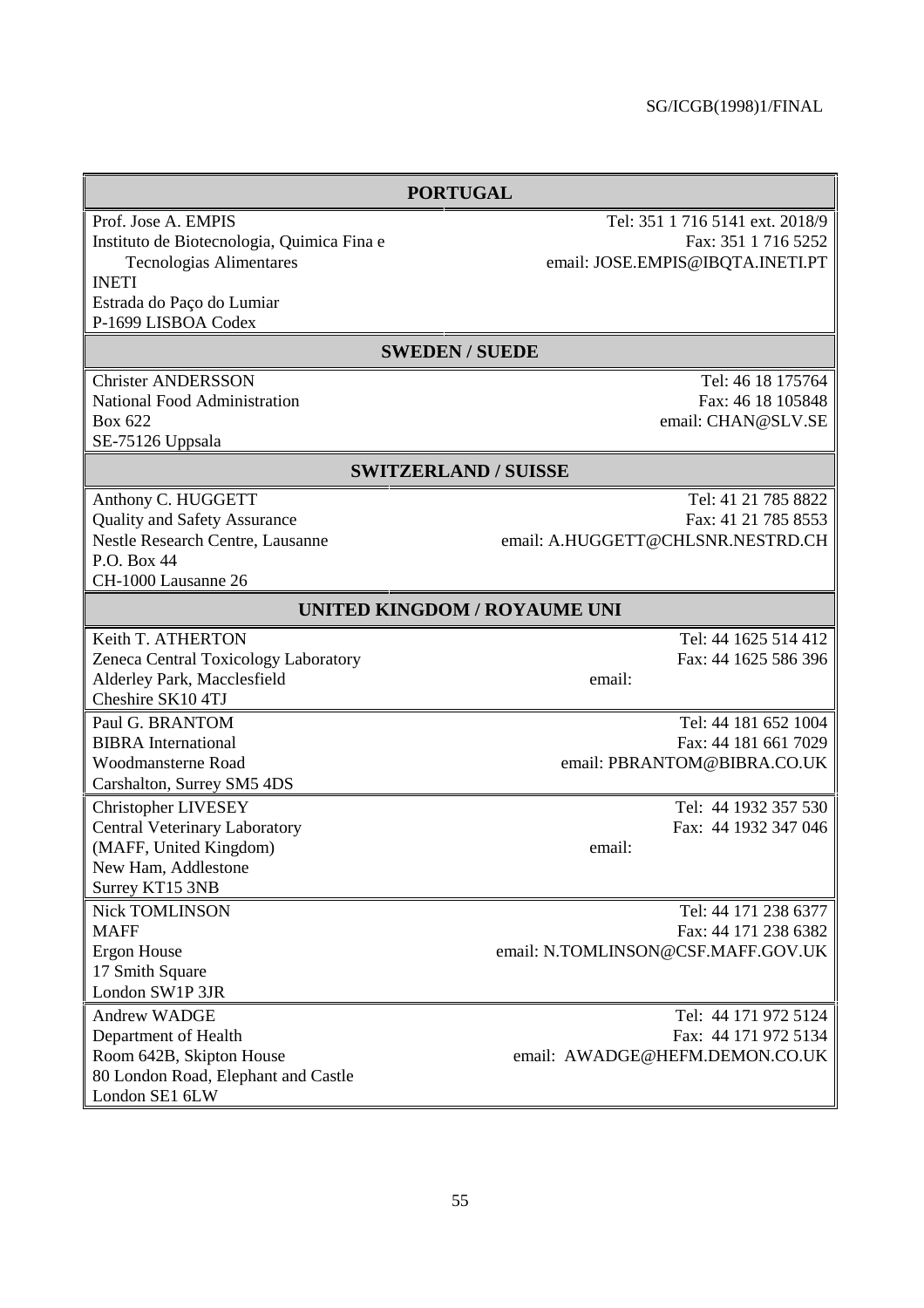| <b>PORTUGAL</b>                            |                                    |
|--------------------------------------------|------------------------------------|
| Prof. Jose A. EMPIS                        | Tel: 351 1 716 5141 ext. 2018/9    |
| Instituto de Biotecnologia, Quimica Fina e | Fax: 351 1 716 5252                |
| <b>Tecnologias Alimentares</b>             | email: JOSE.EMPIS@IBQTA.INETI.PT   |
| <b>INETI</b>                               |                                    |
| Estrada do Paço do Lumiar                  |                                    |
| P-1699 LISBOA Codex                        |                                    |
|                                            | <b>SWEDEN / SUEDE</b>              |
| <b>Christer ANDERSSON</b>                  | Tel: 46 18 175764                  |
| National Food Administration               | Fax: 46 18 105848                  |
| Box 622                                    | email: CHAN@SLV.SE                 |
| SE-75126 Uppsala                           |                                    |
|                                            | <b>SWITZERLAND / SUISSE</b>        |
| Anthony C. HUGGETT                         | Tel: 41 21 785 8822                |
| <b>Quality and Safety Assurance</b>        | Fax: 41 21 785 8553                |
| Nestle Research Centre, Lausanne           | email: A.HUGGETT@CHLSNR.NESTRD.CH  |
| P.O. Box 44                                |                                    |
| CH-1000 Lausanne 26                        |                                    |
| <b>UNITED KINGDOM / ROYAUME UNI</b>        |                                    |
| Keith T. ATHERTON                          | Tel: 44 1625 514 412               |
| Zeneca Central Toxicology Laboratory       | Fax: 44 1625 586 396               |
| Alderley Park, Macclesfield                | email:                             |
| Cheshire SK10 4TJ                          |                                    |
| Paul G. BRANTOM                            | Tel: 44 181 652 1004               |
| <b>BIBRA</b> International                 | Fax: 44 181 661 7029               |
| Woodmansterne Road                         | email: PBRANTOM@BIBRA.CO.UK        |
| Carshalton, Surrey SM5 4DS                 |                                    |
| <b>Christopher LIVESEY</b>                 | Tel: 44 1932 357 530               |
| Central Veterinary Laboratory              | Fax: 44 1932 347 046               |
| (MAFF, United Kingdom)                     | email:                             |
| New Ham, Addlestone                        |                                    |
| Surrey KT15 3NB                            |                                    |
| <b>Nick TOMLINSON</b>                      | Tel: 44 171 238 6377               |
| <b>MAFF</b>                                | Fax: 44 171 238 6382               |
| Ergon House                                | email: N.TOMLINSON@CSF.MAFF.GOV.UK |
| 17 Smith Square                            |                                    |
| London SW1P 3JR                            |                                    |
| Andrew WADGE                               | Tel: 44 171 972 5124               |
| Department of Health                       | Fax: 44 171 972 5134               |
| Room 642B, Skipton House                   | email: AWADGE@HEFM.DEMON.CO.UK     |
| 80 London Road, Elephant and Castle        |                                    |
| London SE1 6LW                             |                                    |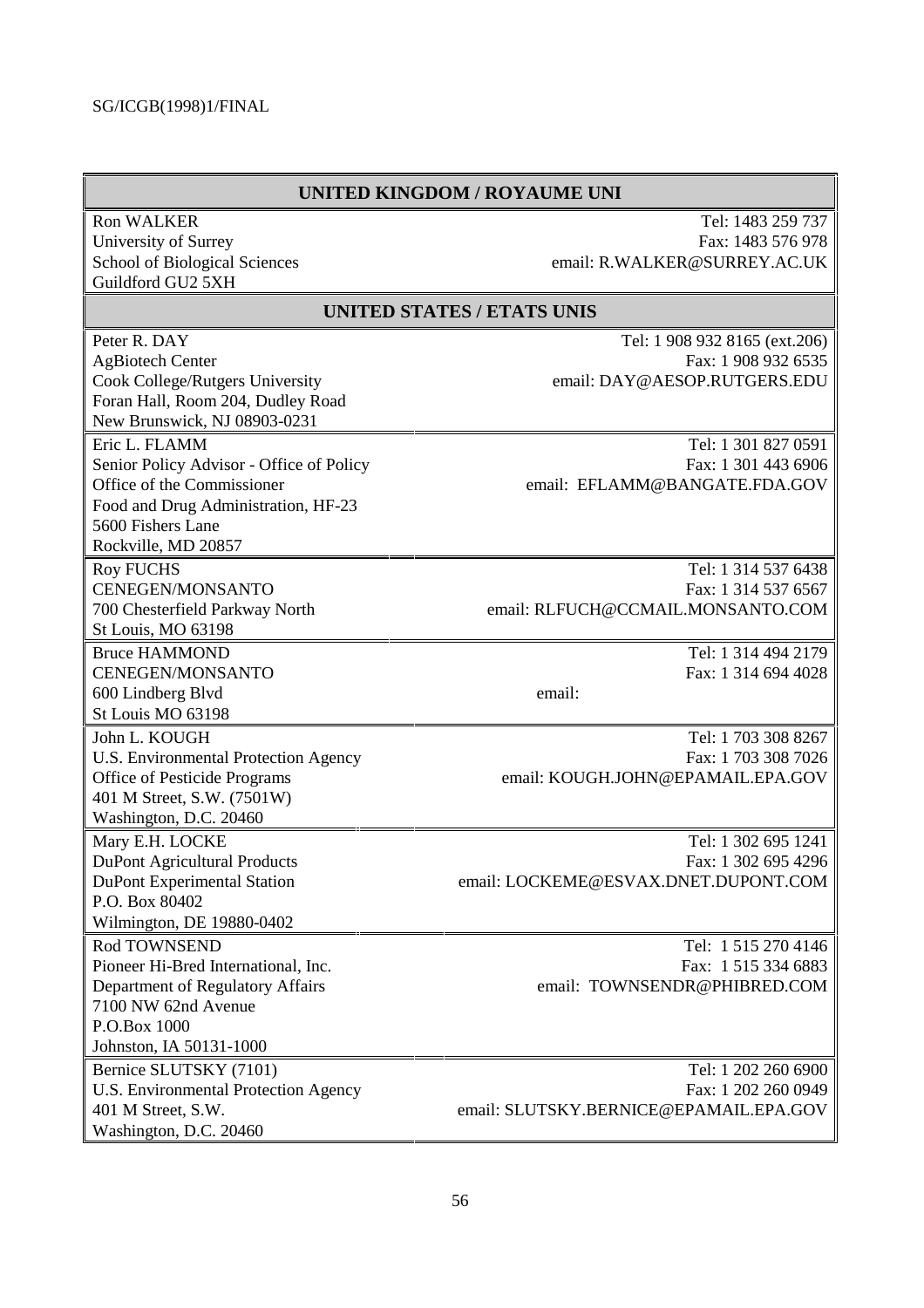#### **UNITED KINGDOM / ROYAUME UNI**

| <b>Ron WALKER</b>                        | Tel: 1483 259 737                      |
|------------------------------------------|----------------------------------------|
| University of Surrey                     | Fax: 1483 576 978                      |
| School of Biological Sciences            | email: R.WALKER@SURREY.AC.UK           |
| Guildford GU2 5XH                        |                                        |
|                                          | <b>UNITED STATES / ETATS UNIS</b>      |
| Peter R. DAY                             | Tel: 1 908 932 8165 (ext.206)          |
| <b>AgBiotech Center</b>                  | Fax: 1 908 932 6535                    |
| Cook College/Rutgers University          | email: DAY@AESOP.RUTGERS.EDU           |
| Foran Hall, Room 204, Dudley Road        |                                        |
| New Brunswick, NJ 08903-0231             |                                        |
| Eric L. FLAMM                            | Tel: 1 301 827 0591                    |
| Senior Policy Advisor - Office of Policy | Fax: 1 301 443 6906                    |
| Office of the Commissioner               | email: EFLAMM@BANGATE.FDA.GOV          |
| Food and Drug Administration, HF-23      |                                        |
| 5600 Fishers Lane                        |                                        |
| Rockville, MD 20857                      |                                        |
| <b>Roy FUCHS</b>                         | Tel: 1 314 537 6438                    |
| CENEGEN/MONSANTO                         | Fax: 1 314 537 6567                    |
| 700 Chesterfield Parkway North           | email: RLFUCH@CCMAIL.MONSANTO.COM      |
| St Louis, MO 63198                       |                                        |
| <b>Bruce HAMMOND</b>                     | Tel: 1 314 494 2179                    |
| CENEGEN/MONSANTO                         | Fax: 1 314 694 4028                    |
| 600 Lindberg Blvd                        | email:                                 |
| St Louis MO 63198                        |                                        |
| John L. KOUGH                            | Tel: 1 703 308 8267                    |
| U.S. Environmental Protection Agency     | Fax: 1 703 308 7026                    |
| Office of Pesticide Programs             | email: KOUGH.JOHN@EPAMAIL.EPA.GOV      |
| 401 M Street, S.W. (7501W)               |                                        |
| Washington, D.C. 20460                   |                                        |
| Mary E.H. LOCKE                          | Tel: 1 302 695 1241                    |
| <b>DuPont Agricultural Products</b>      | Fax: 1 302 695 4296                    |
| <b>DuPont Experimental Station</b>       | email: LOCKEME@ESVAX.DNET.DUPONT.COM   |
| P.O. Box 80402                           |                                        |
| Wilmington, DE 19880-0402                |                                        |
| Rod TOWNSEND                             | Tel: 1 515 270 4146                    |
| Pioneer Hi-Bred International, Inc.      | Fax: 1 515 334 6883                    |
| Department of Regulatory Affairs         | email: TOWNSENDR@PHIBRED.COM           |
| 7100 NW 62nd Avenue                      |                                        |
| P.O.Box 1000                             |                                        |
| Johnston, IA 50131-1000                  |                                        |
| Bernice SLUTSKY (7101)                   | Tel: 1 202 260 6900                    |
| U.S. Environmental Protection Agency     | Fax: 1 202 260 0949                    |
| 401 M Street, S.W.                       | email: SLUTSKY.BERNICE@EPAMAIL.EPA.GOV |
| Washington, D.C. 20460                   |                                        |